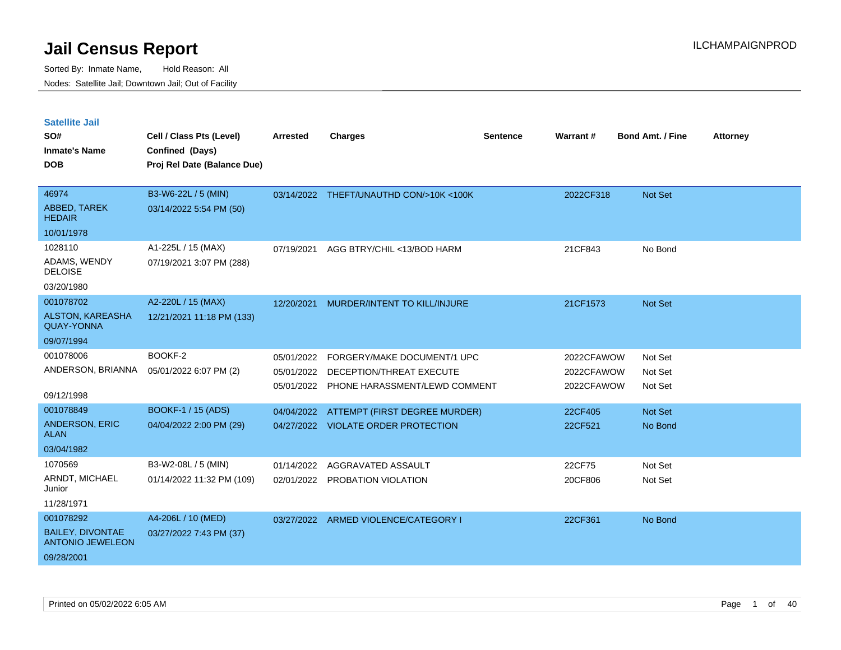| <b>Satellite Jail</b>                              |                             |                 |                                         |          |            |                         |                 |
|----------------------------------------------------|-----------------------------|-----------------|-----------------------------------------|----------|------------|-------------------------|-----------------|
| SO#                                                | Cell / Class Pts (Level)    | <b>Arrested</b> | <b>Charges</b>                          | Sentence | Warrant#   | <b>Bond Amt. / Fine</b> | <b>Attorney</b> |
| Inmate's Name                                      | Confined (Days)             |                 |                                         |          |            |                         |                 |
| <b>DOB</b>                                         | Proj Rel Date (Balance Due) |                 |                                         |          |            |                         |                 |
|                                                    |                             |                 |                                         |          |            |                         |                 |
| 46974                                              | B3-W6-22L / 5 (MIN)         |                 | 03/14/2022 THEFT/UNAUTHD CON/>10K <100K |          | 2022CF318  | <b>Not Set</b>          |                 |
| ABBED, TAREK<br><b>HEDAIR</b>                      | 03/14/2022 5:54 PM (50)     |                 |                                         |          |            |                         |                 |
| 10/01/1978                                         |                             |                 |                                         |          |            |                         |                 |
| 1028110                                            | A1-225L / 15 (MAX)          | 07/19/2021      | AGG BTRY/CHIL <13/BOD HARM              |          | 21CF843    | No Bond                 |                 |
| ADAMS, WENDY<br><b>DELOISE</b>                     | 07/19/2021 3:07 PM (288)    |                 |                                         |          |            |                         |                 |
| 03/20/1980                                         |                             |                 |                                         |          |            |                         |                 |
| 001078702                                          | A2-220L / 15 (MAX)          | 12/20/2021      | MURDER/INTENT TO KILL/INJURE            |          | 21CF1573   | <b>Not Set</b>          |                 |
| <b>ALSTON, KAREASHA</b><br><b>QUAY-YONNA</b>       | 12/21/2021 11:18 PM (133)   |                 |                                         |          |            |                         |                 |
| 09/07/1994                                         |                             |                 |                                         |          |            |                         |                 |
| 001078006                                          | BOOKF-2                     | 05/01/2022      | FORGERY/MAKE DOCUMENT/1 UPC             |          | 2022CFAWOW | Not Set                 |                 |
| ANDERSON, BRIANNA                                  | 05/01/2022 6:07 PM (2)      | 05/01/2022      | DECEPTION/THREAT EXECUTE                |          | 2022CFAWOW | Not Set                 |                 |
|                                                    |                             | 05/01/2022      | PHONE HARASSMENT/LEWD COMMENT           |          | 2022CFAWOW | Not Set                 |                 |
| 09/12/1998                                         |                             |                 |                                         |          |            |                         |                 |
| 001078849                                          | BOOKF-1 / 15 (ADS)          | 04/04/2022      | ATTEMPT (FIRST DEGREE MURDER)           |          | 22CF405    | <b>Not Set</b>          |                 |
| <b>ANDERSON, ERIC</b><br>ALAN                      | 04/04/2022 2:00 PM (29)     | 04/27/2022      | <b>VIOLATE ORDER PROTECTION</b>         |          | 22CF521    | No Bond                 |                 |
| 03/04/1982                                         |                             |                 |                                         |          |            |                         |                 |
| 1070569                                            | B3-W2-08L / 5 (MIN)         | 01/14/2022      | AGGRAVATED ASSAULT                      |          | 22CF75     | Not Set                 |                 |
| ARNDT, MICHAEL<br>Junior                           | 01/14/2022 11:32 PM (109)   | 02/01/2022      | PROBATION VIOLATION                     |          | 20CF806    | Not Set                 |                 |
| 11/28/1971                                         |                             |                 |                                         |          |            |                         |                 |
| 001078292                                          | A4-206L / 10 (MED)          | 03/27/2022      | ARMED VIOLENCE/CATEGORY I               |          | 22CF361    | No Bond                 |                 |
| <b>BAILEY, DIVONTAE</b><br><b>ANTONIO JEWELEON</b> | 03/27/2022 7:43 PM (37)     |                 |                                         |          |            |                         |                 |
| 09/28/2001                                         |                             |                 |                                         |          |            |                         |                 |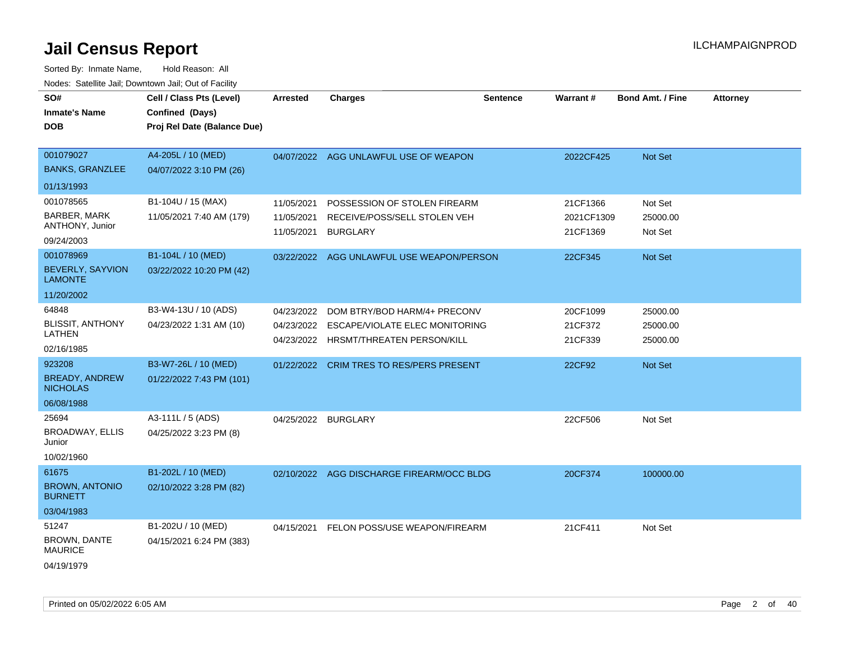| SO#<br><b>Inmate's Name</b><br><b>DOB</b>                         | Cell / Class Pts (Level)<br>Confined (Days)<br>Proj Rel Date (Balance Due) | <b>Arrested</b>                        | <b>Charges</b>                                                                  | <b>Sentence</b> | Warrant#                           | <b>Bond Amt. / Fine</b>        | <b>Attorney</b> |
|-------------------------------------------------------------------|----------------------------------------------------------------------------|----------------------------------------|---------------------------------------------------------------------------------|-----------------|------------------------------------|--------------------------------|-----------------|
| 001079027<br><b>BANKS, GRANZLEE</b>                               | A4-205L / 10 (MED)<br>04/07/2022 3:10 PM (26)                              | 04/07/2022                             | AGG UNLAWFUL USE OF WEAPON                                                      |                 | 2022CF425                          | <b>Not Set</b>                 |                 |
| 01/13/1993                                                        |                                                                            |                                        |                                                                                 |                 |                                    |                                |                 |
| 001078565<br><b>BARBER, MARK</b><br>ANTHONY, Junior<br>09/24/2003 | B1-104U / 15 (MAX)<br>11/05/2021 7:40 AM (179)                             | 11/05/2021<br>11/05/2021<br>11/05/2021 | POSSESSION OF STOLEN FIREARM<br>RECEIVE/POSS/SELL STOLEN VEH<br><b>BURGLARY</b> |                 | 21CF1366<br>2021CF1309<br>21CF1369 | Not Set<br>25000.00<br>Not Set |                 |
| 001078969                                                         | B1-104L / 10 (MED)                                                         |                                        | 03/22/2022 AGG UNLAWFUL USE WEAPON/PERSON                                       |                 | 22CF345                            | Not Set                        |                 |
| BEVERLY, SAYVION<br><b>LAMONTE</b>                                | 03/22/2022 10:20 PM (42)                                                   |                                        |                                                                                 |                 |                                    |                                |                 |
| 11/20/2002                                                        |                                                                            |                                        |                                                                                 |                 |                                    |                                |                 |
| 64848                                                             | B3-W4-13U / 10 (ADS)                                                       | 04/23/2022                             | DOM BTRY/BOD HARM/4+ PRECONV                                                    |                 | 20CF1099                           | 25000.00                       |                 |
| <b>BLISSIT, ANTHONY</b><br>LATHEN<br>02/16/1985                   | 04/23/2022 1:31 AM (10)                                                    | 04/23/2022<br>04/23/2022               | ESCAPE/VIOLATE ELEC MONITORING<br>HRSMT/THREATEN PERSON/KILL                    |                 | 21CF372<br>21CF339                 | 25000.00<br>25000.00           |                 |
| 923208                                                            | B3-W7-26L / 10 (MED)                                                       | 01/22/2022                             | CRIM TRES TO RES/PERS PRESENT                                                   |                 | 22CF92                             | Not Set                        |                 |
| <b>BREADY, ANDREW</b><br><b>NICHOLAS</b>                          | 01/22/2022 7:43 PM (101)                                                   |                                        |                                                                                 |                 |                                    |                                |                 |
| 06/08/1988                                                        |                                                                            |                                        |                                                                                 |                 |                                    |                                |                 |
| 25694<br><b>BROADWAY, ELLIS</b><br>Junior<br>10/02/1960           | A3-111L / 5 (ADS)<br>04/25/2022 3:23 PM (8)                                | 04/25/2022 BURGLARY                    |                                                                                 |                 | 22CF506                            | Not Set                        |                 |
| 61675                                                             | B1-202L / 10 (MED)                                                         |                                        | 02/10/2022 AGG DISCHARGE FIREARM/OCC BLDG                                       |                 | 20CF374                            | 100000.00                      |                 |
| <b>BROWN, ANTONIO</b><br><b>BURNETT</b>                           | 02/10/2022 3:28 PM (82)                                                    |                                        |                                                                                 |                 |                                    |                                |                 |
| 03/04/1983                                                        |                                                                            |                                        |                                                                                 |                 |                                    |                                |                 |
| 51247                                                             | B1-202U / 10 (MED)                                                         | 04/15/2021                             | FELON POSS/USE WEAPON/FIREARM                                                   |                 | 21CF411                            | Not Set                        |                 |
| <b>BROWN, DANTE</b><br><b>MAURICE</b>                             | 04/15/2021 6:24 PM (383)                                                   |                                        |                                                                                 |                 |                                    |                                |                 |
| 04/19/1979                                                        |                                                                            |                                        |                                                                                 |                 |                                    |                                |                 |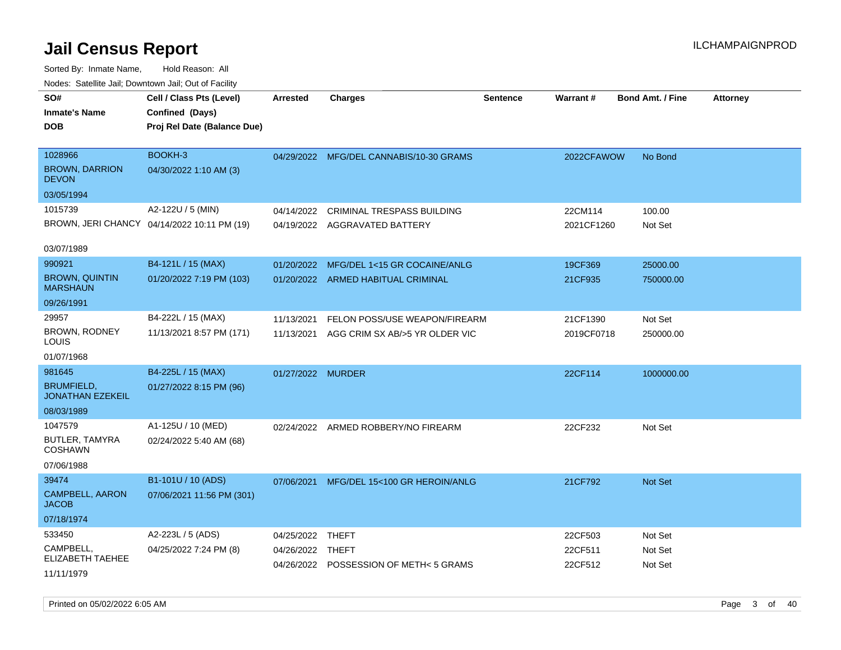| roaco. Catolino cali, Downtown cali, Out of Facility |                                             |                   |                                         |                 |            |                         |                 |
|------------------------------------------------------|---------------------------------------------|-------------------|-----------------------------------------|-----------------|------------|-------------------------|-----------------|
| SO#                                                  | Cell / Class Pts (Level)                    | <b>Arrested</b>   | Charges                                 | <b>Sentence</b> | Warrant#   | <b>Bond Amt. / Fine</b> | <b>Attorney</b> |
| <b>Inmate's Name</b>                                 | Confined (Days)                             |                   |                                         |                 |            |                         |                 |
| <b>DOB</b>                                           | Proj Rel Date (Balance Due)                 |                   |                                         |                 |            |                         |                 |
|                                                      |                                             |                   |                                         |                 |            |                         |                 |
| 1028966                                              | BOOKH-3                                     |                   | 04/29/2022 MFG/DEL CANNABIS/10-30 GRAMS |                 | 2022CFAWOW | No Bond                 |                 |
| <b>BROWN, DARRION</b><br><b>DEVON</b>                | 04/30/2022 1:10 AM (3)                      |                   |                                         |                 |            |                         |                 |
| 03/05/1994                                           |                                             |                   |                                         |                 |            |                         |                 |
| 1015739                                              | A2-122U / 5 (MIN)                           | 04/14/2022        | <b>CRIMINAL TRESPASS BUILDING</b>       |                 | 22CM114    | 100.00                  |                 |
|                                                      | BROWN, JERI CHANCY 04/14/2022 10:11 PM (19) |                   | 04/19/2022 AGGRAVATED BATTERY           |                 | 2021CF1260 | Not Set                 |                 |
|                                                      |                                             |                   |                                         |                 |            |                         |                 |
| 03/07/1989                                           |                                             |                   |                                         |                 |            |                         |                 |
| 990921                                               | B4-121L / 15 (MAX)                          | 01/20/2022        | MFG/DEL 1<15 GR COCAINE/ANLG            |                 | 19CF369    | 25000.00                |                 |
| <b>BROWN, QUINTIN</b><br><b>MARSHAUN</b>             | 01/20/2022 7:19 PM (103)                    |                   | 01/20/2022 ARMED HABITUAL CRIMINAL      |                 | 21CF935    | 750000.00               |                 |
| 09/26/1991                                           |                                             |                   |                                         |                 |            |                         |                 |
| 29957                                                | B4-222L / 15 (MAX)                          | 11/13/2021        | FELON POSS/USE WEAPON/FIREARM           |                 | 21CF1390   | Not Set                 |                 |
| BROWN, RODNEY<br>LOUIS                               | 11/13/2021 8:57 PM (171)                    | 11/13/2021        | AGG CRIM SX AB/>5 YR OLDER VIC          |                 | 2019CF0718 | 250000.00               |                 |
| 01/07/1968                                           |                                             |                   |                                         |                 |            |                         |                 |
| 981645                                               | B4-225L / 15 (MAX)                          | 01/27/2022 MURDER |                                         |                 | 22CF114    | 1000000.00              |                 |
| <b>BRUMFIELD,</b><br><b>JONATHAN EZEKEIL</b>         | 01/27/2022 8:15 PM (96)                     |                   |                                         |                 |            |                         |                 |
| 08/03/1989                                           |                                             |                   |                                         |                 |            |                         |                 |
| 1047579                                              | A1-125U / 10 (MED)                          | 02/24/2022        | ARMED ROBBERY/NO FIREARM                |                 | 22CF232    | Not Set                 |                 |
| BUTLER, TAMYRA<br>COSHAWN                            | 02/24/2022 5:40 AM (68)                     |                   |                                         |                 |            |                         |                 |
| 07/06/1988                                           |                                             |                   |                                         |                 |            |                         |                 |
| 39474                                                | B1-101U / 10 (ADS)                          | 07/06/2021        | MFG/DEL 15<100 GR HEROIN/ANLG           |                 | 21CF792    | Not Set                 |                 |
| <b>CAMPBELL, AARON</b><br><b>JACOB</b>               | 07/06/2021 11:56 PM (301)                   |                   |                                         |                 |            |                         |                 |
| 07/18/1974                                           |                                             |                   |                                         |                 |            |                         |                 |
| 533450                                               | A2-223L / 5 (ADS)                           | 04/25/2022        | THEFT                                   |                 | 22CF503    | Not Set                 |                 |
| CAMPBELL,                                            | 04/25/2022 7:24 PM (8)                      | 04/26/2022 THEFT  |                                         |                 | 22CF511    | Not Set                 |                 |
| ELIZABETH TAEHEE                                     |                                             |                   | 04/26/2022 POSSESSION OF METH< 5 GRAMS  |                 | 22CF512    | Not Set                 |                 |
| 11/11/1979                                           |                                             |                   |                                         |                 |            |                         |                 |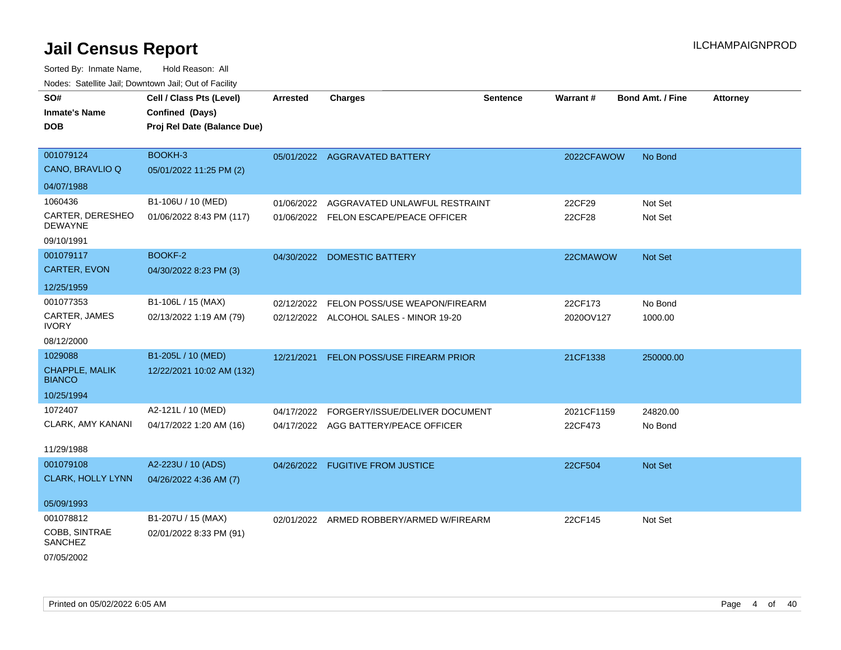| SO#                                | Cell / Class Pts (Level)    | <b>Arrested</b> | <b>Charges</b>                           | <b>Sentence</b> | <b>Warrant#</b> | <b>Bond Amt. / Fine</b> | <b>Attorney</b> |
|------------------------------------|-----------------------------|-----------------|------------------------------------------|-----------------|-----------------|-------------------------|-----------------|
| <b>Inmate's Name</b>               | Confined (Days)             |                 |                                          |                 |                 |                         |                 |
| <b>DOB</b>                         | Proj Rel Date (Balance Due) |                 |                                          |                 |                 |                         |                 |
|                                    |                             |                 |                                          |                 |                 |                         |                 |
| 001079124                          | BOOKH-3                     |                 | 05/01/2022 AGGRAVATED BATTERY            |                 | 2022CFAWOW      | No Bond                 |                 |
| CANO, BRAVLIO Q                    | 05/01/2022 11:25 PM (2)     |                 |                                          |                 |                 |                         |                 |
| 04/07/1988                         |                             |                 |                                          |                 |                 |                         |                 |
| 1060436                            | B1-106U / 10 (MED)          | 01/06/2022      | AGGRAVATED UNLAWFUL RESTRAINT            |                 | 22CF29          | Not Set                 |                 |
| CARTER, DERESHEO<br><b>DEWAYNE</b> | 01/06/2022 8:43 PM (117)    |                 | 01/06/2022 FELON ESCAPE/PEACE OFFICER    |                 | 22CF28          | Not Set                 |                 |
| 09/10/1991                         |                             |                 |                                          |                 |                 |                         |                 |
| 001079117                          | <b>BOOKF-2</b>              |                 | 04/30/2022 DOMESTIC BATTERY              |                 | 22CMAWOW        | Not Set                 |                 |
| <b>CARTER, EVON</b>                | 04/30/2022 8:23 PM (3)      |                 |                                          |                 |                 |                         |                 |
| 12/25/1959                         |                             |                 |                                          |                 |                 |                         |                 |
| 001077353                          | B1-106L / 15 (MAX)          | 02/12/2022      | FELON POSS/USE WEAPON/FIREARM            |                 | 22CF173         | No Bond                 |                 |
| CARTER, JAMES<br><b>IVORY</b>      | 02/13/2022 1:19 AM (79)     |                 | 02/12/2022 ALCOHOL SALES - MINOR 19-20   |                 | 2020OV127       | 1000.00                 |                 |
| 08/12/2000                         |                             |                 |                                          |                 |                 |                         |                 |
| 1029088                            | B1-205L / 10 (MED)          |                 | 12/21/2021 FELON POSS/USE FIREARM PRIOR  |                 | 21CF1338        | 250000.00               |                 |
| CHAPPLE, MALIK<br><b>BIANCO</b>    | 12/22/2021 10:02 AM (132)   |                 |                                          |                 |                 |                         |                 |
| 10/25/1994                         |                             |                 |                                          |                 |                 |                         |                 |
| 1072407                            | A2-121L / 10 (MED)          | 04/17/2022      | FORGERY/ISSUE/DELIVER DOCUMENT           |                 | 2021CF1159      | 24820.00                |                 |
| <b>CLARK, AMY KANANI</b>           | 04/17/2022 1:20 AM (16)     |                 | 04/17/2022 AGG BATTERY/PEACE OFFICER     |                 | 22CF473         | No Bond                 |                 |
| 11/29/1988                         |                             |                 |                                          |                 |                 |                         |                 |
| 001079108                          | A2-223U / 10 (ADS)          |                 |                                          |                 |                 | <b>Not Set</b>          |                 |
| <b>CLARK, HOLLY LYNN</b>           | 04/26/2022 4:36 AM (7)      |                 | 04/26/2022 FUGITIVE FROM JUSTICE         |                 | 22CF504         |                         |                 |
|                                    |                             |                 |                                          |                 |                 |                         |                 |
| 05/09/1993                         |                             |                 |                                          |                 |                 |                         |                 |
| 001078812                          | B1-207U / 15 (MAX)          |                 | 02/01/2022 ARMED ROBBERY/ARMED W/FIREARM |                 | 22CF145         | Not Set                 |                 |
| COBB, SINTRAE<br><b>SANCHEZ</b>    | 02/01/2022 8:33 PM (91)     |                 |                                          |                 |                 |                         |                 |
| 07/05/2002                         |                             |                 |                                          |                 |                 |                         |                 |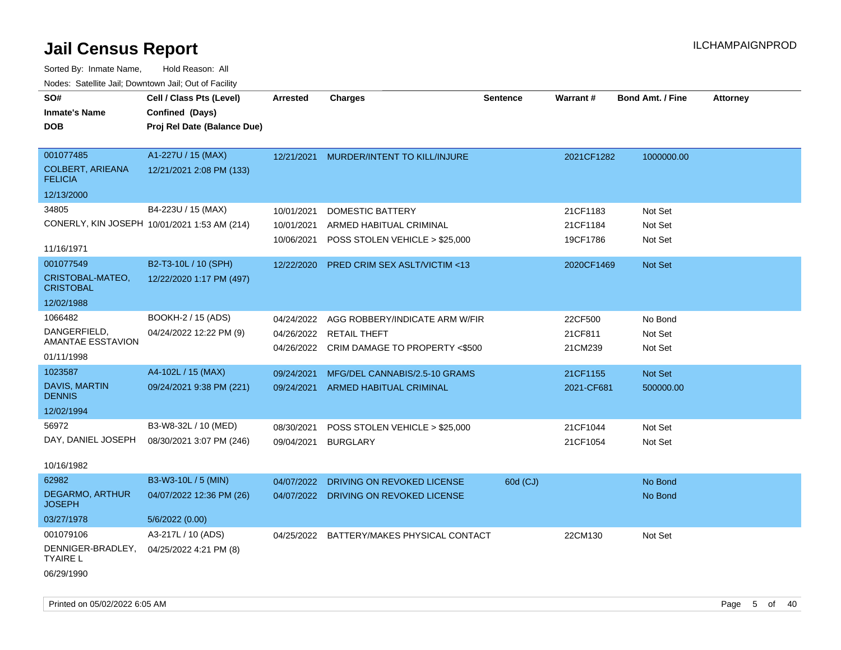| SO#<br><b>Inmate's Name</b><br><b>DOB</b>              | Cell / Class Pts (Level)<br>Confined (Days)<br>Proj Rel Date (Balance Due) | <b>Arrested</b> | <b>Charges</b>                            | <b>Sentence</b> | Warrant#   | <b>Bond Amt. / Fine</b> | <b>Attorney</b> |
|--------------------------------------------------------|----------------------------------------------------------------------------|-----------------|-------------------------------------------|-----------------|------------|-------------------------|-----------------|
| 001077485<br><b>COLBERT, ARIEANA</b><br><b>FELICIA</b> | A1-227U / 15 (MAX)<br>12/21/2021 2:08 PM (133)                             | 12/21/2021      | MURDER/INTENT TO KILL/INJURE              |                 | 2021CF1282 | 1000000.00              |                 |
| 12/13/2000                                             |                                                                            |                 |                                           |                 |            |                         |                 |
| 34805                                                  | B4-223U / 15 (MAX)                                                         | 10/01/2021      | DOMESTIC BATTERY                          |                 | 21CF1183   | Not Set                 |                 |
|                                                        | CONERLY, KIN JOSEPH 10/01/2021 1:53 AM (214)                               | 10/01/2021      | ARMED HABITUAL CRIMINAL                   |                 | 21CF1184   | Not Set                 |                 |
| 11/16/1971                                             |                                                                            | 10/06/2021      | POSS STOLEN VEHICLE > \$25,000            |                 | 19CF1786   | Not Set                 |                 |
| 001077549                                              | B2-T3-10L / 10 (SPH)                                                       | 12/22/2020      | PRED CRIM SEX ASLT/VICTIM <13             |                 | 2020CF1469 | Not Set                 |                 |
| CRISTOBAL-MATEO,<br><b>CRISTOBAL</b>                   | 12/22/2020 1:17 PM (497)                                                   |                 |                                           |                 |            |                         |                 |
| 12/02/1988                                             |                                                                            |                 |                                           |                 |            |                         |                 |
| 1066482                                                | BOOKH-2 / 15 (ADS)                                                         | 04/24/2022      | AGG ROBBERY/INDICATE ARM W/FIR            |                 | 22CF500    | No Bond                 |                 |
| DANGERFIELD,<br>AMANTAE ESSTAVION                      | 04/24/2022 12:22 PM (9)                                                    | 04/26/2022      | RETAIL THEFT                              |                 | 21CF811    | Not Set                 |                 |
| 01/11/1998                                             |                                                                            |                 | 04/26/2022 CRIM DAMAGE TO PROPERTY <\$500 |                 | 21CM239    | Not Set                 |                 |
| 1023587                                                | A4-102L / 15 (MAX)                                                         | 09/24/2021      | MFG/DEL CANNABIS/2.5-10 GRAMS             |                 | 21CF1155   | Not Set                 |                 |
| <b>DAVIS, MARTIN</b><br><b>DENNIS</b>                  | 09/24/2021 9:38 PM (221)                                                   | 09/24/2021      | <b>ARMED HABITUAL CRIMINAL</b>            |                 | 2021-CF681 | 500000.00               |                 |
| 12/02/1994                                             |                                                                            |                 |                                           |                 |            |                         |                 |
| 56972                                                  | B3-W8-32L / 10 (MED)                                                       | 08/30/2021      | POSS STOLEN VEHICLE > \$25,000            |                 | 21CF1044   | Not Set                 |                 |
| DAY, DANIEL JOSEPH                                     | 08/30/2021 3:07 PM (246)                                                   | 09/04/2021      | <b>BURGLARY</b>                           |                 | 21CF1054   | Not Set                 |                 |
| 10/16/1982                                             |                                                                            |                 |                                           |                 |            |                         |                 |
| 62982                                                  | B3-W3-10L / 5 (MIN)                                                        | 04/07/2022      | DRIVING ON REVOKED LICENSE                | 60d (CJ)        |            | No Bond                 |                 |
| <b>DEGARMO, ARTHUR</b><br><b>JOSEPH</b>                | 04/07/2022 12:36 PM (26)                                                   |                 | 04/07/2022 DRIVING ON REVOKED LICENSE     |                 |            | No Bond                 |                 |
| 03/27/1978                                             | 5/6/2022 (0.00)                                                            |                 |                                           |                 |            |                         |                 |
| 001079106                                              | A3-217L / 10 (ADS)                                                         |                 | 04/25/2022 BATTERY/MAKES PHYSICAL CONTACT |                 | 22CM130    | Not Set                 |                 |
| DENNIGER-BRADLEY,<br><b>TYAIRE L</b>                   | 04/25/2022 4:21 PM (8)                                                     |                 |                                           |                 |            |                         |                 |
| 06/29/1990                                             |                                                                            |                 |                                           |                 |            |                         |                 |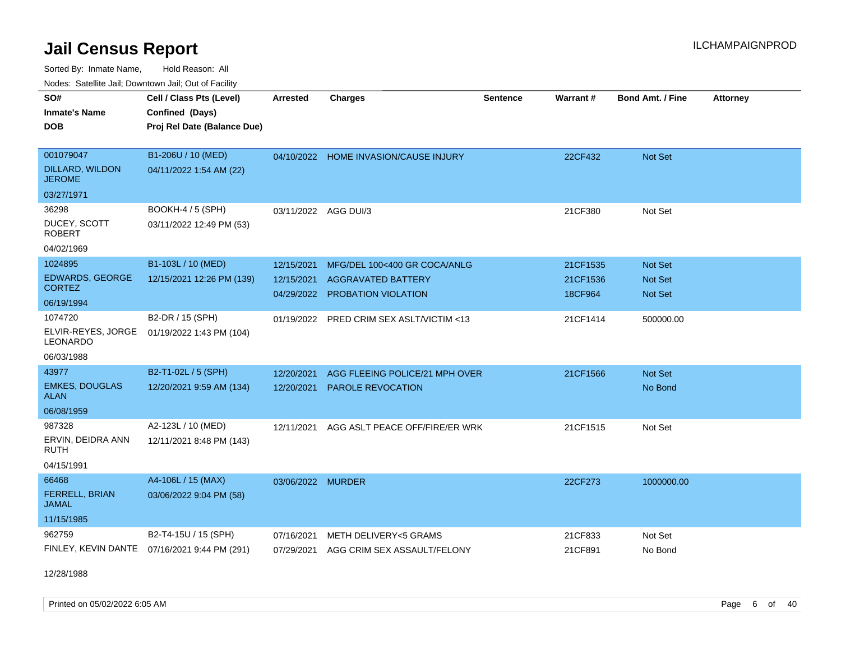Sorted By: Inmate Name, Hold Reason: All

| Nodes: Satellite Jail; Downtown Jail; Out of Facility |  |  |
|-------------------------------------------------------|--|--|
|-------------------------------------------------------|--|--|

| SO#<br><b>Inmate's Name</b><br><b>DOB</b> | Cell / Class Pts (Level)<br>Confined (Days)<br>Proj Rel Date (Balance Due) | <b>Arrested</b>   | <b>Charges</b>                        | <b>Sentence</b> | Warrant# | Bond Amt. / Fine | <b>Attorney</b> |
|-------------------------------------------|----------------------------------------------------------------------------|-------------------|---------------------------------------|-----------------|----------|------------------|-----------------|
| 001079047                                 | B1-206U / 10 (MED)                                                         |                   | 04/10/2022 HOME INVASION/CAUSE INJURY |                 | 22CF432  | Not Set          |                 |
| DILLARD, WILDON<br><b>JEROME</b>          | 04/11/2022 1:54 AM (22)                                                    |                   |                                       |                 |          |                  |                 |
| 03/27/1971                                |                                                                            |                   |                                       |                 |          |                  |                 |
| 36298                                     | BOOKH-4 / 5 (SPH)                                                          |                   | 03/11/2022 AGG DUI/3                  |                 | 21CF380  | Not Set          |                 |
| DUCEY, SCOTT<br><b>ROBERT</b>             | 03/11/2022 12:49 PM (53)                                                   |                   |                                       |                 |          |                  |                 |
| 04/02/1969                                |                                                                            |                   |                                       |                 |          |                  |                 |
| 1024895                                   | B1-103L / 10 (MED)                                                         | 12/15/2021        | MFG/DEL 100<400 GR COCA/ANLG          |                 | 21CF1535 | Not Set          |                 |
| <b>EDWARDS, GEORGE</b><br><b>CORTEZ</b>   | 12/15/2021 12:26 PM (139)                                                  | 12/15/2021        | <b>AGGRAVATED BATTERY</b>             |                 | 21CF1536 | <b>Not Set</b>   |                 |
| 06/19/1994                                |                                                                            | 04/29/2022        | PROBATION VIOLATION                   |                 | 18CF964  | <b>Not Set</b>   |                 |
| 1074720                                   | B2-DR / 15 (SPH)                                                           | 01/19/2022        | PRED CRIM SEX ASLT/VICTIM <13         |                 | 21CF1414 | 500000.00        |                 |
| ELVIR-REYES, JORGE<br><b>LEONARDO</b>     | 01/19/2022 1:43 PM (104)                                                   |                   |                                       |                 |          |                  |                 |
| 06/03/1988                                |                                                                            |                   |                                       |                 |          |                  |                 |
| 43977                                     | B2-T1-02L / 5 (SPH)                                                        | 12/20/2021        | AGG FLEEING POLICE/21 MPH OVER        |                 | 21CF1566 | Not Set          |                 |
| <b>EMKES, DOUGLAS</b><br><b>ALAN</b>      | 12/20/2021 9:59 AM (134)                                                   | 12/20/2021        | PAROLE REVOCATION                     |                 |          | No Bond          |                 |
| 06/08/1959                                |                                                                            |                   |                                       |                 |          |                  |                 |
| 987328                                    | A2-123L / 10 (MED)                                                         | 12/11/2021        | AGG ASLT PEACE OFF/FIRE/ER WRK        |                 | 21CF1515 | Not Set          |                 |
| ERVIN, DEIDRA ANN<br><b>RUTH</b>          | 12/11/2021 8:48 PM (143)                                                   |                   |                                       |                 |          |                  |                 |
| 04/15/1991                                |                                                                            |                   |                                       |                 |          |                  |                 |
| 66468                                     | A4-106L / 15 (MAX)                                                         | 03/06/2022 MURDER |                                       |                 | 22CF273  | 1000000.00       |                 |
| <b>FERRELL, BRIAN</b><br><b>JAMAL</b>     | 03/06/2022 9:04 PM (58)                                                    |                   |                                       |                 |          |                  |                 |
| 11/15/1985                                |                                                                            |                   |                                       |                 |          |                  |                 |
| 962759                                    | B2-T4-15U / 15 (SPH)                                                       | 07/16/2021        | METH DELIVERY<5 GRAMS                 |                 | 21CF833  | Not Set          |                 |
| FINLEY, KEVIN DANTE                       | 07/16/2021 9:44 PM (291)                                                   | 07/29/2021        | AGG CRIM SEX ASSAULT/FELONY           |                 | 21CF891  | No Bond          |                 |

12/28/1988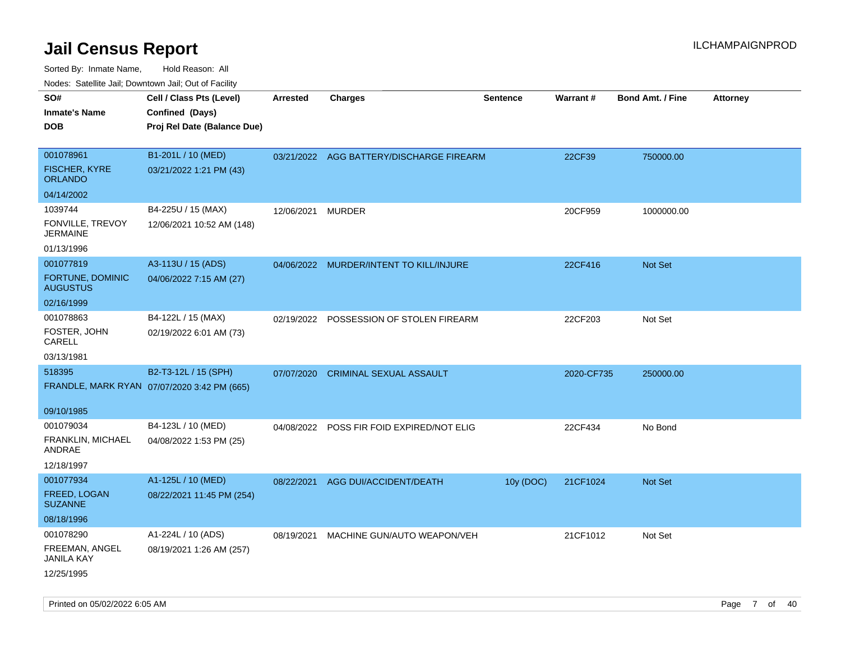| $1100000$ . Catomic ban, Bowmown ban, Oat of Fability     |                                                                            |            |                                           |                 |                 |                         |                 |
|-----------------------------------------------------------|----------------------------------------------------------------------------|------------|-------------------------------------------|-----------------|-----------------|-------------------------|-----------------|
| SO#<br><b>Inmate's Name</b><br><b>DOB</b>                 | Cell / Class Pts (Level)<br>Confined (Days)<br>Proj Rel Date (Balance Due) | Arrested   | <b>Charges</b>                            | <b>Sentence</b> | <b>Warrant#</b> | <b>Bond Amt. / Fine</b> | <b>Attorney</b> |
| 001078961<br><b>FISCHER, KYRE</b><br><b>ORLANDO</b>       | B1-201L / 10 (MED)<br>03/21/2022 1:21 PM (43)                              |            | 03/21/2022 AGG BATTERY/DISCHARGE FIREARM  |                 | 22CF39          | 750000.00               |                 |
| 04/14/2002                                                |                                                                            |            |                                           |                 |                 |                         |                 |
| 1039744<br>FONVILLE, TREVOY<br><b>JERMAINE</b>            | B4-225U / 15 (MAX)<br>12/06/2021 10:52 AM (148)                            | 12/06/2021 | <b>MURDER</b>                             |                 | 20CF959         | 1000000.00              |                 |
| 01/13/1996                                                |                                                                            |            |                                           |                 |                 |                         |                 |
| 001077819<br>FORTUNE, DOMINIC<br><b>AUGUSTUS</b>          | A3-113U / 15 (ADS)<br>04/06/2022 7:15 AM (27)                              |            | 04/06/2022 MURDER/INTENT TO KILL/INJURE   |                 | 22CF416         | Not Set                 |                 |
| 02/16/1999                                                |                                                                            |            |                                           |                 |                 |                         |                 |
| 001078863<br>FOSTER, JOHN<br>CARELL                       | B4-122L / 15 (MAX)<br>02/19/2022 6:01 AM (73)                              | 02/19/2022 | POSSESSION OF STOLEN FIREARM              |                 | 22CF203         | Not Set                 |                 |
| 03/13/1981                                                |                                                                            |            |                                           |                 |                 |                         |                 |
| 518395<br>09/10/1985                                      | B2-T3-12L / 15 (SPH)<br>FRANDLE, MARK RYAN 07/07/2020 3:42 PM (665)        | 07/07/2020 | <b>CRIMINAL SEXUAL ASSAULT</b>            |                 | 2020-CF735      | 250000.00               |                 |
| 001079034                                                 | B4-123L / 10 (MED)                                                         |            | 04/08/2022 POSS FIR FOID EXPIRED/NOT ELIG |                 | 22CF434         | No Bond                 |                 |
| FRANKLIN, MICHAEL<br>ANDRAE                               | 04/08/2022 1:53 PM (25)                                                    |            |                                           |                 |                 |                         |                 |
| 12/18/1997                                                |                                                                            |            |                                           |                 |                 |                         |                 |
| 001077934<br>FREED, LOGAN<br><b>SUZANNE</b><br>08/18/1996 | A1-125L / 10 (MED)<br>08/22/2021 11:45 PM (254)                            | 08/22/2021 | AGG DUI/ACCIDENT/DEATH                    | 10y (DOC)       | 21CF1024        | Not Set                 |                 |
| 001078290                                                 | A1-224L / 10 (ADS)                                                         | 08/19/2021 | MACHINE GUN/AUTO WEAPON/VEH               |                 | 21CF1012        | Not Set                 |                 |
| FREEMAN, ANGEL<br>JANILA KAY<br>12/25/1995                | 08/19/2021 1:26 AM (257)                                                   |            |                                           |                 |                 |                         |                 |
|                                                           |                                                                            |            |                                           |                 |                 |                         |                 |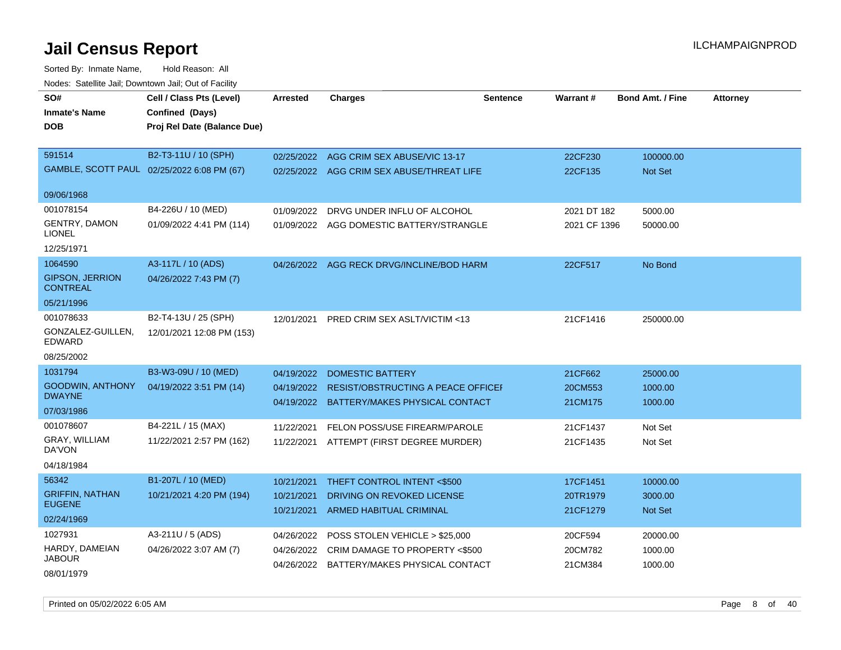| SO#                                       | Cell / Class Pts (Level)                   | <b>Arrested</b> | <b>Charges</b>                                | <b>Sentence</b> | <b>Warrant#</b> | <b>Bond Amt. / Fine</b> | <b>Attorney</b> |
|-------------------------------------------|--------------------------------------------|-----------------|-----------------------------------------------|-----------------|-----------------|-------------------------|-----------------|
| <b>Inmate's Name</b>                      | Confined (Days)                            |                 |                                               |                 |                 |                         |                 |
| <b>DOB</b>                                | Proj Rel Date (Balance Due)                |                 |                                               |                 |                 |                         |                 |
| 591514                                    | B2-T3-11U / 10 (SPH)                       | 02/25/2022      | AGG CRIM SEX ABUSE/VIC 13-17                  |                 | 22CF230         | 100000.00               |                 |
|                                           | GAMBLE, SCOTT PAUL 02/25/2022 6:08 PM (67) |                 | 02/25/2022 AGG CRIM SEX ABUSE/THREAT LIFE     |                 | 22CF135         | <b>Not Set</b>          |                 |
|                                           |                                            |                 |                                               |                 |                 |                         |                 |
| 09/06/1968                                |                                            |                 |                                               |                 |                 |                         |                 |
| 001078154                                 | B4-226U / 10 (MED)                         | 01/09/2022      | DRVG UNDER INFLU OF ALCOHOL                   |                 | 2021 DT 182     | 5000.00                 |                 |
| <b>GENTRY, DAMON</b>                      | 01/09/2022 4:41 PM (114)                   |                 | 01/09/2022 AGG DOMESTIC BATTERY/STRANGLE      |                 | 2021 CF 1396    | 50000.00                |                 |
| <b>LIONEL</b>                             |                                            |                 |                                               |                 |                 |                         |                 |
| 12/25/1971                                |                                            |                 |                                               |                 |                 |                         |                 |
| 1064590                                   | A3-117L / 10 (ADS)                         | 04/26/2022      | AGG RECK DRVG/INCLINE/BOD HARM                |                 | 22CF517         | No Bond                 |                 |
| <b>GIPSON, JERRION</b><br><b>CONTREAL</b> | 04/26/2022 7:43 PM (7)                     |                 |                                               |                 |                 |                         |                 |
| 05/21/1996                                |                                            |                 |                                               |                 |                 |                         |                 |
| 001078633                                 | B2-T4-13U / 25 (SPH)                       | 12/01/2021      | PRED CRIM SEX ASLT/VICTIM <13                 |                 | 21CF1416        | 250000.00               |                 |
| GONZALEZ-GUILLEN,<br><b>EDWARD</b>        | 12/01/2021 12:08 PM (153)                  |                 |                                               |                 |                 |                         |                 |
| 08/25/2002                                |                                            |                 |                                               |                 |                 |                         |                 |
| 1031794                                   | B3-W3-09U / 10 (MED)                       | 04/19/2022      | <b>DOMESTIC BATTERY</b>                       |                 | 21CF662         | 25000.00                |                 |
| <b>GOODWIN, ANTHONY</b>                   | 04/19/2022 3:51 PM (14)                    |                 | 04/19/2022 RESIST/OBSTRUCTING A PEACE OFFICEL |                 | 20CM553         | 1000.00                 |                 |
| <b>DWAYNE</b>                             |                                            | 04/19/2022      | BATTERY/MAKES PHYSICAL CONTACT                |                 | 21CM175         | 1000.00                 |                 |
| 07/03/1986<br>001078607                   | B4-221L / 15 (MAX)                         |                 |                                               |                 |                 |                         |                 |
| GRAY, WILLIAM                             | 11/22/2021 2:57 PM (162)                   | 11/22/2021      | FELON POSS/USE FIREARM/PAROLE                 |                 | 21CF1437        | Not Set                 |                 |
| DA'VON                                    |                                            | 11/22/2021      | ATTEMPT (FIRST DEGREE MURDER)                 |                 | 21CF1435        | Not Set                 |                 |
| 04/18/1984                                |                                            |                 |                                               |                 |                 |                         |                 |
| 56342                                     | B1-207L / 10 (MED)                         | 10/21/2021      | THEFT CONTROL INTENT <\$500                   |                 | 17CF1451        | 10000.00                |                 |
| <b>GRIFFIN, NATHAN</b>                    | 10/21/2021 4:20 PM (194)                   | 10/21/2021      | DRIVING ON REVOKED LICENSE                    |                 | 20TR1979        | 3000.00                 |                 |
| <b>EUGENE</b>                             |                                            | 10/21/2021      | ARMED HABITUAL CRIMINAL                       |                 | 21CF1279        | Not Set                 |                 |
| 02/24/1969                                |                                            |                 |                                               |                 |                 |                         |                 |
| 1027931                                   | A3-211U / 5 (ADS)                          | 04/26/2022      | POSS STOLEN VEHICLE > \$25,000                |                 | 20CF594         | 20000.00                |                 |
| HARDY, DAMEIAN<br><b>JABOUR</b>           | 04/26/2022 3:07 AM (7)                     | 04/26/2022      | CRIM DAMAGE TO PROPERTY <\$500                |                 | 20CM782         | 1000.00                 |                 |
| 08/01/1979                                |                                            |                 | 04/26/2022 BATTERY/MAKES PHYSICAL CONTACT     |                 | 21CM384         | 1000.00                 |                 |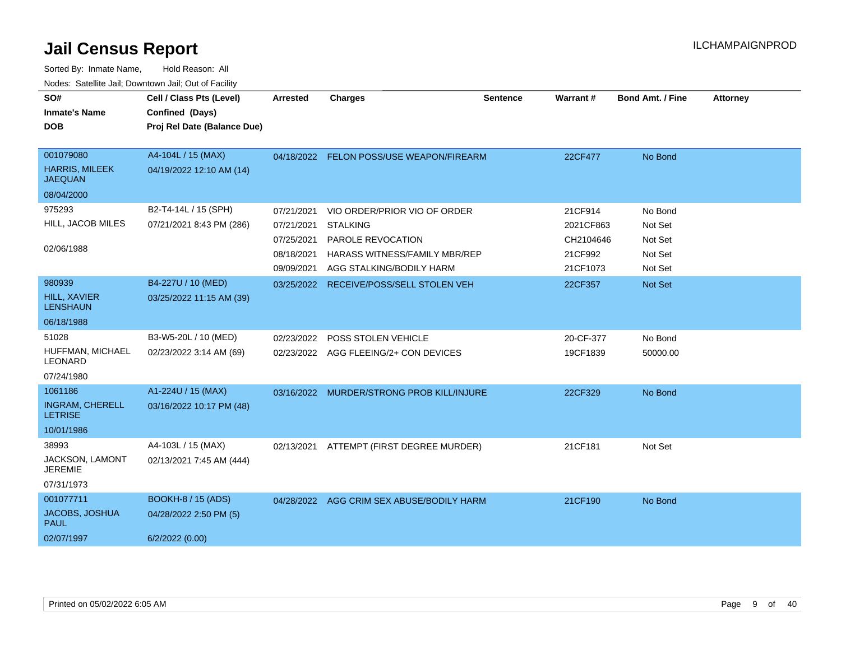| SO#<br><b>Inmate's Name</b><br><b>DOB</b>            | Cell / Class Pts (Level)<br>Confined (Days)<br>Proj Rel Date (Balance Due) | <b>Arrested</b> | <b>Charges</b>                            | <b>Sentence</b> | <b>Warrant#</b> | <b>Bond Amt. / Fine</b> | <b>Attorney</b> |
|------------------------------------------------------|----------------------------------------------------------------------------|-----------------|-------------------------------------------|-----------------|-----------------|-------------------------|-----------------|
| 001079080<br><b>HARRIS, MILEEK</b><br><b>JAEQUAN</b> | A4-104L / 15 (MAX)<br>04/19/2022 12:10 AM (14)                             |                 | 04/18/2022 FELON POSS/USE WEAPON/FIREARM  |                 | 22CF477         | No Bond                 |                 |
| 08/04/2000                                           |                                                                            |                 |                                           |                 |                 |                         |                 |
| 975293                                               | B2-T4-14L / 15 (SPH)                                                       | 07/21/2021      | VIO ORDER/PRIOR VIO OF ORDER              |                 | 21CF914         | No Bond                 |                 |
| HILL, JACOB MILES                                    | 07/21/2021 8:43 PM (286)                                                   | 07/21/2021      | <b>STALKING</b>                           |                 | 2021CF863       | Not Set                 |                 |
|                                                      |                                                                            | 07/25/2021      | PAROLE REVOCATION                         |                 | CH2104646       | Not Set                 |                 |
| 02/06/1988                                           |                                                                            | 08/18/2021      | HARASS WITNESS/FAMILY MBR/REP             |                 | 21CF992         | Not Set                 |                 |
|                                                      |                                                                            | 09/09/2021      | AGG STALKING/BODILY HARM                  |                 | 21CF1073        | Not Set                 |                 |
| 980939                                               | B4-227U / 10 (MED)                                                         | 03/25/2022      | RECEIVE/POSS/SELL STOLEN VEH              |                 | 22CF357         | Not Set                 |                 |
| <b>HILL, XAVIER</b><br><b>LENSHAUN</b>               | 03/25/2022 11:15 AM (39)                                                   |                 |                                           |                 |                 |                         |                 |
| 06/18/1988                                           |                                                                            |                 |                                           |                 |                 |                         |                 |
| 51028                                                | B3-W5-20L / 10 (MED)                                                       | 02/23/2022      | POSS STOLEN VEHICLE                       |                 | 20-CF-377       | No Bond                 |                 |
| HUFFMAN, MICHAEL<br><b>LEONARD</b>                   | 02/23/2022 3:14 AM (69)                                                    |                 | 02/23/2022 AGG FLEEING/2+ CON DEVICES     |                 | 19CF1839        | 50000.00                |                 |
| 07/24/1980                                           |                                                                            |                 |                                           |                 |                 |                         |                 |
| 1061186                                              | A1-224U / 15 (MAX)                                                         | 03/16/2022      | MURDER/STRONG PROB KILL/INJURE            |                 | 22CF329         | No Bond                 |                 |
| <b>INGRAM, CHERELL</b><br><b>LETRISE</b>             | 03/16/2022 10:17 PM (48)                                                   |                 |                                           |                 |                 |                         |                 |
| 10/01/1986                                           |                                                                            |                 |                                           |                 |                 |                         |                 |
| 38993                                                | A4-103L / 15 (MAX)                                                         | 02/13/2021      | ATTEMPT (FIRST DEGREE MURDER)             |                 | 21CF181         | Not Set                 |                 |
| JACKSON, LAMONT<br><b>JEREMIE</b>                    | 02/13/2021 7:45 AM (444)                                                   |                 |                                           |                 |                 |                         |                 |
| 07/31/1973                                           |                                                                            |                 |                                           |                 |                 |                         |                 |
| 001077711                                            | <b>BOOKH-8 / 15 (ADS)</b>                                                  |                 | 04/28/2022 AGG CRIM SEX ABUSE/BODILY HARM |                 | 21CF190         | No Bond                 |                 |
| JACOBS, JOSHUA<br><b>PAUL</b>                        | 04/28/2022 2:50 PM (5)                                                     |                 |                                           |                 |                 |                         |                 |
| 02/07/1997                                           | 6/2/2022(0.00)                                                             |                 |                                           |                 |                 |                         |                 |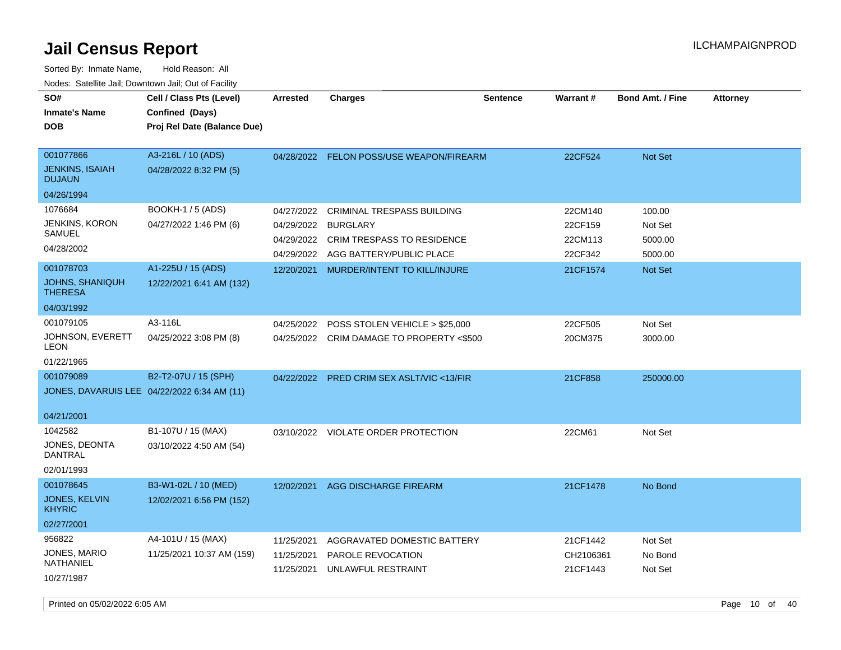| SO#<br><b>Inmate's Name</b><br><b>DOB</b>                              | Cell / Class Pts (Level)<br>Confined (Days)<br>Proj Rel Date (Balance Due) | <b>Arrested</b>                                                    | <b>Charges</b>                                                                                                                                        | <b>Sentence</b> | Warrant#                                             | <b>Bond Amt. / Fine</b>                            | <b>Attorney</b> |
|------------------------------------------------------------------------|----------------------------------------------------------------------------|--------------------------------------------------------------------|-------------------------------------------------------------------------------------------------------------------------------------------------------|-----------------|------------------------------------------------------|----------------------------------------------------|-----------------|
| 001077866<br><b>JENKINS, ISAIAH</b><br><b>DUJAUN</b><br>04/26/1994     | A3-216L / 10 (ADS)<br>04/28/2022 8:32 PM (5)                               |                                                                    | 04/28/2022 FELON POSS/USE WEAPON/FIREARM                                                                                                              |                 | 22CF524                                              | Not Set                                            |                 |
| 1076684<br><b>JENKINS, KORON</b><br>SAMUEL<br>04/28/2002<br>001078703  | <b>BOOKH-1 / 5 (ADS)</b><br>04/27/2022 1:46 PM (6)<br>A1-225U / 15 (ADS)   | 04/27/2022<br>04/29/2022<br>04/29/2022<br>04/29/2022<br>12/20/2021 | <b>CRIMINAL TRESPASS BUILDING</b><br><b>BURGLARY</b><br><b>CRIM TRESPASS TO RESIDENCE</b><br>AGG BATTERY/PUBLIC PLACE<br>MURDER/INTENT TO KILL/INJURE |                 | 22CM140<br>22CF159<br>22CM113<br>22CF342<br>21CF1574 | 100.00<br>Not Set<br>5000.00<br>5000.00<br>Not Set |                 |
| <b>JOHNS, SHANIQUH</b><br><b>THERESA</b><br>04/03/1992                 | 12/22/2021 6:41 AM (132)                                                   |                                                                    |                                                                                                                                                       |                 |                                                      |                                                    |                 |
| 001079105<br>JOHNSON, EVERETT<br>LEON<br>01/22/1965                    | A3-116L<br>04/25/2022 3:08 PM (8)                                          | 04/25/2022                                                         | POSS STOLEN VEHICLE > \$25,000<br>04/25/2022 CRIM DAMAGE TO PROPERTY <\$500                                                                           |                 | 22CF505<br>20CM375                                   | Not Set<br>3000.00                                 |                 |
| 001079089<br>JONES, DAVARUIS LEE 04/22/2022 6:34 AM (11)<br>04/21/2001 | B2-T2-07U / 15 (SPH)                                                       | 04/22/2022                                                         | PRED CRIM SEX ASLT/VIC <13/FIR                                                                                                                        |                 | 21CF858                                              | 250000.00                                          |                 |
| 1042582<br>JONES, DEONTA<br>DANTRAL<br>02/01/1993                      | B1-107U / 15 (MAX)<br>03/10/2022 4:50 AM (54)                              | 03/10/2022                                                         | VIOLATE ORDER PROTECTION                                                                                                                              |                 | 22CM61                                               | Not Set                                            |                 |
| 001078645<br>JONES, KELVIN<br><b>KHYRIC</b><br>02/27/2001              | B3-W1-02L / 10 (MED)<br>12/02/2021 6:56 PM (152)                           | 12/02/2021                                                         | <b>AGG DISCHARGE FIREARM</b>                                                                                                                          |                 | 21CF1478                                             | No Bond                                            |                 |
| 956822<br>JONES, MARIO<br>NATHANIEL<br>10/27/1987                      | A4-101U / 15 (MAX)<br>11/25/2021 10:37 AM (159)                            | 11/25/2021<br>11/25/2021<br>11/25/2021                             | AGGRAVATED DOMESTIC BATTERY<br>PAROLE REVOCATION<br>UNLAWFUL RESTRAINT                                                                                |                 | 21CF1442<br>CH2106361<br>21CF1443                    | Not Set<br>No Bond<br>Not Set                      |                 |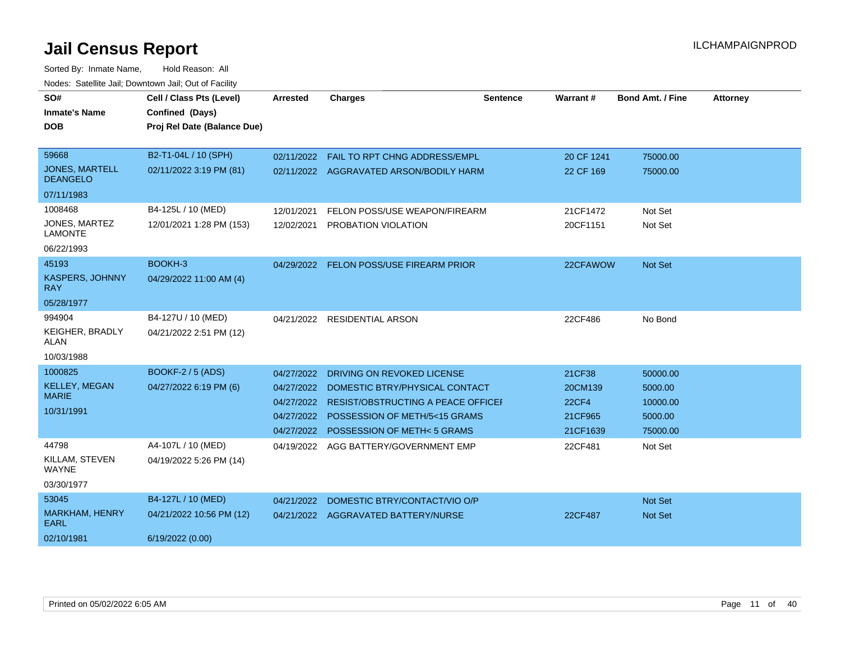| SO#                                      | Cell / Class Pts (Level)    | <b>Arrested</b> | <b>Charges</b>                            | Sentence | Warrant#     | <b>Bond Amt. / Fine</b> | <b>Attorney</b> |
|------------------------------------------|-----------------------------|-----------------|-------------------------------------------|----------|--------------|-------------------------|-----------------|
| <b>Inmate's Name</b>                     | Confined (Days)             |                 |                                           |          |              |                         |                 |
| <b>DOB</b>                               | Proj Rel Date (Balance Due) |                 |                                           |          |              |                         |                 |
|                                          |                             |                 |                                           |          |              |                         |                 |
| 59668                                    | B2-T1-04L / 10 (SPH)        |                 | 02/11/2022 FAIL TO RPT CHNG ADDRESS/EMPL  |          | 20 CF 1241   | 75000.00                |                 |
| <b>JONES, MARTELL</b><br><b>DEANGELO</b> | 02/11/2022 3:19 PM (81)     |                 | 02/11/2022 AGGRAVATED ARSON/BODILY HARM   |          | 22 CF 169    | 75000.00                |                 |
| 07/11/1983                               |                             |                 |                                           |          |              |                         |                 |
| 1008468                                  | B4-125L / 10 (MED)          | 12/01/2021      | FELON POSS/USE WEAPON/FIREARM             |          | 21CF1472     | Not Set                 |                 |
| JONES, MARTEZ<br><b>LAMONTE</b>          | 12/01/2021 1:28 PM (153)    | 12/02/2021      | PROBATION VIOLATION                       |          | 20CF1151     | Not Set                 |                 |
| 06/22/1993                               |                             |                 |                                           |          |              |                         |                 |
| 45193                                    | BOOKH-3                     |                 | 04/29/2022 FELON POSS/USE FIREARM PRIOR   |          | 22CFAWOW     | Not Set                 |                 |
| KASPERS, JOHNNY<br><b>RAY</b>            | 04/29/2022 11:00 AM (4)     |                 |                                           |          |              |                         |                 |
| 05/28/1977                               |                             |                 |                                           |          |              |                         |                 |
| 994904                                   | B4-127U / 10 (MED)          |                 | 04/21/2022 RESIDENTIAL ARSON              |          | 22CF486      | No Bond                 |                 |
| <b>KEIGHER, BRADLY</b><br><b>ALAN</b>    | 04/21/2022 2:51 PM (12)     |                 |                                           |          |              |                         |                 |
| 10/03/1988                               |                             |                 |                                           |          |              |                         |                 |
| 1000825                                  | <b>BOOKF-2 / 5 (ADS)</b>    | 04/27/2022      | DRIVING ON REVOKED LICENSE                |          | 21CF38       | 50000.00                |                 |
| <b>KELLEY, MEGAN</b>                     | 04/27/2022 6:19 PM (6)      | 04/27/2022      | DOMESTIC BTRY/PHYSICAL CONTACT            |          | 20CM139      | 5000.00                 |                 |
| <b>MARIE</b>                             |                             | 04/27/2022      | <b>RESIST/OBSTRUCTING A PEACE OFFICEF</b> |          | <b>22CF4</b> | 10000.00                |                 |
| 10/31/1991                               |                             | 04/27/2022      | POSSESSION OF METH/5<15 GRAMS             |          | 21CF965      | 5000.00                 |                 |
|                                          |                             | 04/27/2022      | <b>POSSESSION OF METH&lt;5 GRAMS</b>      |          | 21CF1639     | 75000.00                |                 |
| 44798                                    | A4-107L / 10 (MED)          | 04/19/2022      | AGG BATTERY/GOVERNMENT EMP                |          | 22CF481      | Not Set                 |                 |
| KILLAM, STEVEN<br><b>WAYNE</b>           | 04/19/2022 5:26 PM (14)     |                 |                                           |          |              |                         |                 |
| 03/30/1977                               |                             |                 |                                           |          |              |                         |                 |
| 53045                                    | B4-127L / 10 (MED)          | 04/21/2022      | DOMESTIC BTRY/CONTACT/VIO O/P             |          |              | Not Set                 |                 |
| MARKHAM, HENRY<br><b>EARL</b>            | 04/21/2022 10:56 PM (12)    |                 | 04/21/2022 AGGRAVATED BATTERY/NURSE       |          | 22CF487      | Not Set                 |                 |
| 02/10/1981                               | 6/19/2022 (0.00)            |                 |                                           |          |              |                         |                 |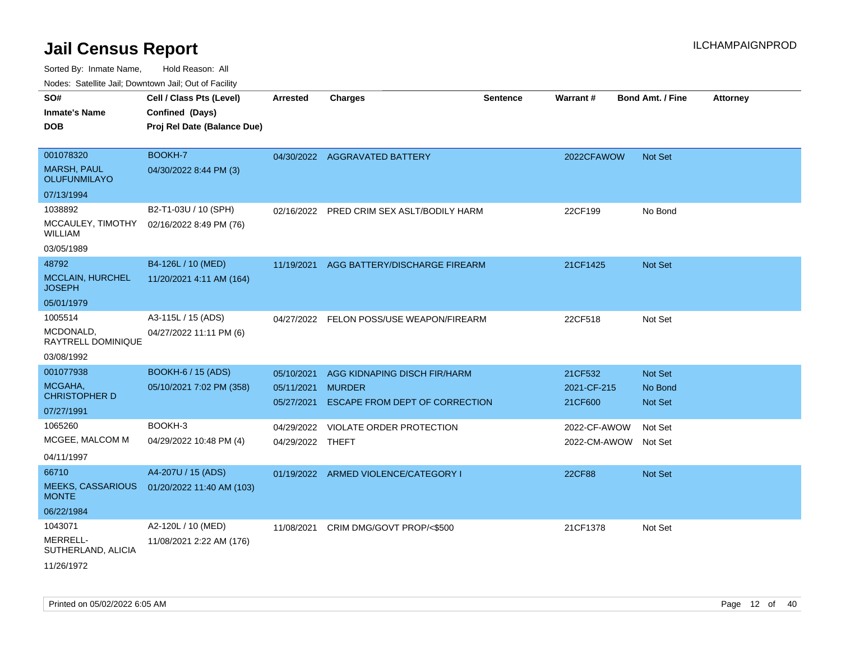| Noues. Salemie Jan, Downlown Jan, Out of Facility |                             |                  |                                           |                 |                      |                         |                 |
|---------------------------------------------------|-----------------------------|------------------|-------------------------------------------|-----------------|----------------------|-------------------------|-----------------|
| SO#                                               | Cell / Class Pts (Level)    | <b>Arrested</b>  | <b>Charges</b>                            | <b>Sentence</b> | Warrant#             | <b>Bond Amt. / Fine</b> | <b>Attorney</b> |
| <b>Inmate's Name</b>                              | Confined (Days)             |                  |                                           |                 |                      |                         |                 |
| <b>DOB</b>                                        | Proj Rel Date (Balance Due) |                  |                                           |                 |                      |                         |                 |
|                                                   |                             |                  |                                           |                 |                      |                         |                 |
| 001078320                                         | BOOKH-7                     |                  | 04/30/2022 AGGRAVATED BATTERY             |                 | 2022CFAWOW           | <b>Not Set</b>          |                 |
| <b>MARSH, PAUL</b><br><b>OLUFUNMILAYO</b>         | 04/30/2022 8:44 PM (3)      |                  |                                           |                 |                      |                         |                 |
| 07/13/1994                                        |                             |                  |                                           |                 |                      |                         |                 |
| 1038892                                           | B2-T1-03U / 10 (SPH)        |                  | 02/16/2022 PRED CRIM SEX ASLT/BODILY HARM |                 | 22CF199              | No Bond                 |                 |
| MCCAULEY, TIMOTHY<br>WILLIAM                      | 02/16/2022 8:49 PM (76)     |                  |                                           |                 |                      |                         |                 |
| 03/05/1989                                        |                             |                  |                                           |                 |                      |                         |                 |
| 48792                                             | B4-126L / 10 (MED)          | 11/19/2021       | AGG BATTERY/DISCHARGE FIREARM             |                 | 21CF1425             | Not Set                 |                 |
| <b>MCCLAIN, HURCHEL</b><br><b>JOSEPH</b>          | 11/20/2021 4:11 AM (164)    |                  |                                           |                 |                      |                         |                 |
| 05/01/1979                                        |                             |                  |                                           |                 |                      |                         |                 |
| 1005514                                           | A3-115L / 15 (ADS)          | 04/27/2022       | FELON POSS/USE WEAPON/FIREARM             |                 | 22CF518              | Not Set                 |                 |
| MCDONALD,<br>RAYTRELL DOMINIQUE                   | 04/27/2022 11:11 PM (6)     |                  |                                           |                 |                      |                         |                 |
| 03/08/1992                                        |                             |                  |                                           |                 |                      |                         |                 |
| 001077938                                         | <b>BOOKH-6 / 15 (ADS)</b>   | 05/10/2021       | AGG KIDNAPING DISCH FIR/HARM              |                 | 21CF532              | Not Set                 |                 |
| MCGAHA,<br><b>CHRISTOPHER D</b>                   | 05/10/2021 7:02 PM (358)    | 05/11/2021       | <b>MURDER</b>                             |                 | 2021-CF-215          | No Bond                 |                 |
| 07/27/1991                                        |                             | 05/27/2021       | ESCAPE FROM DEPT OF CORRECTION            |                 | 21CF600              | Not Set                 |                 |
| 1065260                                           | BOOKH-3                     | 04/29/2022       | <b>VIOLATE ORDER PROTECTION</b>           |                 | 2022-CF-AWOW         | Not Set                 |                 |
| MCGEE, MALCOM M                                   | 04/29/2022 10:48 PM (4)     | 04/29/2022 THEFT |                                           |                 | 2022-CM-AWOW Not Set |                         |                 |
| 04/11/1997                                        |                             |                  |                                           |                 |                      |                         |                 |
| 66710                                             | A4-207U / 15 (ADS)          |                  | 01/19/2022 ARMED VIOLENCE/CATEGORY I      |                 | <b>22CF88</b>        | <b>Not Set</b>          |                 |
| <b>MEEKS, CASSARIOUS</b><br><b>MONTE</b>          | 01/20/2022 11:40 AM (103)   |                  |                                           |                 |                      |                         |                 |
| 06/22/1984                                        |                             |                  |                                           |                 |                      |                         |                 |
| 1043071                                           | A2-120L / 10 (MED)          | 11/08/2021       | CRIM DMG/GOVT PROP/<\$500                 |                 | 21CF1378             | Not Set                 |                 |
| MERRELL-<br>SUTHERLAND, ALICIA                    | 11/08/2021 2:22 AM (176)    |                  |                                           |                 |                      |                         |                 |
| 11/26/1972                                        |                             |                  |                                           |                 |                      |                         |                 |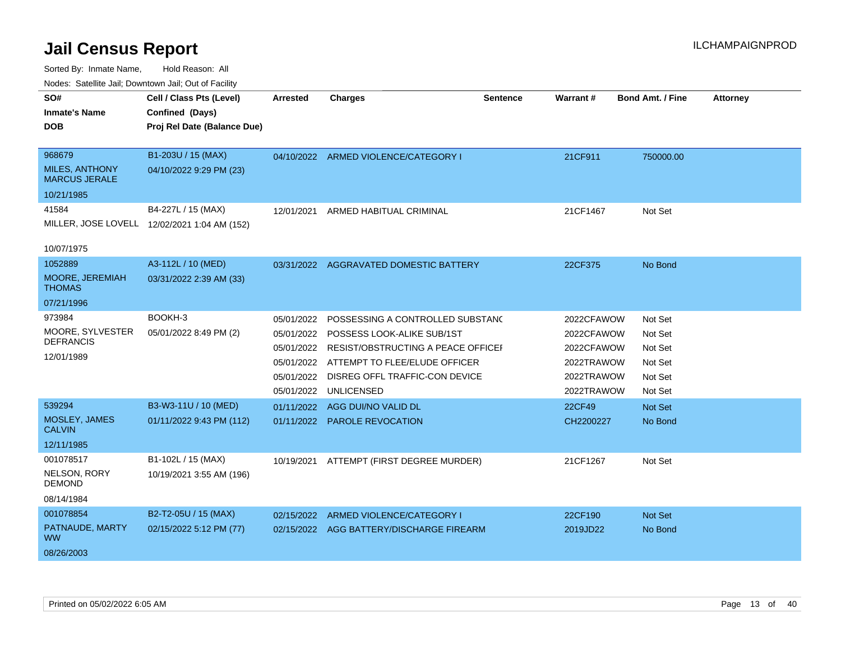| roaco. Catolino cali, Downtown cali, Out of Facility |                                              |                 |                                          |                 |                 |                         |                 |
|------------------------------------------------------|----------------------------------------------|-----------------|------------------------------------------|-----------------|-----------------|-------------------------|-----------------|
| SO#                                                  | Cell / Class Pts (Level)                     | <b>Arrested</b> | <b>Charges</b>                           | <b>Sentence</b> | <b>Warrant#</b> | <b>Bond Amt. / Fine</b> | <b>Attorney</b> |
| Inmate's Name                                        | Confined (Days)                              |                 |                                          |                 |                 |                         |                 |
| DOB                                                  | Proj Rel Date (Balance Due)                  |                 |                                          |                 |                 |                         |                 |
|                                                      |                                              |                 |                                          |                 |                 |                         |                 |
| 968679                                               | B1-203U / 15 (MAX)                           |                 | 04/10/2022 ARMED VIOLENCE/CATEGORY I     |                 | 21CF911         | 750000.00               |                 |
| <b>MILES, ANTHONY</b><br><b>MARCUS JERALE</b>        | 04/10/2022 9:29 PM (23)                      |                 |                                          |                 |                 |                         |                 |
| 10/21/1985                                           |                                              |                 |                                          |                 |                 |                         |                 |
| 41584                                                | B4-227L / 15 (MAX)                           |                 | 12/01/2021 ARMED HABITUAL CRIMINAL       |                 | 21CF1467        | Not Set                 |                 |
|                                                      | MILLER, JOSE LOVELL 12/02/2021 1:04 AM (152) |                 |                                          |                 |                 |                         |                 |
|                                                      |                                              |                 |                                          |                 |                 |                         |                 |
| 10/07/1975                                           |                                              |                 |                                          |                 |                 |                         |                 |
| 1052889                                              | A3-112L / 10 (MED)                           |                 | 03/31/2022 AGGRAVATED DOMESTIC BATTERY   |                 | 22CF375         | No Bond                 |                 |
| MOORE, JEREMIAH<br><b>THOMAS</b>                     | 03/31/2022 2:39 AM (33)                      |                 |                                          |                 |                 |                         |                 |
| 07/21/1996                                           |                                              |                 |                                          |                 |                 |                         |                 |
| 973984                                               | BOOKH-3                                      | 05/01/2022      | POSSESSING A CONTROLLED SUBSTAND         |                 | 2022CFAWOW      | Not Set                 |                 |
| MOORE, SYLVESTER                                     | 05/01/2022 8:49 PM (2)                       | 05/01/2022      | POSSESS LOOK-ALIKE SUB/1ST               |                 | 2022CFAWOW      | Not Set                 |                 |
| <b>DEFRANCIS</b>                                     |                                              | 05/01/2022      | RESIST/OBSTRUCTING A PEACE OFFICEI       |                 | 2022CFAWOW      | Not Set                 |                 |
| 12/01/1989                                           |                                              | 05/01/2022      | ATTEMPT TO FLEE/ELUDE OFFICER            |                 | 2022TRAWOW      | Not Set                 |                 |
|                                                      |                                              | 05/01/2022      | DISREG OFFL TRAFFIC-CON DEVICE           |                 | 2022TRAWOW      | Not Set                 |                 |
|                                                      |                                              | 05/01/2022      | UNLICENSED                               |                 | 2022TRAWOW      | Not Set                 |                 |
| 539294                                               | B3-W3-11U / 10 (MED)                         | 01/11/2022      | AGG DUI/NO VALID DL                      |                 | 22CF49          | <b>Not Set</b>          |                 |
| MOSLEY, JAMES                                        | 01/11/2022 9:43 PM (112)                     |                 | 01/11/2022 PAROLE REVOCATION             |                 | CH2200227       | No Bond                 |                 |
| <b>CALVIN</b>                                        |                                              |                 |                                          |                 |                 |                         |                 |
| 12/11/1985                                           |                                              |                 |                                          |                 |                 |                         |                 |
| 001078517                                            | B1-102L / 15 (MAX)                           |                 | 10/19/2021 ATTEMPT (FIRST DEGREE MURDER) |                 | 21CF1267        | Not Set                 |                 |
| NELSON, RORY<br><b>DEMOND</b>                        | 10/19/2021 3:55 AM (196)                     |                 |                                          |                 |                 |                         |                 |
| 08/14/1984                                           |                                              |                 |                                          |                 |                 |                         |                 |
| 001078854                                            | B2-T2-05U / 15 (MAX)                         | 02/15/2022      | ARMED VIOLENCE/CATEGORY I                |                 | 22CF190         | Not Set                 |                 |
| PATNAUDE, MARTY<br><b>WW</b>                         | 02/15/2022 5:12 PM (77)                      |                 | 02/15/2022 AGG BATTERY/DISCHARGE FIREARM |                 | 2019JD22        | No Bond                 |                 |
| 08/26/2003                                           |                                              |                 |                                          |                 |                 |                         |                 |
|                                                      |                                              |                 |                                          |                 |                 |                         |                 |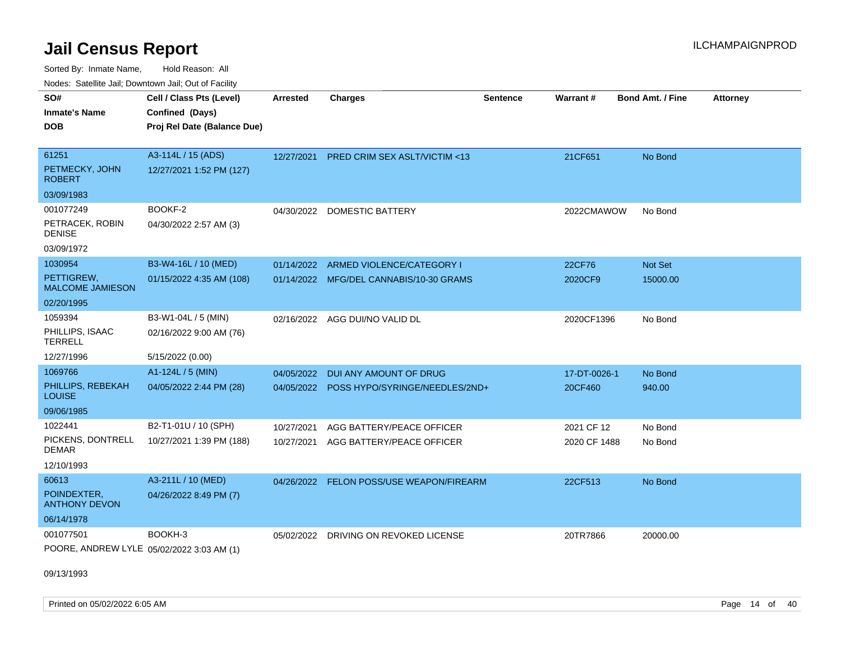Sorted By: Inmate Name, Hold Reason: All Nodes: Satellite Jail; Downtown Jail; Out of Facility

| <u>Houcs.</u> Oatchite Jail, Downtown Jail, Out of Facility |                             |                 |                                          |                 |              |                         |                 |
|-------------------------------------------------------------|-----------------------------|-----------------|------------------------------------------|-----------------|--------------|-------------------------|-----------------|
| SO#                                                         | Cell / Class Pts (Level)    | <b>Arrested</b> | <b>Charges</b>                           | <b>Sentence</b> | Warrant#     | <b>Bond Amt. / Fine</b> | <b>Attorney</b> |
| <b>Inmate's Name</b>                                        | Confined (Days)             |                 |                                          |                 |              |                         |                 |
| <b>DOB</b>                                                  | Proj Rel Date (Balance Due) |                 |                                          |                 |              |                         |                 |
|                                                             |                             |                 |                                          |                 |              |                         |                 |
| 61251                                                       | A3-114L / 15 (ADS)          |                 | 12/27/2021 PRED CRIM SEX ASLT/VICTIM <13 |                 | 21CF651      | No Bond                 |                 |
| PETMECKY, JOHN<br><b>ROBERT</b>                             | 12/27/2021 1:52 PM (127)    |                 |                                          |                 |              |                         |                 |
| 03/09/1983                                                  |                             |                 |                                          |                 |              |                         |                 |
| 001077249                                                   | BOOKF-2                     | 04/30/2022      | <b>DOMESTIC BATTERY</b>                  |                 | 2022CMAWOW   | No Bond                 |                 |
| PETRACEK, ROBIN<br><b>DENISE</b>                            | 04/30/2022 2:57 AM (3)      |                 |                                          |                 |              |                         |                 |
| 03/09/1972                                                  |                             |                 |                                          |                 |              |                         |                 |
| 1030954                                                     | B3-W4-16L / 10 (MED)        | 01/14/2022      | ARMED VIOLENCE/CATEGORY I                |                 | 22CF76       | <b>Not Set</b>          |                 |
| PETTIGREW,<br><b>MALCOME JAMIESON</b>                       | 01/15/2022 4:35 AM (108)    |                 | 01/14/2022 MFG/DEL CANNABIS/10-30 GRAMS  |                 | 2020CF9      | 15000.00                |                 |
| 02/20/1995                                                  |                             |                 |                                          |                 |              |                         |                 |
| 1059394                                                     | B3-W1-04L / 5 (MIN)         | 02/16/2022      | AGG DUI/NO VALID DL                      |                 | 2020CF1396   | No Bond                 |                 |
| PHILLIPS, ISAAC<br><b>TERRELL</b>                           | 02/16/2022 9:00 AM (76)     |                 |                                          |                 |              |                         |                 |
| 12/27/1996                                                  | 5/15/2022 (0.00)            |                 |                                          |                 |              |                         |                 |
| 1069766                                                     | A1-124L / 5 (MIN)           | 04/05/2022      | DUI ANY AMOUNT OF DRUG                   |                 | 17-DT-0026-1 | No Bond                 |                 |
| PHILLIPS, REBEKAH<br><b>LOUISE</b>                          | 04/05/2022 2:44 PM (28)     | 04/05/2022      | POSS HYPO/SYRINGE/NEEDLES/2ND+           |                 | 20CF460      | 940.00                  |                 |
| 09/06/1985                                                  |                             |                 |                                          |                 |              |                         |                 |
| 1022441                                                     | B2-T1-01U / 10 (SPH)        | 10/27/2021      | AGG BATTERY/PEACE OFFICER                |                 | 2021 CF 12   | No Bond                 |                 |
| PICKENS, DONTRELL<br>DEMAR                                  | 10/27/2021 1:39 PM (188)    | 10/27/2021      | AGG BATTERY/PEACE OFFICER                |                 | 2020 CF 1488 | No Bond                 |                 |
| 12/10/1993                                                  |                             |                 |                                          |                 |              |                         |                 |
| 60613                                                       | A3-211L / 10 (MED)          | 04/26/2022      | FELON POSS/USE WEAPON/FIREARM            |                 | 22CF513      | No Bond                 |                 |
| POINDEXTER.<br><b>ANTHONY DEVON</b>                         | 04/26/2022 8:49 PM (7)      |                 |                                          |                 |              |                         |                 |
| 06/14/1978                                                  |                             |                 |                                          |                 |              |                         |                 |
| 001077501                                                   | BOOKH-3                     | 05/02/2022      | DRIVING ON REVOKED LICENSE               |                 | 20TR7866     | 20000.00                |                 |
| POORE, ANDREW LYLE 05/02/2022 3:03 AM (1)                   |                             |                 |                                          |                 |              |                         |                 |

09/13/1993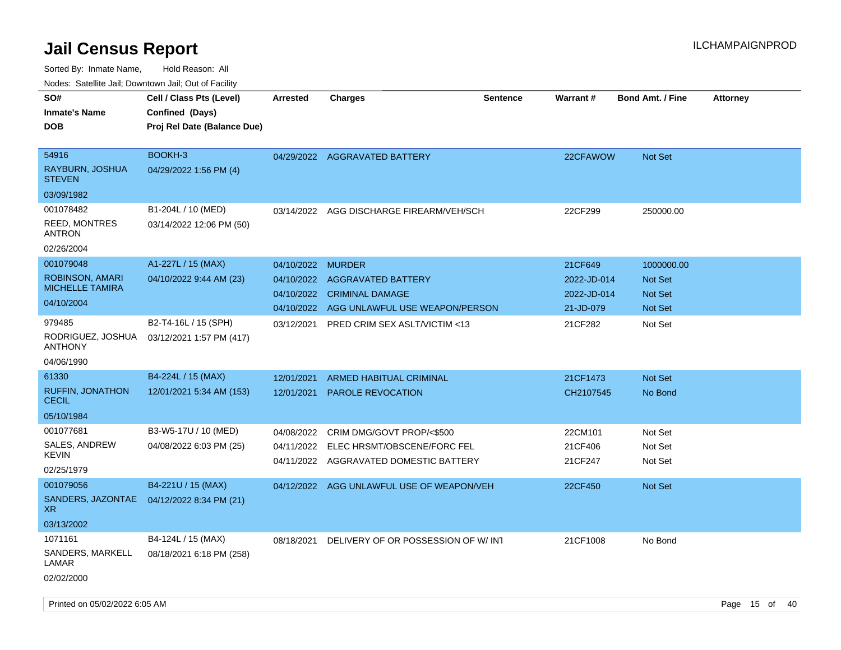| ivouss. Satellite Jali, Downtown Jali, Out of Facility |                                           |                 |                                           |                 |             |                         |                 |
|--------------------------------------------------------|-------------------------------------------|-----------------|-------------------------------------------|-----------------|-------------|-------------------------|-----------------|
| SO#                                                    | Cell / Class Pts (Level)                  | <b>Arrested</b> | <b>Charges</b>                            | <b>Sentence</b> | Warrant#    | <b>Bond Amt. / Fine</b> | <b>Attorney</b> |
| Inmate's Name                                          | Confined (Days)                           |                 |                                           |                 |             |                         |                 |
| DOB                                                    | Proj Rel Date (Balance Due)               |                 |                                           |                 |             |                         |                 |
|                                                        |                                           |                 |                                           |                 |             |                         |                 |
| 54916                                                  | BOOKH-3                                   |                 | 04/29/2022 AGGRAVATED BATTERY             |                 | 22CFAWOW    | <b>Not Set</b>          |                 |
| RAYBURN, JOSHUA<br>STEVEN                              | 04/29/2022 1:56 PM (4)                    |                 |                                           |                 |             |                         |                 |
| 03/09/1982                                             |                                           |                 |                                           |                 |             |                         |                 |
| 001078482                                              | B1-204L / 10 (MED)                        | 03/14/2022      | AGG DISCHARGE FIREARM/VEH/SCH             |                 | 22CF299     | 250000.00               |                 |
| <b>REED, MONTRES</b><br>ANTRON                         | 03/14/2022 12:06 PM (50)                  |                 |                                           |                 |             |                         |                 |
| 02/26/2004                                             |                                           |                 |                                           |                 |             |                         |                 |
| 001079048                                              | A1-227L / 15 (MAX)                        | 04/10/2022      | <b>MURDER</b>                             |                 | 21CF649     | 1000000.00              |                 |
| <b>ROBINSON, AMARI</b>                                 | 04/10/2022 9:44 AM (23)                   | 04/10/2022      | AGGRAVATED BATTERY                        |                 | 2022-JD-014 | <b>Not Set</b>          |                 |
| <b>MICHELLE TAMIRA</b>                                 |                                           | 04/10/2022      | <b>CRIMINAL DAMAGE</b>                    |                 | 2022-JD-014 | <b>Not Set</b>          |                 |
| 04/10/2004                                             |                                           |                 | 04/10/2022 AGG UNLAWFUL USE WEAPON/PERSON |                 | 21-JD-079   | <b>Not Set</b>          |                 |
| 979485                                                 | B2-T4-16L / 15 (SPH)                      | 03/12/2021      | <b>PRED CRIM SEX ASLT/VICTIM &lt;13</b>   |                 | 21CF282     | Not Set                 |                 |
| RODRIGUEZ, JOSHUA<br><b>ANTHONY</b>                    | 03/12/2021 1:57 PM (417)                  |                 |                                           |                 |             |                         |                 |
| 04/06/1990                                             |                                           |                 |                                           |                 |             |                         |                 |
| 61330                                                  | B4-224L / 15 (MAX)                        | 12/01/2021      | <b>ARMED HABITUAL CRIMINAL</b>            |                 | 21CF1473    | <b>Not Set</b>          |                 |
| <b>RUFFIN, JONATHON</b><br><b>CECIL</b>                | 12/01/2021 5:34 AM (153)                  | 12/01/2021      | PAROLE REVOCATION                         |                 | CH2107545   | No Bond                 |                 |
| 05/10/1984                                             |                                           |                 |                                           |                 |             |                         |                 |
| 001077681                                              | B3-W5-17U / 10 (MED)                      | 04/08/2022      | CRIM DMG/GOVT PROP/<\$500                 |                 | 22CM101     | Not Set                 |                 |
| SALES, ANDREW                                          | 04/08/2022 6:03 PM (25)                   | 04/11/2022      | ELEC HRSMT/OBSCENE/FORC FEL               |                 | 21CF406     | Not Set                 |                 |
| KEVIN                                                  |                                           |                 | 04/11/2022 AGGRAVATED DOMESTIC BATTERY    |                 | 21CF247     | Not Set                 |                 |
| 02/25/1979                                             |                                           |                 |                                           |                 |             |                         |                 |
| 001079056                                              | B4-221U / 15 (MAX)                        |                 | 04/12/2022 AGG UNLAWFUL USE OF WEAPON/VEH |                 | 22CF450     | <b>Not Set</b>          |                 |
| XR.                                                    | SANDERS, JAZONTAE 04/12/2022 8:34 PM (21) |                 |                                           |                 |             |                         |                 |
| 03/13/2002                                             |                                           |                 |                                           |                 |             |                         |                 |
| 1071161                                                | B4-124L / 15 (MAX)                        | 08/18/2021      | DELIVERY OF OR POSSESSION OF W/INT        |                 | 21CF1008    | No Bond                 |                 |
| SANDERS, MARKELL<br>LAMAR                              | 08/18/2021 6:18 PM (258)                  |                 |                                           |                 |             |                         |                 |
| 02/02/2000                                             |                                           |                 |                                           |                 |             |                         |                 |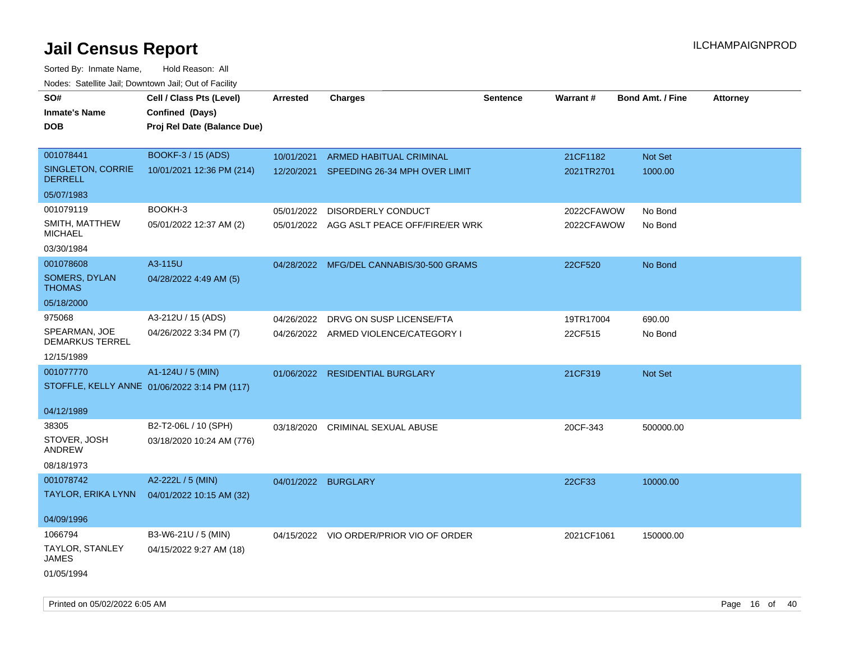| SO#<br><b>Inmate's Name</b><br><b>DOB</b> | Cell / Class Pts (Level)<br>Confined (Days)<br>Proj Rel Date (Balance Due) | <b>Arrested</b>     | <b>Charges</b>                            | <b>Sentence</b> | Warrant#   | <b>Bond Amt. / Fine</b> | <b>Attorney</b> |
|-------------------------------------------|----------------------------------------------------------------------------|---------------------|-------------------------------------------|-----------------|------------|-------------------------|-----------------|
| 001078441                                 | <b>BOOKF-3 / 15 (ADS)</b>                                                  | 10/01/2021          | ARMED HABITUAL CRIMINAL                   |                 | 21CF1182   | <b>Not Set</b>          |                 |
| SINGLETON, CORRIE<br><b>DERRELL</b>       | 10/01/2021 12:36 PM (214)                                                  | 12/20/2021          | SPEEDING 26-34 MPH OVER LIMIT             |                 | 2021TR2701 | 1000.00                 |                 |
| 05/07/1983                                |                                                                            |                     |                                           |                 |            |                         |                 |
| 001079119                                 | BOOKH-3                                                                    | 05/01/2022          | DISORDERLY CONDUCT                        |                 | 2022CFAWOW | No Bond                 |                 |
| SMITH, MATTHEW<br><b>MICHAEL</b>          | 05/01/2022 12:37 AM (2)                                                    |                     | 05/01/2022 AGG ASLT PEACE OFF/FIRE/ER WRK |                 | 2022CFAWOW | No Bond                 |                 |
| 03/30/1984                                |                                                                            |                     |                                           |                 |            |                         |                 |
| 001078608                                 | A3-115U                                                                    |                     | 04/28/2022 MFG/DEL CANNABIS/30-500 GRAMS  |                 | 22CF520    | No Bond                 |                 |
| SOMERS, DYLAN<br><b>THOMAS</b>            | 04/28/2022 4:49 AM (5)                                                     |                     |                                           |                 |            |                         |                 |
| 05/18/2000                                |                                                                            |                     |                                           |                 |            |                         |                 |
| 975068                                    | A3-212U / 15 (ADS)                                                         | 04/26/2022          | DRVG ON SUSP LICENSE/FTA                  |                 | 19TR17004  | 690.00                  |                 |
| SPEARMAN, JOE<br><b>DEMARKUS TERREL</b>   | 04/26/2022 3:34 PM (7)                                                     |                     | 04/26/2022 ARMED VIOLENCE/CATEGORY I      |                 | 22CF515    | No Bond                 |                 |
| 12/15/1989                                |                                                                            |                     |                                           |                 |            |                         |                 |
| 001077770                                 | A1-124U / 5 (MIN)                                                          |                     | 01/06/2022 RESIDENTIAL BURGLARY           |                 | 21CF319    | Not Set                 |                 |
|                                           | STOFFLE, KELLY ANNE 01/06/2022 3:14 PM (117)                               |                     |                                           |                 |            |                         |                 |
| 04/12/1989                                |                                                                            |                     |                                           |                 |            |                         |                 |
| 38305                                     | B2-T2-06L / 10 (SPH)                                                       | 03/18/2020          | <b>CRIMINAL SEXUAL ABUSE</b>              |                 | 20CF-343   | 500000.00               |                 |
| STOVER, JOSH<br><b>ANDREW</b>             | 03/18/2020 10:24 AM (776)                                                  |                     |                                           |                 |            |                         |                 |
| 08/18/1973                                |                                                                            |                     |                                           |                 |            |                         |                 |
| 001078742                                 | A2-222L / 5 (MIN)                                                          | 04/01/2022 BURGLARY |                                           |                 | 22CF33     | 10000.00                |                 |
| <b>TAYLOR, ERIKA LYNN</b>                 | 04/01/2022 10:15 AM (32)                                                   |                     |                                           |                 |            |                         |                 |
| 04/09/1996                                |                                                                            |                     |                                           |                 |            |                         |                 |
| 1066794                                   | B3-W6-21U / 5 (MIN)                                                        |                     | 04/15/2022 VIO ORDER/PRIOR VIO OF ORDER   |                 | 2021CF1061 | 150000.00               |                 |
| TAYLOR, STANLEY<br>JAMES                  | 04/15/2022 9:27 AM (18)                                                    |                     |                                           |                 |            |                         |                 |
| 01/05/1994                                |                                                                            |                     |                                           |                 |            |                         |                 |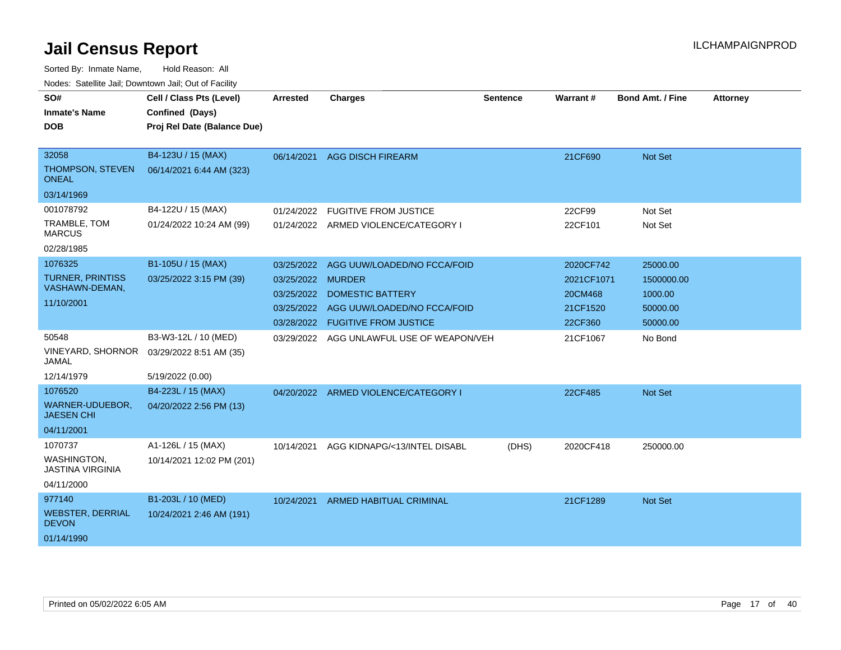| Noucs. Catchitic sail, Downtown sail, Out of Facility |                             |                 |                                      |                 |            |                         |                 |
|-------------------------------------------------------|-----------------------------|-----------------|--------------------------------------|-----------------|------------|-------------------------|-----------------|
| SO#                                                   | Cell / Class Pts (Level)    | <b>Arrested</b> | <b>Charges</b>                       | <b>Sentence</b> | Warrant#   | <b>Bond Amt. / Fine</b> | <b>Attorney</b> |
| <b>Inmate's Name</b>                                  | Confined (Days)             |                 |                                      |                 |            |                         |                 |
| DOB                                                   | Proj Rel Date (Balance Due) |                 |                                      |                 |            |                         |                 |
|                                                       |                             |                 |                                      |                 |            |                         |                 |
| 32058                                                 | B4-123U / 15 (MAX)          |                 | 06/14/2021 AGG DISCH FIREARM         |                 | 21CF690    | Not Set                 |                 |
| THOMPSON, STEVEN<br><b>ONEAL</b>                      | 06/14/2021 6:44 AM (323)    |                 |                                      |                 |            |                         |                 |
| 03/14/1969                                            |                             |                 |                                      |                 |            |                         |                 |
| 001078792                                             | B4-122U / 15 (MAX)          | 01/24/2022      | <b>FUGITIVE FROM JUSTICE</b>         |                 | 22CF99     | Not Set                 |                 |
| TRAMBLE, TOM<br><b>MARCUS</b>                         | 01/24/2022 10:24 AM (99)    |                 | 01/24/2022 ARMED VIOLENCE/CATEGORY I |                 | 22CF101    | Not Set                 |                 |
| 02/28/1985                                            |                             |                 |                                      |                 |            |                         |                 |
| 1076325                                               | B1-105U / 15 (MAX)          | 03/25/2022      | AGG UUW/LOADED/NO FCCA/FOID          |                 | 2020CF742  | 25000.00                |                 |
| <b>TURNER, PRINTISS</b>                               | 03/25/2022 3:15 PM (39)     | 03/25/2022      | <b>MURDER</b>                        |                 | 2021CF1071 | 1500000.00              |                 |
| VASHAWN-DEMAN,                                        |                             | 03/25/2022      | <b>DOMESTIC BATTERY</b>              |                 | 20CM468    | 1000.00                 |                 |
| 11/10/2001                                            |                             | 03/25/2022      | AGG UUW/LOADED/NO FCCA/FOID          |                 | 21CF1520   | 50000.00                |                 |
|                                                       |                             | 03/28/2022      | <b>FUGITIVE FROM JUSTICE</b>         |                 | 22CF360    | 50000.00                |                 |
| 50548                                                 | B3-W3-12L / 10 (MED)        | 03/29/2022      | AGG UNLAWFUL USE OF WEAPON/VEH       |                 | 21CF1067   | No Bond                 |                 |
| <b>VINEYARD, SHORNOR</b><br>JAMAL                     | 03/29/2022 8:51 AM (35)     |                 |                                      |                 |            |                         |                 |
| 12/14/1979                                            | 5/19/2022 (0.00)            |                 |                                      |                 |            |                         |                 |
| 1076520                                               | B4-223L / 15 (MAX)          |                 | 04/20/2022 ARMED VIOLENCE/CATEGORY I |                 | 22CF485    | Not Set                 |                 |
| WARNER-UDUEBOR,<br><b>JAESEN CHI</b>                  | 04/20/2022 2:56 PM (13)     |                 |                                      |                 |            |                         |                 |
| 04/11/2001                                            |                             |                 |                                      |                 |            |                         |                 |
| 1070737                                               | A1-126L / 15 (MAX)          | 10/14/2021      | AGG KIDNAPG/<13/INTEL DISABL         | (DHS)           | 2020CF418  | 250000.00               |                 |
| <b>WASHINGTON,</b><br><b>JASTINA VIRGINIA</b>         | 10/14/2021 12:02 PM (201)   |                 |                                      |                 |            |                         |                 |
| 04/11/2000                                            |                             |                 |                                      |                 |            |                         |                 |
| 977140                                                | B1-203L / 10 (MED)          | 10/24/2021      | <b>ARMED HABITUAL CRIMINAL</b>       |                 | 21CF1289   | Not Set                 |                 |
| <b>WEBSTER, DERRIAL</b><br><b>DEVON</b>               | 10/24/2021 2:46 AM (191)    |                 |                                      |                 |            |                         |                 |
| 01/14/1990                                            |                             |                 |                                      |                 |            |                         |                 |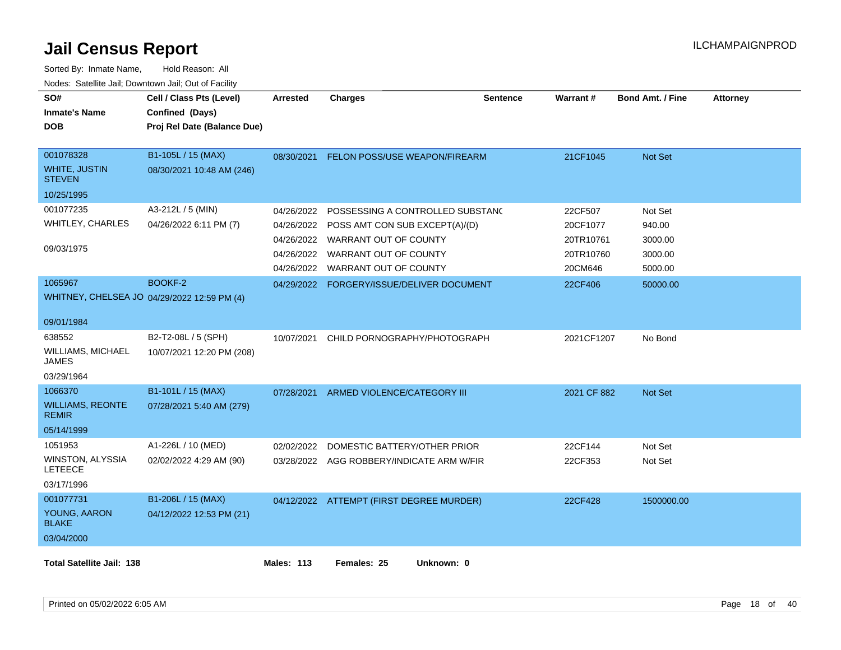| SO#<br><b>Inmate's Name</b><br><b>DOB</b>                        | Cell / Class Pts (Level)<br>Confined (Days)<br>Proj Rel Date (Balance Due) | <b>Arrested</b>                        | <b>Charges</b>                                                                              | <b>Sentence</b> | Warrant#                         | <b>Bond Amt. / Fine</b>      | <b>Attorney</b> |
|------------------------------------------------------------------|----------------------------------------------------------------------------|----------------------------------------|---------------------------------------------------------------------------------------------|-----------------|----------------------------------|------------------------------|-----------------|
| 001078328<br><b>WHITE, JUSTIN</b><br><b>STEVEN</b>               | B1-105L / 15 (MAX)<br>08/30/2021 10:48 AM (246)                            | 08/30/2021                             | FELON POSS/USE WEAPON/FIREARM                                                               |                 | 21CF1045                         | Not Set                      |                 |
| 10/25/1995                                                       |                                                                            |                                        |                                                                                             |                 |                                  |                              |                 |
| 001077235<br><b>WHITLEY, CHARLES</b><br>09/03/1975               | A3-212L / 5 (MIN)<br>04/26/2022 6:11 PM (7)                                | 04/26/2022<br>04/26/2022<br>04/26/2022 | POSSESSING A CONTROLLED SUBSTANC<br>POSS AMT CON SUB EXCEPT(A)/(D)<br>WARRANT OUT OF COUNTY |                 | 22CF507<br>20CF1077<br>20TR10761 | Not Set<br>940.00<br>3000.00 |                 |
|                                                                  |                                                                            | 04/26/2022<br>04/26/2022               | WARRANT OUT OF COUNTY<br>WARRANT OUT OF COUNTY                                              |                 | 20TR10760<br>20CM646             | 3000.00<br>5000.00           |                 |
| 1065967                                                          | <b>BOOKF-2</b><br>WHITNEY, CHELSEA JO 04/29/2022 12:59 PM (4)              |                                        | 04/29/2022 FORGERY/ISSUE/DELIVER DOCUMENT                                                   |                 | 22CF406                          | 50000.00                     |                 |
| 09/01/1984                                                       |                                                                            |                                        |                                                                                             |                 |                                  |                              |                 |
| 638552<br><b>WILLIAMS, MICHAEL</b><br><b>JAMES</b><br>03/29/1964 | B2-T2-08L / 5 (SPH)<br>10/07/2021 12:20 PM (208)                           | 10/07/2021                             | CHILD PORNOGRAPHY/PHOTOGRAPH                                                                |                 | 2021CF1207                       | No Bond                      |                 |
| 1066370                                                          | B1-101L / 15 (MAX)                                                         | 07/28/2021                             | ARMED VIOLENCE/CATEGORY III                                                                 |                 | 2021 CF 882                      | Not Set                      |                 |
| <b>WILLIAMS, REONTE</b><br><b>REMIR</b>                          | 07/28/2021 5:40 AM (279)                                                   |                                        |                                                                                             |                 |                                  |                              |                 |
| 05/14/1999                                                       |                                                                            |                                        |                                                                                             |                 |                                  |                              |                 |
| 1051953<br>WINSTON, ALYSSIA<br><b>LETEECE</b><br>03/17/1996      | A1-226L / 10 (MED)<br>02/02/2022 4:29 AM (90)                              | 02/02/2022                             | DOMESTIC BATTERY/OTHER PRIOR<br>03/28/2022 AGG ROBBERY/INDICATE ARM W/FIR                   |                 | 22CF144<br>22CF353               | Not Set<br>Not Set           |                 |
| 001077731<br>YOUNG, AARON<br><b>BLAKE</b><br>03/04/2000          | B1-206L / 15 (MAX)<br>04/12/2022 12:53 PM (21)                             |                                        | 04/12/2022 ATTEMPT (FIRST DEGREE MURDER)                                                    |                 | 22CF428                          | 1500000.00                   |                 |
| <b>Total Satellite Jail: 138</b>                                 |                                                                            | <b>Males: 113</b>                      | Females: 25<br>Unknown: 0                                                                   |                 |                                  |                              |                 |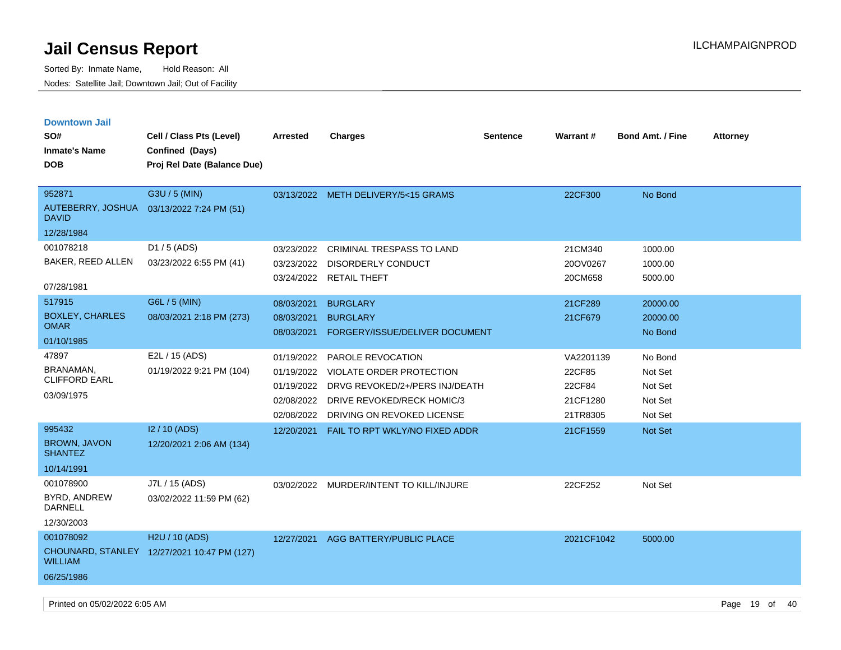Sorted By: Inmate Name, Hold Reason: All Nodes: Satellite Jail; Downtown Jail; Out of Facility

| <b>Downtown Jail</b><br>SO#<br><b>Inmate's Name</b><br>DOB                 | Cell / Class Pts (Level)<br>Confined (Days)<br>Proj Rel Date (Balance Due) | <b>Arrested</b>                                                    | <b>Charges</b>                                                                                                                                     | <b>Sentence</b> | Warrant#                                              | <b>Bond Amt. / Fine</b>                             | <b>Attorney</b> |
|----------------------------------------------------------------------------|----------------------------------------------------------------------------|--------------------------------------------------------------------|----------------------------------------------------------------------------------------------------------------------------------------------------|-----------------|-------------------------------------------------------|-----------------------------------------------------|-----------------|
| 952871<br>AUTEBERRY, JOSHUA 03/13/2022 7:24 PM (51)<br>David<br>12/28/1984 | G3U / 5 (MIN)                                                              |                                                                    | 03/13/2022 METH DELIVERY/5<15 GRAMS                                                                                                                |                 | 22CF300                                               | No Bond                                             |                 |
| 001078218<br>BAKER, REED ALLEN<br>07/28/1981                               | D1 / 5 (ADS)<br>03/23/2022 6:55 PM (41)                                    | 03/23/2022<br>03/23/2022<br>03/24/2022                             | CRIMINAL TRESPASS TO LAND<br>DISORDERLY CONDUCT<br><b>RETAIL THEFT</b>                                                                             |                 | 21CM340<br>20OV0267<br>20CM658                        | 1000.00<br>1000.00<br>5000.00                       |                 |
| 517915<br><b>BOXLEY, CHARLES</b><br><b>OMAR</b><br>01/10/1985              | G6L / 5 (MIN)<br>08/03/2021 2:18 PM (273)                                  | 08/03/2021<br>08/03/2021<br>08/03/2021                             | <b>BURGLARY</b><br><b>BURGLARY</b><br>FORGERY/ISSUE/DELIVER DOCUMENT                                                                               |                 | 21CF289<br>21CF679                                    | 20000.00<br>20000.00<br>No Bond                     |                 |
| 47897<br>BRANAMAN,<br>CLIFFORD EARL<br>03/09/1975                          | E2L / 15 (ADS)<br>01/19/2022 9:21 PM (104)                                 | 01/19/2022<br>01/19/2022<br>01/19/2022<br>02/08/2022<br>02/08/2022 | PAROLE REVOCATION<br><b>VIOLATE ORDER PROTECTION</b><br>DRVG REVOKED/2+/PERS INJ/DEATH<br>DRIVE REVOKED/RECK HOMIC/3<br>DRIVING ON REVOKED LICENSE |                 | VA2201139<br>22CF85<br>22CF84<br>21CF1280<br>21TR8305 | No Bond<br>Not Set<br>Not Set<br>Not Set<br>Not Set |                 |
| 995432<br><b>BROWN, JAVON</b><br><b>SHANTEZ</b><br>10/14/1991              | I2 / 10 (ADS)<br>12/20/2021 2:06 AM (134)                                  | 12/20/2021                                                         | FAIL TO RPT WKLY/NO FIXED ADDR                                                                                                                     |                 | 21CF1559                                              | Not Set                                             |                 |
| 001078900<br>BYRD, ANDREW<br><b>DARNELL</b><br>12/30/2003                  | J7L / 15 (ADS)<br>03/02/2022 11:59 PM (62)                                 |                                                                    | 03/02/2022 MURDER/INTENT TO KILL/INJURE                                                                                                            |                 | 22CF252                                               | Not Set                                             |                 |
| 001078092<br><b>WILLIAM</b><br>06/25/1986                                  | H2U / 10 (ADS)<br>CHOUNARD, STANLEY 12/27/2021 10:47 PM (127)              | 12/27/2021                                                         | AGG BATTERY/PUBLIC PLACE                                                                                                                           |                 | 2021CF1042                                            | 5000.00                                             |                 |

Printed on 05/02/2022 6:05 AM **Page 19** of 40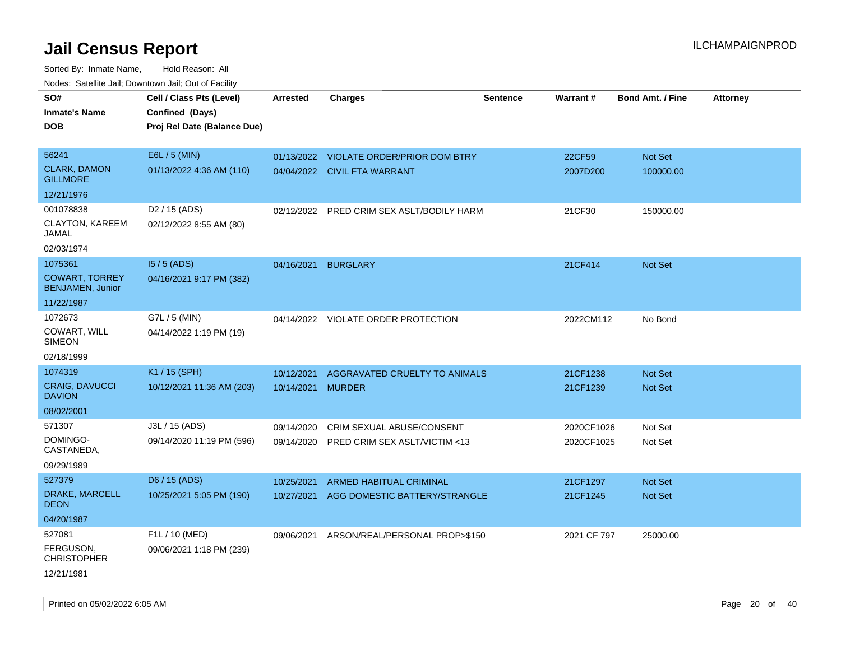Sorted By: Inmate Name, Hold Reason: All Nodes: Satellite Jail; Downtown Jail; Out of Facility

| SO#                                              | Cell / Class Pts (Level)    | <b>Arrested</b>   | <b>Charges</b>                          | <b>Sentence</b> | Warrant#    | <b>Bond Amt. / Fine</b> | <b>Attorney</b> |
|--------------------------------------------------|-----------------------------|-------------------|-----------------------------------------|-----------------|-------------|-------------------------|-----------------|
| <b>Inmate's Name</b>                             | Confined (Days)             |                   |                                         |                 |             |                         |                 |
| <b>DOB</b>                                       | Proj Rel Date (Balance Due) |                   |                                         |                 |             |                         |                 |
|                                                  |                             |                   |                                         |                 |             |                         |                 |
| 56241                                            | E6L / 5 (MIN)               |                   | 01/13/2022 VIOLATE ORDER/PRIOR DOM BTRY |                 | 22CF59      | Not Set                 |                 |
| <b>CLARK, DAMON</b><br><b>GILLMORE</b>           | 01/13/2022 4:36 AM (110)    |                   | 04/04/2022 CIVIL FTA WARRANT            |                 | 2007D200    | 100000.00               |                 |
| 12/21/1976                                       |                             |                   |                                         |                 |             |                         |                 |
| 001078838                                        | D <sub>2</sub> / 15 (ADS)   | 02/12/2022        | PRED CRIM SEX ASLT/BODILY HARM          |                 | 21CF30      | 150000.00               |                 |
| CLAYTON, KAREEM<br>JAMAL                         | 02/12/2022 8:55 AM (80)     |                   |                                         |                 |             |                         |                 |
| 02/03/1974                                       |                             |                   |                                         |                 |             |                         |                 |
| 1075361                                          | $15/5$ (ADS)                | 04/16/2021        | <b>BURGLARY</b>                         |                 | 21CF414     | <b>Not Set</b>          |                 |
| <b>COWART, TORREY</b><br><b>BENJAMEN, Junior</b> | 04/16/2021 9:17 PM (382)    |                   |                                         |                 |             |                         |                 |
| 11/22/1987                                       |                             |                   |                                         |                 |             |                         |                 |
| 1072673                                          | G7L / 5 (MIN)               |                   | 04/14/2022 VIOLATE ORDER PROTECTION     |                 | 2022CM112   | No Bond                 |                 |
| COWART, WILL<br><b>SIMEON</b>                    | 04/14/2022 1:19 PM (19)     |                   |                                         |                 |             |                         |                 |
| 02/18/1999                                       |                             |                   |                                         |                 |             |                         |                 |
| 1074319                                          | K1 / 15 (SPH)               | 10/12/2021        | AGGRAVATED CRUELTY TO ANIMALS           |                 | 21CF1238    | <b>Not Set</b>          |                 |
| <b>CRAIG, DAVUCCI</b><br><b>DAVION</b>           | 10/12/2021 11:36 AM (203)   | 10/14/2021 MURDER |                                         |                 | 21CF1239    | Not Set                 |                 |
| 08/02/2001                                       |                             |                   |                                         |                 |             |                         |                 |
| 571307                                           | J3L / 15 (ADS)              | 09/14/2020        | CRIM SEXUAL ABUSE/CONSENT               |                 | 2020CF1026  | Not Set                 |                 |
| DOMINGO-<br>CASTANEDA,                           | 09/14/2020 11:19 PM (596)   | 09/14/2020        | PRED CRIM SEX ASLT/VICTIM <13           |                 | 2020CF1025  | Not Set                 |                 |
| 09/29/1989                                       |                             |                   |                                         |                 |             |                         |                 |
| 527379                                           | D6 / 15 (ADS)               | 10/25/2021        | ARMED HABITUAL CRIMINAL                 |                 | 21CF1297    | Not Set                 |                 |
| DRAKE, MARCELL<br><b>DEON</b>                    | 10/25/2021 5:05 PM (190)    | 10/27/2021        | AGG DOMESTIC BATTERY/STRANGLE           |                 | 21CF1245    | Not Set                 |                 |
| 04/20/1987                                       |                             |                   |                                         |                 |             |                         |                 |
| 527081                                           | F1L / 10 (MED)              | 09/06/2021        | ARSON/REAL/PERSONAL PROP>\$150          |                 | 2021 CF 797 | 25000.00                |                 |
| FERGUSON,<br><b>CHRISTOPHER</b>                  | 09/06/2021 1:18 PM (239)    |                   |                                         |                 |             |                         |                 |
| 12/21/1981                                       |                             |                   |                                         |                 |             |                         |                 |

Printed on 05/02/2022 6:05 AM Page 20 of 40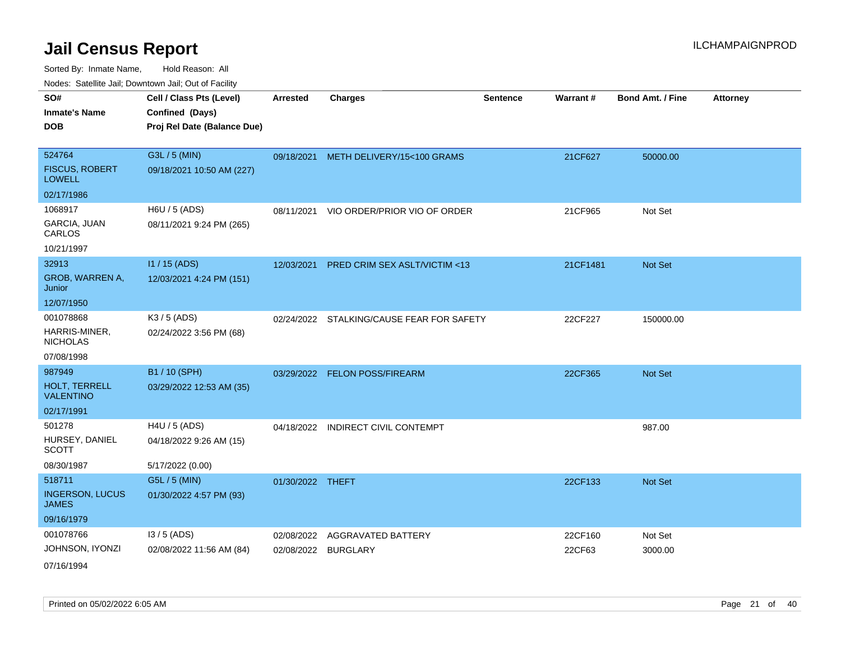| ivouss. Saleling Jali, Downtown Jali, Out of Facility |                             |                  |                                           |                 |          |                         |                 |
|-------------------------------------------------------|-----------------------------|------------------|-------------------------------------------|-----------------|----------|-------------------------|-----------------|
| SO#                                                   | Cell / Class Pts (Level)    | <b>Arrested</b>  | <b>Charges</b>                            | <b>Sentence</b> | Warrant# | <b>Bond Amt. / Fine</b> | <b>Attorney</b> |
| <b>Inmate's Name</b>                                  | Confined (Days)             |                  |                                           |                 |          |                         |                 |
| <b>DOB</b>                                            | Proj Rel Date (Balance Due) |                  |                                           |                 |          |                         |                 |
|                                                       |                             |                  |                                           |                 |          |                         |                 |
| 524764                                                | G3L / 5 (MIN)               |                  | 09/18/2021 METH DELIVERY/15<100 GRAMS     |                 | 21CF627  | 50000.00                |                 |
| <b>FISCUS, ROBERT</b><br><b>LOWELL</b>                | 09/18/2021 10:50 AM (227)   |                  |                                           |                 |          |                         |                 |
| 02/17/1986                                            |                             |                  |                                           |                 |          |                         |                 |
| 1068917                                               | H6U / 5 (ADS)               |                  | 08/11/2021 VIO ORDER/PRIOR VIO OF ORDER   |                 | 21CF965  | Not Set                 |                 |
| GARCIA, JUAN<br>CARLOS                                | 08/11/2021 9:24 PM (265)    |                  |                                           |                 |          |                         |                 |
| 10/21/1997                                            |                             |                  |                                           |                 |          |                         |                 |
| 32913                                                 | $11/15$ (ADS)               | 12/03/2021       | PRED CRIM SEX ASLT/VICTIM <13             |                 | 21CF1481 | Not Set                 |                 |
| GROB, WARREN A,<br>Junior                             | 12/03/2021 4:24 PM (151)    |                  |                                           |                 |          |                         |                 |
| 12/07/1950                                            |                             |                  |                                           |                 |          |                         |                 |
| 001078868                                             | K3 / 5 (ADS)                |                  | 02/24/2022 STALKING/CAUSE FEAR FOR SAFETY |                 | 22CF227  | 150000.00               |                 |
| HARRIS-MINER,<br><b>NICHOLAS</b>                      | 02/24/2022 3:56 PM (68)     |                  |                                           |                 |          |                         |                 |
| 07/08/1998                                            |                             |                  |                                           |                 |          |                         |                 |
| 987949                                                | B1 / 10 (SPH)               |                  | 03/29/2022 FELON POSS/FIREARM             |                 | 22CF365  | <b>Not Set</b>          |                 |
| HOLT, TERRELL<br><b>VALENTINO</b>                     | 03/29/2022 12:53 AM (35)    |                  |                                           |                 |          |                         |                 |
| 02/17/1991                                            |                             |                  |                                           |                 |          |                         |                 |
| 501278                                                | H4U / 5 (ADS)               | 04/18/2022       | <b>INDIRECT CIVIL CONTEMPT</b>            |                 |          | 987.00                  |                 |
| HURSEY, DANIEL<br><b>SCOTT</b>                        | 04/18/2022 9:26 AM (15)     |                  |                                           |                 |          |                         |                 |
| 08/30/1987                                            | 5/17/2022 (0.00)            |                  |                                           |                 |          |                         |                 |
| 518711                                                | G5L / 5 (MIN)               | 01/30/2022 THEFT |                                           |                 | 22CF133  | Not Set                 |                 |
| <b>INGERSON, LUCUS</b><br><b>JAMES</b>                | 01/30/2022 4:57 PM (93)     |                  |                                           |                 |          |                         |                 |
| 09/16/1979                                            |                             |                  |                                           |                 |          |                         |                 |
| 001078766                                             | $13/5$ (ADS)                | 02/08/2022       | <b>AGGRAVATED BATTERY</b>                 |                 | 22CF160  | Not Set                 |                 |
| JOHNSON, IYONZI                                       | 02/08/2022 11:56 AM (84)    |                  | 02/08/2022 BURGLARY                       |                 | 22CF63   | 3000.00                 |                 |
| 07/16/1994                                            |                             |                  |                                           |                 |          |                         |                 |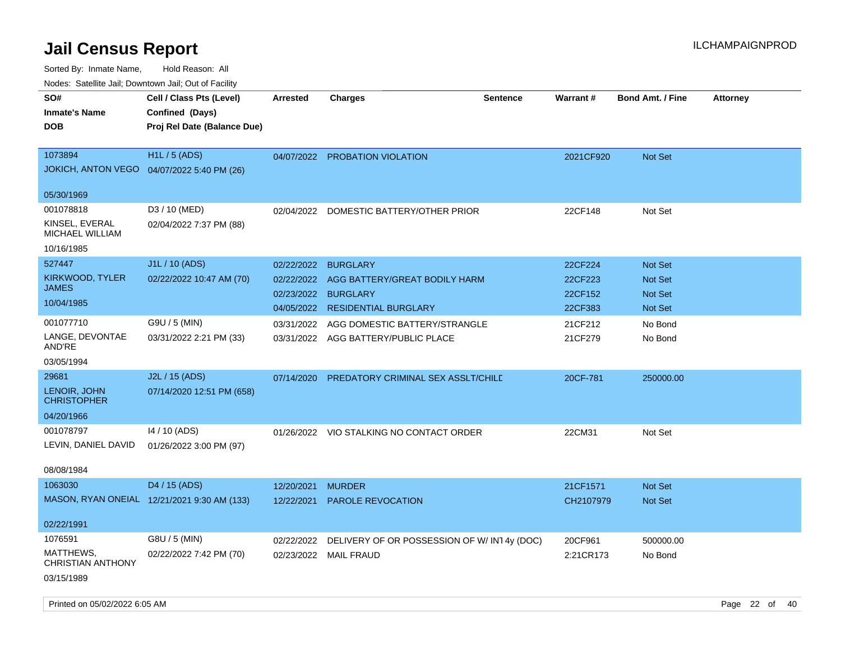| Noues. Salenne Jan, Downlown Jan, Out of Facility |                                             |                 |                                            |                 |           |                         |                 |
|---------------------------------------------------|---------------------------------------------|-----------------|--------------------------------------------|-----------------|-----------|-------------------------|-----------------|
| SO#                                               | Cell / Class Pts (Level)                    | <b>Arrested</b> | <b>Charges</b>                             | <b>Sentence</b> | Warrant#  | <b>Bond Amt. / Fine</b> | <b>Attorney</b> |
| <b>Inmate's Name</b>                              | Confined (Days)                             |                 |                                            |                 |           |                         |                 |
| <b>DOB</b>                                        | Proj Rel Date (Balance Due)                 |                 |                                            |                 |           |                         |                 |
|                                                   |                                             |                 |                                            |                 |           |                         |                 |
| 1073894                                           | <b>H1L / 5 (ADS)</b>                        | 04/07/2022      | PROBATION VIOLATION                        |                 | 2021CF920 | Not Set                 |                 |
| <b>JOKICH, ANTON VEGO</b>                         | 04/07/2022 5:40 PM (26)                     |                 |                                            |                 |           |                         |                 |
|                                                   |                                             |                 |                                            |                 |           |                         |                 |
| 05/30/1969                                        |                                             |                 |                                            |                 |           |                         |                 |
| 001078818                                         | D3 / 10 (MED)                               | 02/04/2022      | DOMESTIC BATTERY/OTHER PRIOR               |                 | 22CF148   | Not Set                 |                 |
| KINSEL, EVERAL<br>MICHAEL WILLIAM                 | 02/04/2022 7:37 PM (88)                     |                 |                                            |                 |           |                         |                 |
| 10/16/1985                                        |                                             |                 |                                            |                 |           |                         |                 |
| 527447                                            | J1L / 10 (ADS)                              | 02/22/2022      | <b>BURGLARY</b>                            |                 | 22CF224   | Not Set                 |                 |
| <b>KIRKWOOD, TYLER</b>                            | 02/22/2022 10:47 AM (70)                    | 02/22/2022      | AGG BATTERY/GREAT BODILY HARM              |                 | 22CF223   | <b>Not Set</b>          |                 |
| <b>JAMES</b>                                      |                                             | 02/23/2022      | <b>BURGLARY</b>                            |                 | 22CF152   | Not Set                 |                 |
| 10/04/1985                                        |                                             | 04/05/2022      | <b>RESIDENTIAL BURGLARY</b>                |                 | 22CF383   | Not Set                 |                 |
| 001077710                                         | G9U / 5 (MIN)                               | 03/31/2022      | AGG DOMESTIC BATTERY/STRANGLE              |                 | 21CF212   | No Bond                 |                 |
| LANGE, DEVONTAE                                   | 03/31/2022 2:21 PM (33)                     |                 | 03/31/2022 AGG BATTERY/PUBLIC PLACE        |                 | 21CF279   | No Bond                 |                 |
| AND'RE                                            |                                             |                 |                                            |                 |           |                         |                 |
| 03/05/1994                                        |                                             |                 |                                            |                 |           |                         |                 |
| 29681                                             | J2L / 15 (ADS)                              | 07/14/2020      | <b>PREDATORY CRIMINAL SEX ASSLT/CHILD</b>  |                 | 20CF-781  | 250000.00               |                 |
| LENOIR, JOHN<br><b>CHRISTOPHER</b>                | 07/14/2020 12:51 PM (658)                   |                 |                                            |                 |           |                         |                 |
| 04/20/1966                                        |                                             |                 |                                            |                 |           |                         |                 |
| 001078797                                         | 14 / 10 (ADS)                               |                 | 01/26/2022 VIO STALKING NO CONTACT ORDER   |                 | 22CM31    | Not Set                 |                 |
| LEVIN, DANIEL DAVID                               | 01/26/2022 3:00 PM (97)                     |                 |                                            |                 |           |                         |                 |
|                                                   |                                             |                 |                                            |                 |           |                         |                 |
| 08/08/1984                                        |                                             |                 |                                            |                 |           |                         |                 |
| 1063030                                           | D4 / 15 (ADS)                               | 12/20/2021      | <b>MURDER</b>                              |                 | 21CF1571  | <b>Not Set</b>          |                 |
|                                                   | MASON, RYAN ONEIAL 12/21/2021 9:30 AM (133) | 12/22/2021      | PAROLE REVOCATION                          |                 | CH2107979 | <b>Not Set</b>          |                 |
|                                                   |                                             |                 |                                            |                 |           |                         |                 |
| 02/22/1991                                        |                                             |                 |                                            |                 |           |                         |                 |
| 1076591                                           | G8U / 5 (MIN)                               | 02/22/2022      | DELIVERY OF OR POSSESSION OF W/IN14y (DOC) |                 | 20CF961   | 500000.00               |                 |
| MATTHEWS,<br><b>CHRISTIAN ANTHONY</b>             | 02/22/2022 7:42 PM (70)                     |                 | 02/23/2022 MAIL FRAUD                      |                 | 2:21CR173 | No Bond                 |                 |
| 03/15/1989                                        |                                             |                 |                                            |                 |           |                         |                 |
|                                                   |                                             |                 |                                            |                 |           |                         |                 |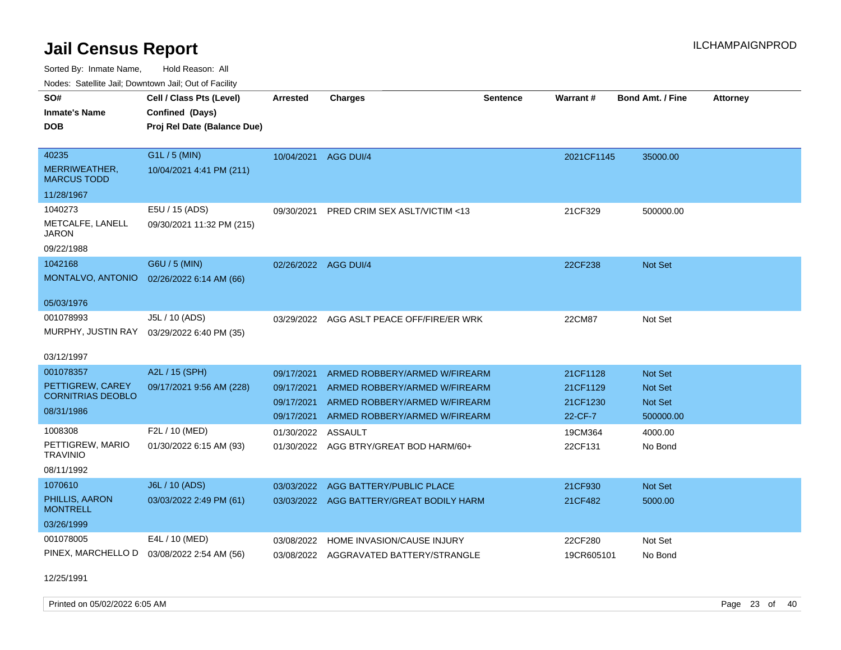Sorted By: Inmate Name, Hold Reason: All Nodes: Satellite Jail; Downtown Jail; Out of Facility

| roucs. Calcillic Jail, Downtown Jail, Out of Facility |                                                                            |                      |                                          |                 |            |                         |                 |
|-------------------------------------------------------|----------------------------------------------------------------------------|----------------------|------------------------------------------|-----------------|------------|-------------------------|-----------------|
| SO#<br><b>Inmate's Name</b><br><b>DOB</b>             | Cell / Class Pts (Level)<br>Confined (Days)<br>Proj Rel Date (Balance Due) | Arrested             | <b>Charges</b>                           | <b>Sentence</b> | Warrant#   | <b>Bond Amt. / Fine</b> | <b>Attorney</b> |
|                                                       |                                                                            |                      |                                          |                 |            |                         |                 |
| 40235                                                 | G1L / 5 (MIN)                                                              | 10/04/2021           | AGG DUI/4                                |                 | 2021CF1145 | 35000.00                |                 |
| MERRIWEATHER,<br><b>MARCUS TODD</b>                   | 10/04/2021 4:41 PM (211)                                                   |                      |                                          |                 |            |                         |                 |
| 11/28/1967                                            |                                                                            |                      |                                          |                 |            |                         |                 |
| 1040273                                               | E5U / 15 (ADS)                                                             | 09/30/2021           | PRED CRIM SEX ASLT/VICTIM <13            |                 | 21CF329    | 500000.00               |                 |
| METCALFE, LANELL<br>JARON                             | 09/30/2021 11:32 PM (215)                                                  |                      |                                          |                 |            |                         |                 |
| 09/22/1988                                            |                                                                            |                      |                                          |                 |            |                         |                 |
| 1042168                                               | G6U / 5 (MIN)                                                              | 02/26/2022 AGG DUI/4 |                                          |                 | 22CF238    | Not Set                 |                 |
| MONTALVO, ANTONIO                                     | 02/26/2022 6:14 AM (66)                                                    |                      |                                          |                 |            |                         |                 |
| 05/03/1976                                            |                                                                            |                      |                                          |                 |            |                         |                 |
| 001078993                                             | J5L / 10 (ADS)                                                             | 03/29/2022           | AGG ASLT PEACE OFF/FIRE/ER WRK           |                 | 22CM87     | Not Set                 |                 |
| MURPHY, JUSTIN RAY                                    | 03/29/2022 6:40 PM (35)                                                    |                      |                                          |                 |            |                         |                 |
| 03/12/1997                                            |                                                                            |                      |                                          |                 |            |                         |                 |
| 001078357                                             | A2L / 15 (SPH)                                                             | 09/17/2021           | ARMED ROBBERY/ARMED W/FIREARM            |                 | 21CF1128   | Not Set                 |                 |
| PETTIGREW, CAREY                                      | 09/17/2021 9:56 AM (228)                                                   | 09/17/2021           | ARMED ROBBERY/ARMED W/FIREARM            |                 | 21CF1129   | <b>Not Set</b>          |                 |
| <b>CORNITRIAS DEOBLO</b>                              |                                                                            | 09/17/2021           | ARMED ROBBERY/ARMED W/FIREARM            |                 | 21CF1230   | <b>Not Set</b>          |                 |
| 08/31/1986                                            |                                                                            | 09/17/2021           | ARMED ROBBERY/ARMED W/FIREARM            |                 | 22-CF-7    | 500000.00               |                 |
| 1008308                                               | F2L / 10 (MED)                                                             | 01/30/2022           | <b>ASSAULT</b>                           |                 | 19CM364    | 4000.00                 |                 |
| PETTIGREW, MARIO<br><b>TRAVINIO</b>                   | 01/30/2022 6:15 AM (93)                                                    |                      | 01/30/2022 AGG BTRY/GREAT BOD HARM/60+   |                 | 22CF131    | No Bond                 |                 |
| 08/11/1992                                            |                                                                            |                      |                                          |                 |            |                         |                 |
| 1070610                                               | J6L / 10 (ADS)                                                             | 03/03/2022           | AGG BATTERY/PUBLIC PLACE                 |                 | 21CF930    | <b>Not Set</b>          |                 |
| PHILLIS, AARON<br><b>MONTRELL</b>                     | 03/03/2022 2:49 PM (61)                                                    |                      | 03/03/2022 AGG BATTERY/GREAT BODILY HARM |                 | 21CF482    | 5000.00                 |                 |
| 03/26/1999                                            |                                                                            |                      |                                          |                 |            |                         |                 |
| 001078005                                             | E4L / 10 (MED)                                                             | 03/08/2022           | HOME INVASION/CAUSE INJURY               |                 | 22CF280    | Not Set                 |                 |
| PINEX, MARCHELLO D                                    | 03/08/2022 2:54 AM (56)                                                    |                      | 03/08/2022 AGGRAVATED BATTERY/STRANGLE   |                 | 19CR605101 | No Bond                 |                 |

12/25/1991

Printed on 05/02/2022 6:05 AM Page 23 of 40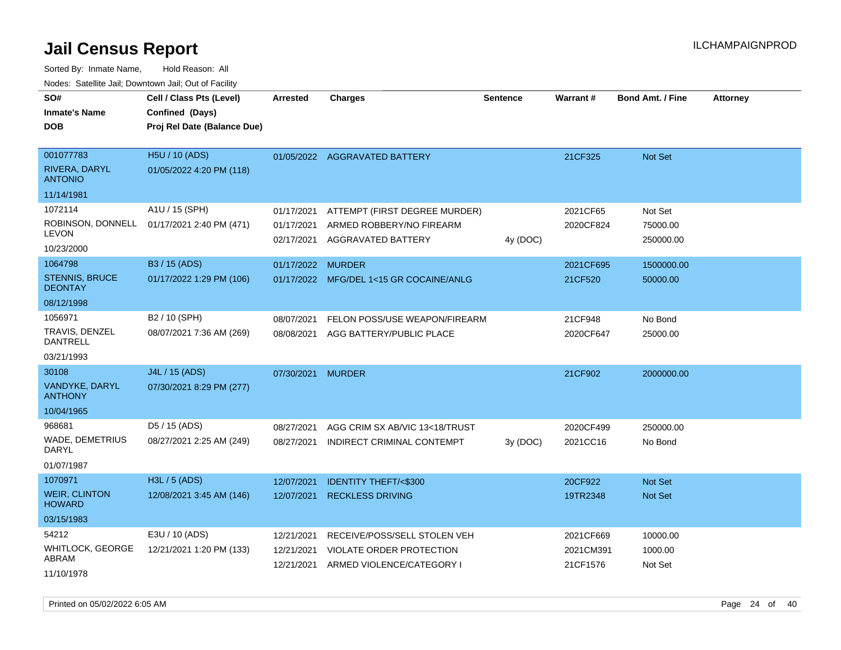| voues. Salemie Jan, Downtown Jan, Out of Facility |                             |                          |                                                |                 |           |                         |                 |
|---------------------------------------------------|-----------------------------|--------------------------|------------------------------------------------|-----------------|-----------|-------------------------|-----------------|
| SO#                                               | Cell / Class Pts (Level)    | Arrested                 | <b>Charges</b>                                 | <b>Sentence</b> | Warrant#  | <b>Bond Amt. / Fine</b> | <b>Attorney</b> |
| <b>Inmate's Name</b>                              | Confined (Days)             |                          |                                                |                 |           |                         |                 |
| <b>DOB</b>                                        | Proj Rel Date (Balance Due) |                          |                                                |                 |           |                         |                 |
|                                                   |                             |                          |                                                |                 |           |                         |                 |
| 001077783                                         | H5U / 10 (ADS)              |                          | 01/05/2022 AGGRAVATED BATTERY                  |                 | 21CF325   | <b>Not Set</b>          |                 |
| RIVERA, DARYL<br><b>ANTONIO</b>                   | 01/05/2022 4:20 PM (118)    |                          |                                                |                 |           |                         |                 |
| 11/14/1981                                        |                             |                          |                                                |                 |           |                         |                 |
| 1072114                                           | A1U / 15 (SPH)              | 01/17/2021               | ATTEMPT (FIRST DEGREE MURDER)                  |                 | 2021CF65  | Not Set                 |                 |
| ROBINSON, DONNELL<br><b>LEVON</b>                 | 01/17/2021 2:40 PM (471)    | 01/17/2021<br>02/17/2021 | ARMED ROBBERY/NO FIREARM<br>AGGRAVATED BATTERY | 4y (DOC)        | 2020CF824 | 75000.00<br>250000.00   |                 |
| 10/23/2000                                        |                             |                          |                                                |                 |           |                         |                 |
| 1064798                                           | B3 / 15 (ADS)               | 01/17/2022               | <b>MURDER</b>                                  |                 | 2021CF695 | 1500000.00              |                 |
| <b>STENNIS, BRUCE</b><br><b>DEONTAY</b>           | 01/17/2022 1:29 PM (106)    |                          | 01/17/2022 MFG/DEL 1<15 GR COCAINE/ANLG        |                 | 21CF520   | 50000.00                |                 |
| 08/12/1998                                        |                             |                          |                                                |                 |           |                         |                 |
| 1056971                                           | B2 / 10 (SPH)               | 08/07/2021               | FELON POSS/USE WEAPON/FIREARM                  |                 | 21CF948   | No Bond                 |                 |
| TRAVIS, DENZEL<br><b>DANTRELL</b>                 | 08/07/2021 7:36 AM (269)    | 08/08/2021               | AGG BATTERY/PUBLIC PLACE                       |                 | 2020CF647 | 25000.00                |                 |
| 03/21/1993                                        |                             |                          |                                                |                 |           |                         |                 |
| 30108                                             | J4L / 15 (ADS)              | 07/30/2021               | <b>MURDER</b>                                  |                 | 21CF902   | 2000000.00              |                 |
| VANDYKE, DARYL<br><b>ANTHONY</b>                  | 07/30/2021 8:29 PM (277)    |                          |                                                |                 |           |                         |                 |
| 10/04/1965                                        |                             |                          |                                                |                 |           |                         |                 |
| 968681                                            | D5 / 15 (ADS)               | 08/27/2021               | AGG CRIM SX AB/VIC 13<18/TRUST                 |                 | 2020CF499 | 250000.00               |                 |
| <b>WADE, DEMETRIUS</b><br><b>DARYL</b>            | 08/27/2021 2:25 AM (249)    | 08/27/2021               | INDIRECT CRIMINAL CONTEMPT                     | 3y(DOC)         | 2021CC16  | No Bond                 |                 |
| 01/07/1987                                        |                             |                          |                                                |                 |           |                         |                 |
| 1070971                                           | H3L / 5 (ADS)               | 12/07/2021               | <b>IDENTITY THEFT/&lt;\$300</b>                |                 | 20CF922   | Not Set                 |                 |
| <b>WEIR, CLINTON</b><br><b>HOWARD</b>             | 12/08/2021 3:45 AM (146)    | 12/07/2021               | <b>RECKLESS DRIVING</b>                        |                 | 19TR2348  | Not Set                 |                 |
| 03/15/1983                                        |                             |                          |                                                |                 |           |                         |                 |
| 54212                                             | E3U / 10 (ADS)              | 12/21/2021               | RECEIVE/POSS/SELL STOLEN VEH                   |                 | 2021CF669 | 10000.00                |                 |
| WHITLOCK, GEORGE                                  | 12/21/2021 1:20 PM (133)    | 12/21/2021               | VIOLATE ORDER PROTECTION                       |                 | 2021CM391 | 1000.00                 |                 |
| ABRAM                                             |                             | 12/21/2021               | ARMED VIOLENCE/CATEGORY I                      |                 | 21CF1576  | Not Set                 |                 |
| 11/10/1978                                        |                             |                          |                                                |                 |           |                         |                 |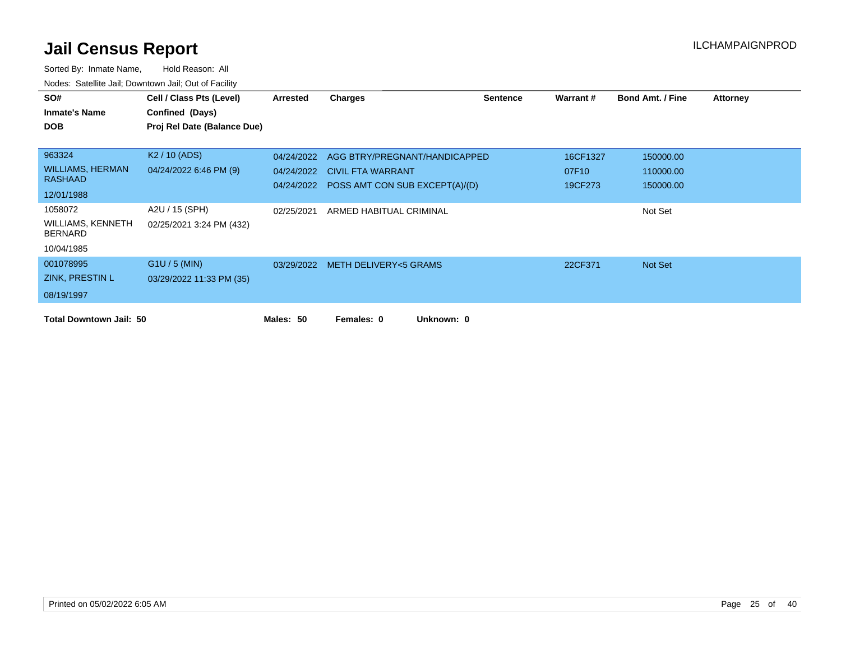| SO#                                 | Cell / Class Pts (Level)    | Arrested   | <b>Charges</b>                            | <b>Sentence</b> | Warrant # | <b>Bond Amt. / Fine</b> | Attorney |
|-------------------------------------|-----------------------------|------------|-------------------------------------------|-----------------|-----------|-------------------------|----------|
| <b>Inmate's Name</b>                | Confined (Days)             |            |                                           |                 |           |                         |          |
| <b>DOB</b>                          | Proj Rel Date (Balance Due) |            |                                           |                 |           |                         |          |
|                                     |                             |            |                                           |                 |           |                         |          |
| 963324                              | K <sub>2</sub> / 10 (ADS)   | 04/24/2022 | AGG BTRY/PREGNANT/HANDICAPPED             |                 | 16CF1327  | 150000.00               |          |
| <b>WILLIAMS, HERMAN</b>             | 04/24/2022 6:46 PM (9)      | 04/24/2022 | <b>CIVIL FTA WARRANT</b>                  |                 | 07F10     | 110000.00               |          |
| <b>RASHAAD</b>                      |                             |            | 04/24/2022 POSS AMT CON SUB EXCEPT(A)/(D) |                 | 19CF273   | 150000.00               |          |
| 12/01/1988                          |                             |            |                                           |                 |           |                         |          |
| 1058072                             | A2U / 15 (SPH)              | 02/25/2021 | ARMED HABITUAL CRIMINAL                   |                 |           | Not Set                 |          |
| WILLIAMS, KENNETH<br><b>BERNARD</b> | 02/25/2021 3:24 PM (432)    |            |                                           |                 |           |                         |          |
| 10/04/1985                          |                             |            |                                           |                 |           |                         |          |
| 001078995                           | $G1U / 5$ (MIN)             |            | 03/29/2022 METH DELIVERY<5 GRAMS          |                 | 22CF371   | Not Set                 |          |
| ZINK, PRESTIN L                     | 03/29/2022 11:33 PM (35)    |            |                                           |                 |           |                         |          |
| 08/19/1997                          |                             |            |                                           |                 |           |                         |          |
| <b>Total Downtown Jail: 50</b>      |                             | Males: 50  | Unknown: 0<br>Females: 0                  |                 |           |                         |          |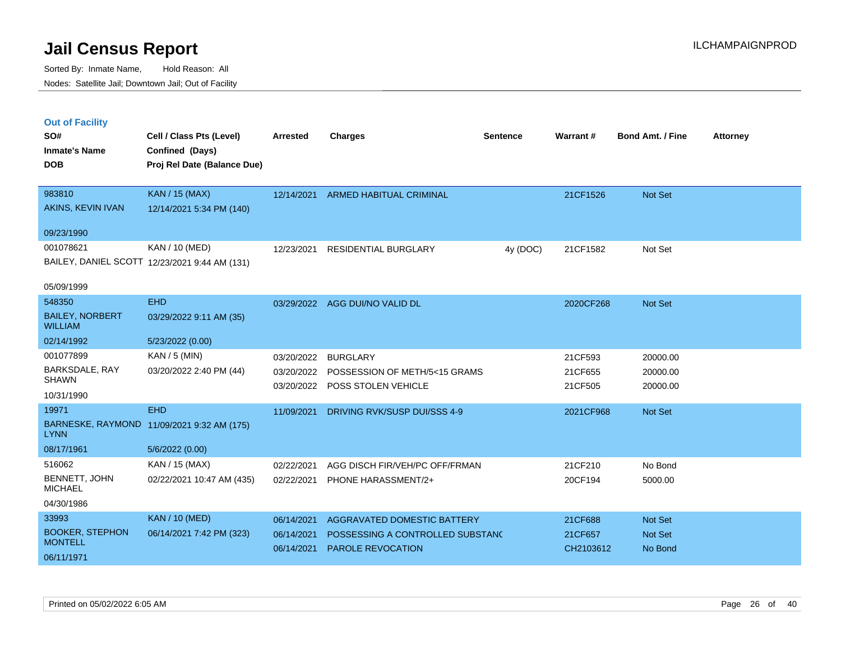|  | <b>Out of Facility</b> |  |
|--|------------------------|--|

| SO#<br><b>Inmate's Name</b><br><b>DOB</b> | Cell / Class Pts (Level)<br>Confined (Days)<br>Proj Rel Date (Balance Due) | <b>Arrested</b> | <b>Charges</b>                           | <b>Sentence</b> | <b>Warrant#</b> | <b>Bond Amt. / Fine</b> | <b>Attorney</b> |
|-------------------------------------------|----------------------------------------------------------------------------|-----------------|------------------------------------------|-----------------|-----------------|-------------------------|-----------------|
| 983810                                    | <b>KAN / 15 (MAX)</b>                                                      | 12/14/2021      | <b>ARMED HABITUAL CRIMINAL</b>           |                 | 21CF1526        | Not Set                 |                 |
| AKINS, KEVIN IVAN                         | 12/14/2021 5:34 PM (140)                                                   |                 |                                          |                 |                 |                         |                 |
| 09/23/1990                                |                                                                            |                 |                                          |                 |                 |                         |                 |
| 001078621                                 | KAN / 10 (MED)                                                             | 12/23/2021      | <b>RESIDENTIAL BURGLARY</b>              | 4y (DOC)        | 21CF1582        | Not Set                 |                 |
|                                           | BAILEY, DANIEL SCOTT 12/23/2021 9:44 AM (131)                              |                 |                                          |                 |                 |                         |                 |
| 05/09/1999                                |                                                                            |                 |                                          |                 |                 |                         |                 |
| 548350                                    | <b>EHD</b>                                                                 |                 | 03/29/2022 AGG DUI/NO VALID DL           |                 | 2020CF268       | Not Set                 |                 |
| <b>BAILEY, NORBERT</b><br><b>WILLIAM</b>  | 03/29/2022 9:11 AM (35)                                                    |                 |                                          |                 |                 |                         |                 |
| 02/14/1992                                | 5/23/2022 (0.00)                                                           |                 |                                          |                 |                 |                         |                 |
| 001077899                                 | KAN / 5 (MIN)                                                              | 03/20/2022      | <b>BURGLARY</b>                          |                 | 21CF593         | 20000.00                |                 |
| BARKSDALE, RAY                            | 03/20/2022 2:40 PM (44)                                                    |                 | 03/20/2022 POSSESSION OF METH/5<15 GRAMS |                 | 21CF655         | 20000.00                |                 |
| <b>SHAWN</b>                              |                                                                            |                 | 03/20/2022 POSS STOLEN VEHICLE           |                 | 21CF505         | 20000.00                |                 |
| 10/31/1990                                |                                                                            |                 |                                          |                 |                 |                         |                 |
| 19971                                     | <b>EHD</b>                                                                 | 11/09/2021      | DRIVING RVK/SUSP DUI/SSS 4-9             |                 | 2021CF968       | Not Set                 |                 |
| <b>LYNN</b>                               | BARNESKE, RAYMOND 11/09/2021 9:32 AM (175)                                 |                 |                                          |                 |                 |                         |                 |
| 08/17/1961                                | 5/6/2022 (0.00)                                                            |                 |                                          |                 |                 |                         |                 |
| 516062                                    | KAN / 15 (MAX)                                                             | 02/22/2021      | AGG DISCH FIR/VEH/PC OFF/FRMAN           |                 | 21CF210         | No Bond                 |                 |
| BENNETT, JOHN<br><b>MICHAEL</b>           | 02/22/2021 10:47 AM (435)                                                  | 02/22/2021      | PHONE HARASSMENT/2+                      |                 | 20CF194         | 5000.00                 |                 |
| 04/30/1986                                |                                                                            |                 |                                          |                 |                 |                         |                 |
| 33993                                     | <b>KAN / 10 (MED)</b>                                                      | 06/14/2021      | AGGRAVATED DOMESTIC BATTERY              |                 | 21CF688         | Not Set                 |                 |
| <b>BOOKER, STEPHON</b>                    | 06/14/2021 7:42 PM (323)                                                   | 06/14/2021      | POSSESSING A CONTROLLED SUBSTANC         |                 | 21CF657         | Not Set                 |                 |
| <b>MONTELL</b><br>06/11/1971              |                                                                            | 06/14/2021      | <b>PAROLE REVOCATION</b>                 |                 | CH2103612       | No Bond                 |                 |
|                                           |                                                                            |                 |                                          |                 |                 |                         |                 |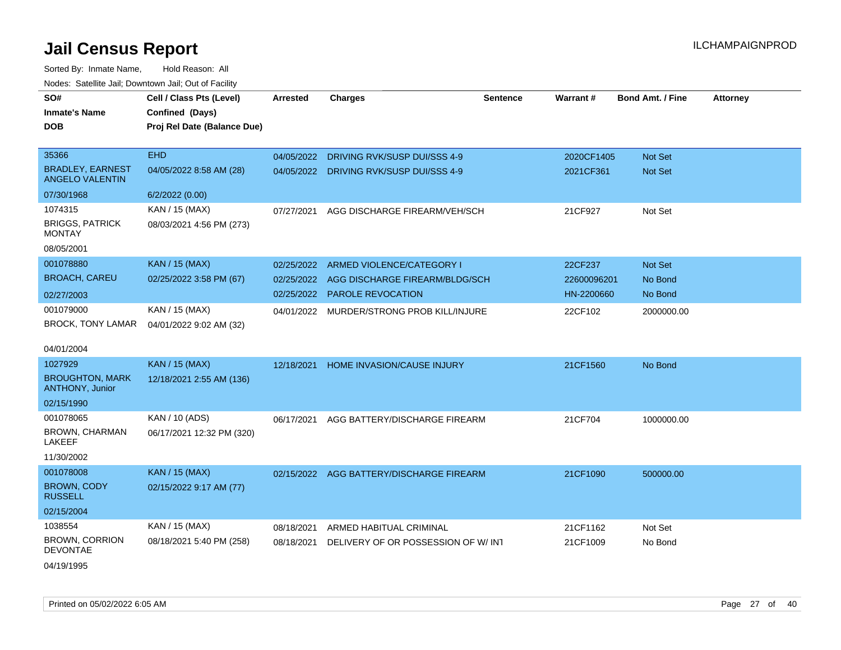| roaco. Calcinio dan, Downtown dan, Cal or Fability |                                                                            |            |                                           |                 |                 |                         |                 |
|----------------------------------------------------|----------------------------------------------------------------------------|------------|-------------------------------------------|-----------------|-----------------|-------------------------|-----------------|
| SO#<br>Inmate's Name<br><b>DOB</b>                 | Cell / Class Pts (Level)<br>Confined (Days)<br>Proj Rel Date (Balance Due) | Arrested   | <b>Charges</b>                            | <b>Sentence</b> | <b>Warrant#</b> | <b>Bond Amt. / Fine</b> | <b>Attorney</b> |
| 35366                                              | <b>EHD</b>                                                                 | 04/05/2022 | DRIVING RVK/SUSP DUI/SSS 4-9              |                 | 2020CF1405      | <b>Not Set</b>          |                 |
| <b>BRADLEY, EARNEST</b><br><b>ANGELO VALENTIN</b>  | 04/05/2022 8:58 AM (28)                                                    | 04/05/2022 | DRIVING RVK/SUSP DUI/SSS 4-9              |                 | 2021CF361       | <b>Not Set</b>          |                 |
| 07/30/1968                                         | 6/2/2022 (0.00)                                                            |            |                                           |                 |                 |                         |                 |
| 1074315<br><b>BRIGGS, PATRICK</b><br>MONTAY        | KAN / 15 (MAX)<br>08/03/2021 4:56 PM (273)                                 | 07/27/2021 | AGG DISCHARGE FIREARM/VEH/SCH             |                 | 21CF927         | Not Set                 |                 |
| 08/05/2001                                         |                                                                            |            |                                           |                 |                 |                         |                 |
| 001078880                                          | <b>KAN / 15 (MAX)</b>                                                      | 02/25/2022 | ARMED VIOLENCE/CATEGORY I                 |                 | 22CF237         | <b>Not Set</b>          |                 |
| <b>BROACH, CAREU</b>                               | 02/25/2022 3:58 PM (67)                                                    | 02/25/2022 | AGG DISCHARGE FIREARM/BLDG/SCH            |                 | 22600096201     | No Bond                 |                 |
| 02/27/2003                                         |                                                                            | 02/25/2022 | <b>PAROLE REVOCATION</b>                  |                 | HN-2200660      | No Bond                 |                 |
| 001079000<br>BROCK, TONY LAMAR                     | KAN / 15 (MAX)<br>04/01/2022 9:02 AM (32)                                  |            | 04/01/2022 MURDER/STRONG PROB KILL/INJURE |                 | 22CF102         | 2000000.00              |                 |
| 04/01/2004                                         |                                                                            |            |                                           |                 |                 |                         |                 |
| 1027929                                            | KAN / 15 (MAX)                                                             | 12/18/2021 | HOME INVASION/CAUSE INJURY                |                 | 21CF1560        | No Bond                 |                 |
| <b>BROUGHTON, MARK</b><br><b>ANTHONY, Junior</b>   | 12/18/2021 2:55 AM (136)                                                   |            |                                           |                 |                 |                         |                 |
| 02/15/1990                                         |                                                                            |            |                                           |                 |                 |                         |                 |
| 001078065                                          | KAN / 10 (ADS)                                                             | 06/17/2021 | AGG BATTERY/DISCHARGE FIREARM             |                 | 21CF704         | 1000000.00              |                 |
| BROWN, CHARMAN<br>LAKEEF                           | 06/17/2021 12:32 PM (320)                                                  |            |                                           |                 |                 |                         |                 |
| 11/30/2002                                         |                                                                            |            |                                           |                 |                 |                         |                 |
| 001078008                                          | KAN / 15 (MAX)                                                             |            | 02/15/2022 AGG BATTERY/DISCHARGE FIREARM  |                 | 21CF1090        | 500000.00               |                 |
| <b>BROWN, CODY</b><br><b>RUSSELL</b>               | 02/15/2022 9:17 AM (77)                                                    |            |                                           |                 |                 |                         |                 |
| 02/15/2004                                         |                                                                            |            |                                           |                 |                 |                         |                 |
| 1038554                                            | KAN / 15 (MAX)                                                             | 08/18/2021 | ARMED HABITUAL CRIMINAL                   |                 | 21CF1162        | Not Set                 |                 |
| <b>BROWN, CORRION</b><br>DEVONTAE                  | 08/18/2021 5:40 PM (258)                                                   | 08/18/2021 | DELIVERY OF OR POSSESSION OF W/INT        |                 | 21CF1009        | No Bond                 |                 |
| 04/19/1995                                         |                                                                            |            |                                           |                 |                 |                         |                 |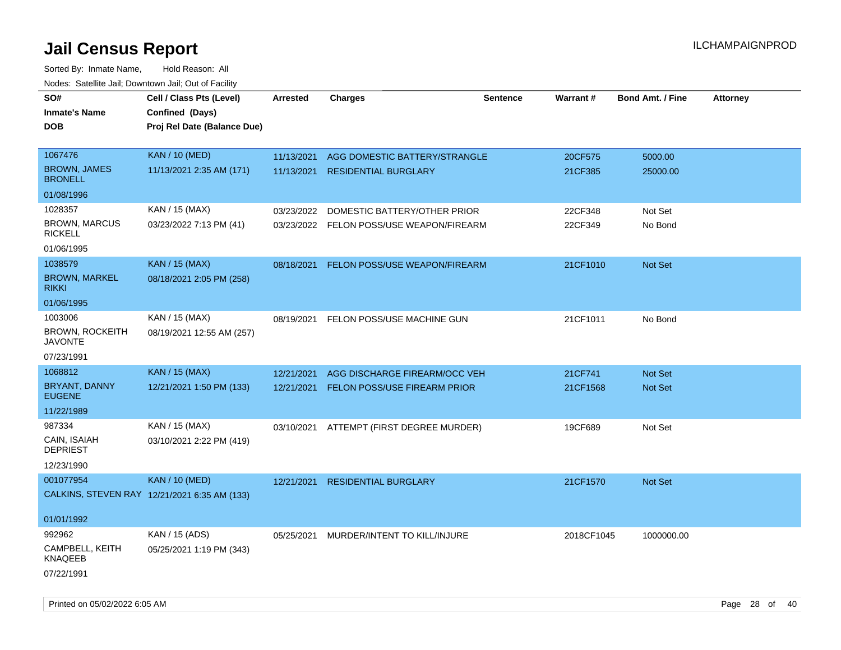| SO#                                      | Cell / Class Pts (Level)                     | Arrested   | <b>Charges</b>                           | <b>Sentence</b> | <b>Warrant#</b> | <b>Bond Amt. / Fine</b> | <b>Attorney</b> |
|------------------------------------------|----------------------------------------------|------------|------------------------------------------|-----------------|-----------------|-------------------------|-----------------|
| <b>Inmate's Name</b>                     | Confined (Days)                              |            |                                          |                 |                 |                         |                 |
| <b>DOB</b>                               | Proj Rel Date (Balance Due)                  |            |                                          |                 |                 |                         |                 |
|                                          |                                              |            |                                          |                 |                 |                         |                 |
| 1067476                                  | <b>KAN / 10 (MED)</b>                        | 11/13/2021 | AGG DOMESTIC BATTERY/STRANGLE            |                 | 20CF575         | 5000.00                 |                 |
| <b>BROWN, JAMES</b><br><b>BRONELL</b>    | 11/13/2021 2:35 AM (171)                     | 11/13/2021 | <b>RESIDENTIAL BURGLARY</b>              |                 | 21CF385         | 25000.00                |                 |
| 01/08/1996                               |                                              |            |                                          |                 |                 |                         |                 |
| 1028357                                  | KAN / 15 (MAX)                               | 03/23/2022 | DOMESTIC BATTERY/OTHER PRIOR             |                 | 22CF348         | Not Set                 |                 |
| <b>BROWN, MARCUS</b><br><b>RICKELL</b>   | 03/23/2022 7:13 PM (41)                      |            | 03/23/2022 FELON POSS/USE WEAPON/FIREARM |                 | 22CF349         | No Bond                 |                 |
| 01/06/1995                               |                                              |            |                                          |                 |                 |                         |                 |
| 1038579                                  | <b>KAN / 15 (MAX)</b>                        | 08/18/2021 | FELON POSS/USE WEAPON/FIREARM            |                 | 21CF1010        | Not Set                 |                 |
| <b>BROWN, MARKEL</b><br><b>RIKKI</b>     | 08/18/2021 2:05 PM (258)                     |            |                                          |                 |                 |                         |                 |
| 01/06/1995                               |                                              |            |                                          |                 |                 |                         |                 |
| 1003006                                  | KAN / 15 (MAX)                               | 08/19/2021 | FELON POSS/USE MACHINE GUN               |                 | 21CF1011        | No Bond                 |                 |
| <b>BROWN, ROCKEITH</b><br><b>JAVONTE</b> | 08/19/2021 12:55 AM (257)                    |            |                                          |                 |                 |                         |                 |
| 07/23/1991                               |                                              |            |                                          |                 |                 |                         |                 |
| 1068812                                  | <b>KAN / 15 (MAX)</b>                        | 12/21/2021 | AGG DISCHARGE FIREARM/OCC VEH            |                 | 21CF741         | <b>Not Set</b>          |                 |
| BRYANT, DANNY<br><b>EUGENE</b>           | 12/21/2021 1:50 PM (133)                     | 12/21/2021 | FELON POSS/USE FIREARM PRIOR             |                 | 21CF1568        | Not Set                 |                 |
| 11/22/1989                               |                                              |            |                                          |                 |                 |                         |                 |
| 987334                                   | KAN / 15 (MAX)                               | 03/10/2021 | ATTEMPT (FIRST DEGREE MURDER)            |                 | 19CF689         | Not Set                 |                 |
| CAIN, ISAIAH<br><b>DEPRIEST</b>          | 03/10/2021 2:22 PM (419)                     |            |                                          |                 |                 |                         |                 |
| 12/23/1990                               |                                              |            |                                          |                 |                 |                         |                 |
| 001077954                                | <b>KAN / 10 (MED)</b>                        | 12/21/2021 | <b>RESIDENTIAL BURGLARY</b>              |                 | 21CF1570        | Not Set                 |                 |
|                                          | CALKINS, STEVEN RAY 12/21/2021 6:35 AM (133) |            |                                          |                 |                 |                         |                 |
| 01/01/1992                               |                                              |            |                                          |                 |                 |                         |                 |
| 992962                                   | KAN / 15 (ADS)                               | 05/25/2021 | MURDER/INTENT TO KILL/INJURE             |                 | 2018CF1045      | 1000000.00              |                 |
| CAMPBELL, KEITH<br>KNAQEEB               | 05/25/2021 1:19 PM (343)                     |            |                                          |                 |                 |                         |                 |
| 07/22/1991                               |                                              |            |                                          |                 |                 |                         |                 |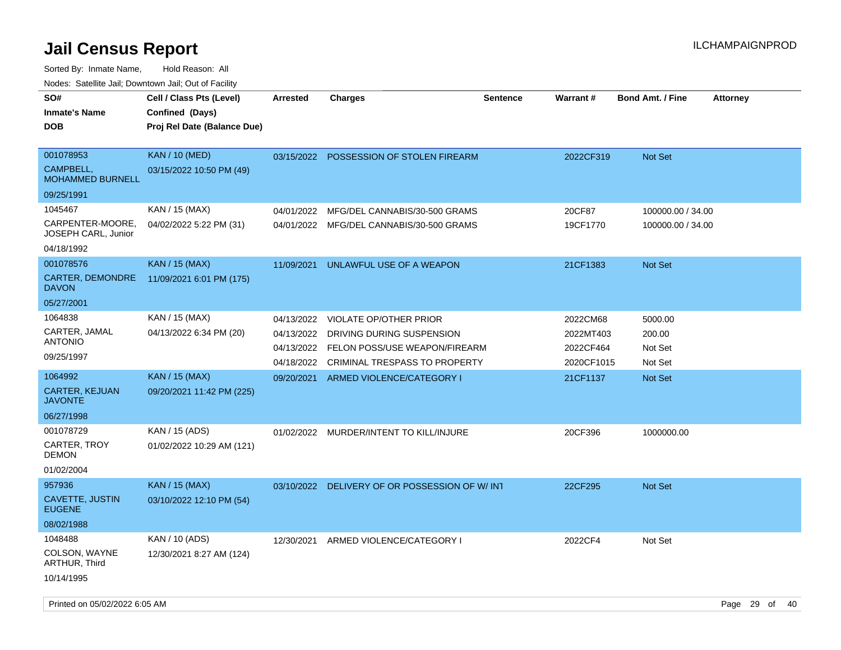| SO#                                     | Cell / Class Pts (Level)    | <b>Arrested</b> | <b>Charges</b>                           | <b>Sentence</b> | Warrant#   | <b>Bond Amt. / Fine</b><br><b>Attorney</b> |
|-----------------------------------------|-----------------------------|-----------------|------------------------------------------|-----------------|------------|--------------------------------------------|
| <b>Inmate's Name</b>                    | Confined (Days)             |                 |                                          |                 |            |                                            |
| <b>DOB</b>                              | Proj Rel Date (Balance Due) |                 |                                          |                 |            |                                            |
|                                         |                             |                 |                                          |                 |            |                                            |
| 001078953                               | <b>KAN / 10 (MED)</b>       | 03/15/2022      | POSSESSION OF STOLEN FIREARM             |                 | 2022CF319  | Not Set                                    |
| CAMPBELL,<br><b>MOHAMMED BURNELL</b>    | 03/15/2022 10:50 PM (49)    |                 |                                          |                 |            |                                            |
| 09/25/1991                              |                             |                 |                                          |                 |            |                                            |
| 1045467                                 | KAN / 15 (MAX)              | 04/01/2022      | MFG/DEL CANNABIS/30-500 GRAMS            |                 | 20CF87     | 100000.00 / 34.00                          |
| CARPENTER-MOORE,<br>JOSEPH CARL, Junior | 04/02/2022 5:22 PM (31)     |                 | 04/01/2022 MFG/DEL CANNABIS/30-500 GRAMS |                 | 19CF1770   | 100000.00 / 34.00                          |
| 04/18/1992                              |                             |                 |                                          |                 |            |                                            |
| 001078576                               | KAN / 15 (MAX)              | 11/09/2021      | UNLAWFUL USE OF A WEAPON                 |                 | 21CF1383   | Not Set                                    |
| CARTER, DEMONDRE<br><b>DAVON</b>        | 11/09/2021 6:01 PM (175)    |                 |                                          |                 |            |                                            |
| 05/27/2001                              |                             |                 |                                          |                 |            |                                            |
| 1064838                                 | KAN / 15 (MAX)              | 04/13/2022      | <b>VIOLATE OP/OTHER PRIOR</b>            |                 | 2022CM68   | 5000.00                                    |
| CARTER, JAMAL                           | 04/13/2022 6:34 PM (20)     | 04/13/2022      | DRIVING DURING SUSPENSION                |                 | 2022MT403  | 200.00                                     |
| <b>ANTONIO</b>                          |                             | 04/13/2022      | FELON POSS/USE WEAPON/FIREARM            |                 | 2022CF464  | Not Set                                    |
| 09/25/1997                              |                             | 04/18/2022      | CRIMINAL TRESPASS TO PROPERTY            |                 | 2020CF1015 | Not Set                                    |
| 1064992                                 | <b>KAN / 15 (MAX)</b>       | 09/20/2021      | ARMED VIOLENCE/CATEGORY I                |                 | 21CF1137   | Not Set                                    |
| CARTER, KEJUAN<br><b>JAVONTE</b>        | 09/20/2021 11:42 PM (225)   |                 |                                          |                 |            |                                            |
| 06/27/1998                              |                             |                 |                                          |                 |            |                                            |
| 001078729                               | KAN / 15 (ADS)              |                 | 01/02/2022 MURDER/INTENT TO KILL/INJURE  |                 | 20CF396    | 1000000.00                                 |
| <b>CARTER, TROY</b><br><b>DEMON</b>     | 01/02/2022 10:29 AM (121)   |                 |                                          |                 |            |                                            |
| 01/02/2004                              |                             |                 |                                          |                 |            |                                            |
| 957936                                  | <b>KAN / 15 (MAX)</b>       | 03/10/2022      | DELIVERY OF OR POSSESSION OF W/INT       |                 | 22CF295    | Not Set                                    |
| CAVETTE, JUSTIN<br><b>EUGENE</b>        | 03/10/2022 12:10 PM (54)    |                 |                                          |                 |            |                                            |
| 08/02/1988                              |                             |                 |                                          |                 |            |                                            |
| 1048488                                 | KAN / 10 (ADS)              | 12/30/2021      | ARMED VIOLENCE/CATEGORY I                |                 | 2022CF4    | Not Set                                    |
| COLSON, WAYNE<br>ARTHUR, Third          | 12/30/2021 8:27 AM (124)    |                 |                                          |                 |            |                                            |
| 10/14/1995                              |                             |                 |                                          |                 |            |                                            |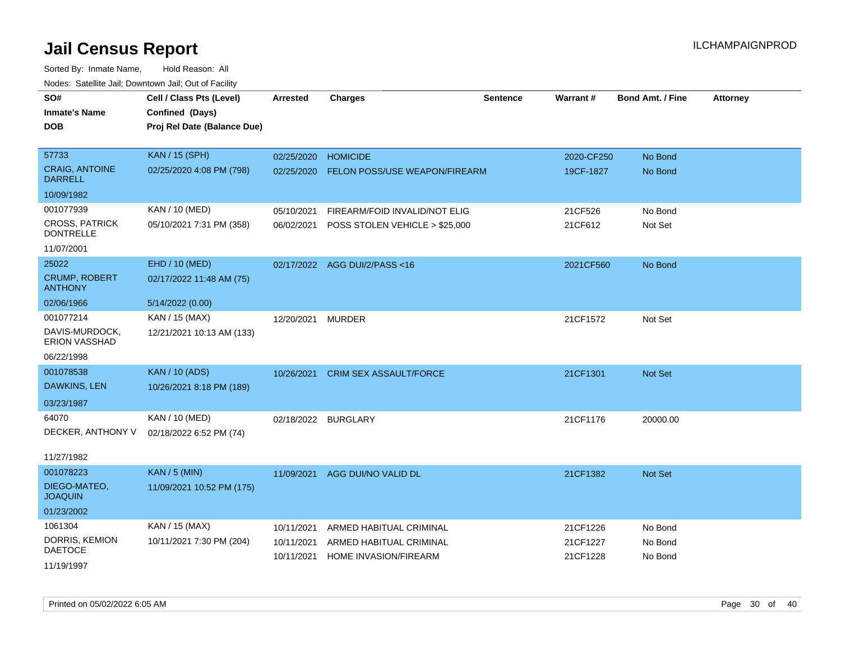| roaco. Catolino cali, Downtown cali, Out of Fability |                             |                     |                                |          |            |                         |                 |
|------------------------------------------------------|-----------------------------|---------------------|--------------------------------|----------|------------|-------------------------|-----------------|
| SO#                                                  | Cell / Class Pts (Level)    | <b>Arrested</b>     | <b>Charges</b>                 | Sentence | Warrant#   | <b>Bond Amt. / Fine</b> | <b>Attorney</b> |
| <b>Inmate's Name</b>                                 | Confined (Days)             |                     |                                |          |            |                         |                 |
| <b>DOB</b>                                           | Proj Rel Date (Balance Due) |                     |                                |          |            |                         |                 |
|                                                      |                             |                     |                                |          |            |                         |                 |
| 57733                                                | <b>KAN / 15 (SPH)</b>       | 02/25/2020          | <b>HOMICIDE</b>                |          | 2020-CF250 | No Bond                 |                 |
| <b>CRAIG, ANTOINE</b><br><b>DARRELL</b>              | 02/25/2020 4:08 PM (798)    | 02/25/2020          | FELON POSS/USE WEAPON/FIREARM  |          | 19CF-1827  | No Bond                 |                 |
| 10/09/1982                                           |                             |                     |                                |          |            |                         |                 |
| 001077939                                            | KAN / 10 (MED)              | 05/10/2021          | FIREARM/FOID INVALID/NOT ELIG  |          | 21CF526    | No Bond                 |                 |
| <b>CROSS, PATRICK</b><br><b>DONTRELLE</b>            | 05/10/2021 7:31 PM (358)    | 06/02/2021          | POSS STOLEN VEHICLE > \$25,000 |          | 21CF612    | Not Set                 |                 |
| 11/07/2001                                           |                             |                     |                                |          |            |                         |                 |
| 25022                                                | EHD / 10 (MED)              |                     | 02/17/2022 AGG DUI/2/PASS<16   |          | 2021CF560  | No Bond                 |                 |
| <b>CRUMP, ROBERT</b><br><b>ANTHONY</b>               | 02/17/2022 11:48 AM (75)    |                     |                                |          |            |                         |                 |
| 02/06/1966                                           | 5/14/2022 (0.00)            |                     |                                |          |            |                         |                 |
| 001077214                                            | KAN / 15 (MAX)              | 12/20/2021          | <b>MURDER</b>                  |          | 21CF1572   | Not Set                 |                 |
| DAVIS-MURDOCK,<br><b>ERION VASSHAD</b>               | 12/21/2021 10:13 AM (133)   |                     |                                |          |            |                         |                 |
| 06/22/1998                                           |                             |                     |                                |          |            |                         |                 |
| 001078538                                            | <b>KAN / 10 (ADS)</b>       | 10/26/2021          | CRIM SEX ASSAULT/FORCE         |          | 21CF1301   | Not Set                 |                 |
| DAWKINS, LEN                                         | 10/26/2021 8:18 PM (189)    |                     |                                |          |            |                         |                 |
| 03/23/1987                                           |                             |                     |                                |          |            |                         |                 |
| 64070                                                | KAN / 10 (MED)              | 02/18/2022 BURGLARY |                                |          | 21CF1176   | 20000.00                |                 |
| DECKER, ANTHONY V                                    | 02/18/2022 6:52 PM (74)     |                     |                                |          |            |                         |                 |
|                                                      |                             |                     |                                |          |            |                         |                 |
| 11/27/1982                                           |                             |                     |                                |          |            |                         |                 |
| 001078223                                            | <b>KAN / 5 (MIN)</b>        | 11/09/2021          | AGG DUI/NO VALID DL            |          | 21CF1382   | Not Set                 |                 |
| DIEGO-MATEO,<br><b>JOAQUIN</b>                       | 11/09/2021 10:52 PM (175)   |                     |                                |          |            |                         |                 |
| 01/23/2002                                           |                             |                     |                                |          |            |                         |                 |
| 1061304                                              | KAN / 15 (MAX)              | 10/11/2021          | ARMED HABITUAL CRIMINAL        |          | 21CF1226   | No Bond                 |                 |
| DORRIS, KEMION                                       | 10/11/2021 7:30 PM (204)    | 10/11/2021          | ARMED HABITUAL CRIMINAL        |          | 21CF1227   | No Bond                 |                 |
| <b>DAETOCE</b>                                       |                             | 10/11/2021          | HOME INVASION/FIREARM          |          | 21CF1228   | No Bond                 |                 |
| 11/19/1997                                           |                             |                     |                                |          |            |                         |                 |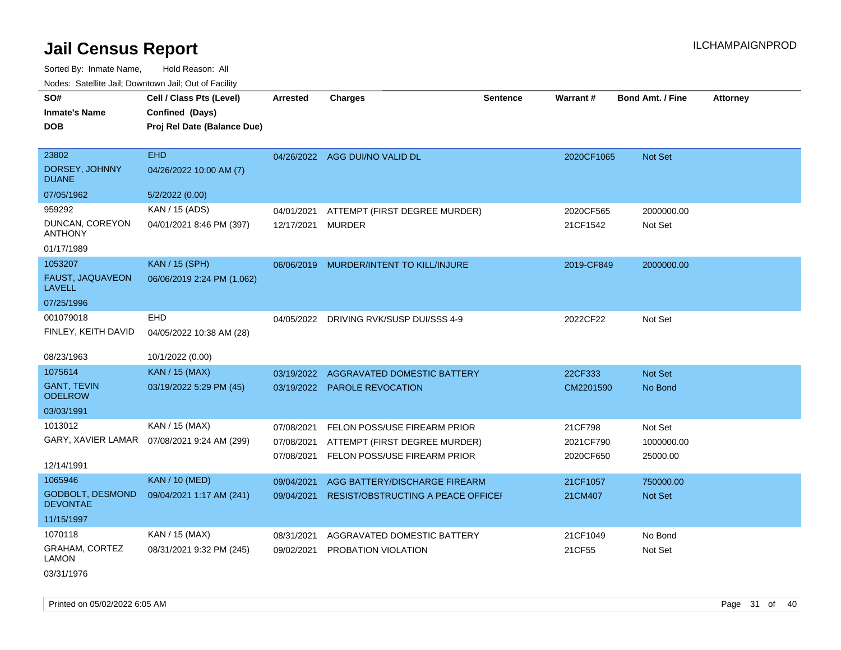Sorted By: Inmate Name, Hold Reason: All Nodes: Satellite Jail; Downtown Jail; Out of Facility

| SO#<br><b>Inmate's Name</b><br><b>DOB</b>  | Cell / Class Pts (Level)<br>Confined (Days)<br>Proj Rel Date (Balance Due) | Arrested   | <b>Charges</b>                            | <b>Sentence</b> | <b>Warrant#</b> | <b>Bond Amt. / Fine</b> | <b>Attorney</b> |
|--------------------------------------------|----------------------------------------------------------------------------|------------|-------------------------------------------|-----------------|-----------------|-------------------------|-----------------|
| 23802                                      | <b>EHD</b>                                                                 |            | 04/26/2022 AGG DUI/NO VALID DL            |                 | 2020CF1065      | Not Set                 |                 |
| DORSEY, JOHNNY<br><b>DUANE</b>             | 04/26/2022 10:00 AM (7)                                                    |            |                                           |                 |                 |                         |                 |
| 07/05/1962                                 | 5/2/2022 (0.00)                                                            |            |                                           |                 |                 |                         |                 |
| 959292                                     | KAN / 15 (ADS)                                                             | 04/01/2021 | ATTEMPT (FIRST DEGREE MURDER)             |                 | 2020CF565       | 2000000.00              |                 |
| DUNCAN, COREYON<br><b>ANTHONY</b>          | 04/01/2021 8:46 PM (397)                                                   | 12/17/2021 | <b>MURDER</b>                             |                 | 21CF1542        | Not Set                 |                 |
| 01/17/1989                                 |                                                                            |            |                                           |                 |                 |                         |                 |
| 1053207                                    | <b>KAN / 15 (SPH)</b>                                                      | 06/06/2019 | MURDER/INTENT TO KILL/INJURE              |                 | 2019-CF849      | 2000000.00              |                 |
| FAUST, JAQUAVEON<br><b>LAVELL</b>          | 06/06/2019 2:24 PM (1,062)                                                 |            |                                           |                 |                 |                         |                 |
| 07/25/1996                                 |                                                                            |            |                                           |                 |                 |                         |                 |
| 001079018                                  | EHD                                                                        | 04/05/2022 | DRIVING RVK/SUSP DUI/SSS 4-9              |                 | 2022CF22        | Not Set                 |                 |
| FINLEY, KEITH DAVID                        | 04/05/2022 10:38 AM (28)                                                   |            |                                           |                 |                 |                         |                 |
| 08/23/1963                                 | 10/1/2022 (0.00)                                                           |            |                                           |                 |                 |                         |                 |
| 1075614                                    | <b>KAN / 15 (MAX)</b>                                                      | 03/19/2022 | <b>AGGRAVATED DOMESTIC BATTERY</b>        |                 | 22CF333         | Not Set                 |                 |
| <b>GANT, TEVIN</b><br><b>ODELROW</b>       | 03/19/2022 5:29 PM (45)                                                    |            | 03/19/2022 PAROLE REVOCATION              |                 | CM2201590       | No Bond                 |                 |
| 03/03/1991                                 |                                                                            |            |                                           |                 |                 |                         |                 |
| 1013012                                    | KAN / 15 (MAX)                                                             | 07/08/2021 | FELON POSS/USE FIREARM PRIOR              |                 | 21CF798         | Not Set                 |                 |
| GARY, XAVIER LAMAR                         | 07/08/2021 9:24 AM (299)                                                   | 07/08/2021 | ATTEMPT (FIRST DEGREE MURDER)             |                 | 2021CF790       | 1000000.00              |                 |
| 12/14/1991                                 |                                                                            | 07/08/2021 | FELON POSS/USE FIREARM PRIOR              |                 | 2020CF650       | 25000.00                |                 |
| 1065946                                    | <b>KAN / 10 (MED)</b>                                                      | 09/04/2021 | AGG BATTERY/DISCHARGE FIREARM             |                 | 21CF1057        | 750000.00               |                 |
| <b>GODBOLT, DESMOND</b><br><b>DEVONTAE</b> | 09/04/2021 1:17 AM (241)                                                   | 09/04/2021 | <b>RESIST/OBSTRUCTING A PEACE OFFICEF</b> |                 | 21CM407         | Not Set                 |                 |
| 11/15/1997                                 |                                                                            |            |                                           |                 |                 |                         |                 |
| 1070118                                    | KAN / 15 (MAX)                                                             | 08/31/2021 | AGGRAVATED DOMESTIC BATTERY               |                 | 21CF1049        | No Bond                 |                 |
| GRAHAM, CORTEZ<br><b>LAMON</b>             | 08/31/2021 9:32 PM (245)                                                   | 09/02/2021 | PROBATION VIOLATION                       |                 | 21CF55          | Not Set                 |                 |

03/31/1976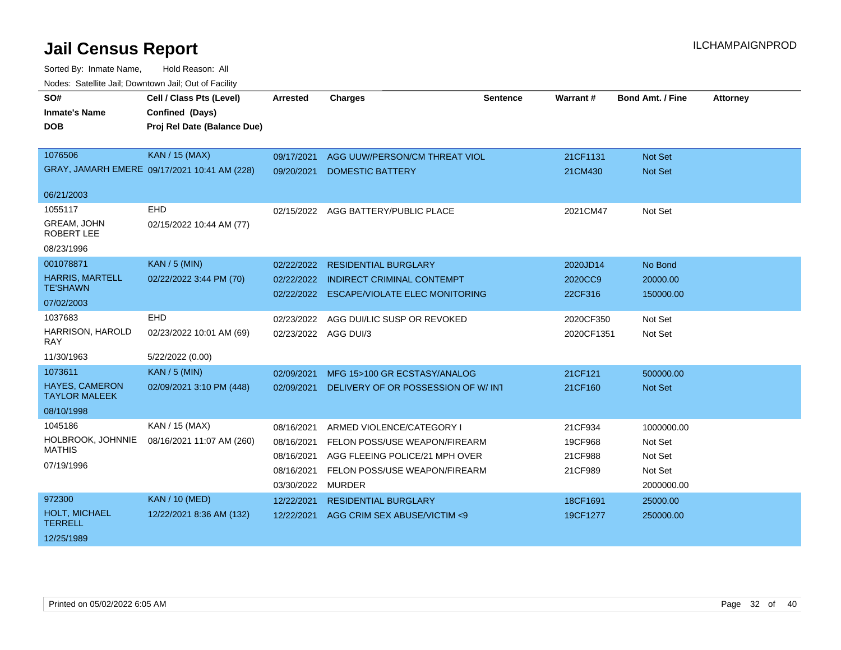| SO#                                           | Cell / Class Pts (Level)                     | <b>Arrested</b>      | <b>Charges</b>                        | <b>Sentence</b> | <b>Warrant#</b> | <b>Bond Amt. / Fine</b> | <b>Attorney</b> |
|-----------------------------------------------|----------------------------------------------|----------------------|---------------------------------------|-----------------|-----------------|-------------------------|-----------------|
| <b>Inmate's Name</b>                          | Confined (Days)                              |                      |                                       |                 |                 |                         |                 |
| <b>DOB</b>                                    | Proj Rel Date (Balance Due)                  |                      |                                       |                 |                 |                         |                 |
|                                               |                                              |                      |                                       |                 |                 |                         |                 |
| 1076506                                       | <b>KAN / 15 (MAX)</b>                        | 09/17/2021           | AGG UUW/PERSON/CM THREAT VIOL         |                 | 21CF1131        | <b>Not Set</b>          |                 |
|                                               | GRAY, JAMARH EMERE 09/17/2021 10:41 AM (228) | 09/20/2021           | <b>DOMESTIC BATTERY</b>               |                 | 21CM430         | Not Set                 |                 |
| 06/21/2003                                    |                                              |                      |                                       |                 |                 |                         |                 |
| 1055117                                       | <b>EHD</b>                                   |                      | 02/15/2022 AGG BATTERY/PUBLIC PLACE   |                 | 2021CM47        | Not Set                 |                 |
| GREAM, JOHN<br><b>ROBERT LEE</b>              | 02/15/2022 10:44 AM (77)                     |                      |                                       |                 |                 |                         |                 |
| 08/23/1996                                    |                                              |                      |                                       |                 |                 |                         |                 |
| 001078871                                     | <b>KAN / 5 (MIN)</b>                         | 02/22/2022           | <b>RESIDENTIAL BURGLARY</b>           |                 | 2020JD14        | No Bond                 |                 |
| <b>HARRIS, MARTELL</b>                        | 02/22/2022 3:44 PM (70)                      | 02/22/2022           | <b>INDIRECT CRIMINAL CONTEMPT</b>     |                 | 2020CC9         | 20000.00                |                 |
| <b>TE'SHAWN</b>                               |                                              | 02/22/2022           | <b>ESCAPE/VIOLATE ELEC MONITORING</b> |                 | 22CF316         | 150000.00               |                 |
| 07/02/2003                                    |                                              |                      |                                       |                 |                 |                         |                 |
| 1037683                                       | <b>EHD</b>                                   | 02/23/2022           | AGG DUI/LIC SUSP OR REVOKED           |                 | 2020CF350       | Not Set                 |                 |
| HARRISON, HAROLD<br>RAY                       | 02/23/2022 10:01 AM (69)                     | 02/23/2022 AGG DUI/3 |                                       |                 | 2020CF1351      | Not Set                 |                 |
| 11/30/1963                                    | 5/22/2022 (0.00)                             |                      |                                       |                 |                 |                         |                 |
| 1073611                                       | <b>KAN / 5 (MIN)</b>                         | 02/09/2021           | MFG 15>100 GR ECSTASY/ANALOG          |                 | 21CF121         | 500000.00               |                 |
| <b>HAYES, CAMERON</b><br><b>TAYLOR MALEEK</b> | 02/09/2021 3:10 PM (448)                     | 02/09/2021           | DELIVERY OF OR POSSESSION OF W/INT    |                 | 21CF160         | Not Set                 |                 |
| 08/10/1998                                    |                                              |                      |                                       |                 |                 |                         |                 |
| 1045186                                       | KAN / 15 (MAX)                               | 08/16/2021           | ARMED VIOLENCE/CATEGORY I             |                 | 21CF934         | 1000000.00              |                 |
| HOLBROOK, JOHNNIE                             | 08/16/2021 11:07 AM (260)                    | 08/16/2021           | FELON POSS/USE WEAPON/FIREARM         |                 | 19CF968         | Not Set                 |                 |
| <b>MATHIS</b>                                 |                                              | 08/16/2021           | AGG FLEEING POLICE/21 MPH OVER        |                 | 21CF988         | Not Set                 |                 |
| 07/19/1996                                    |                                              | 08/16/2021           | FELON POSS/USE WEAPON/FIREARM         |                 | 21CF989         | Not Set                 |                 |
|                                               |                                              | 03/30/2022           | <b>MURDER</b>                         |                 |                 | 2000000.00              |                 |
| 972300                                        | <b>KAN / 10 (MED)</b>                        | 12/22/2021           | <b>RESIDENTIAL BURGLARY</b>           |                 | 18CF1691        | 25000.00                |                 |
| HOLT, MICHAEL<br><b>TERRELL</b>               | 12/22/2021 8:36 AM (132)                     | 12/22/2021           | AGG CRIM SEX ABUSE/VICTIM <9          |                 | 19CF1277        | 250000.00               |                 |
| 12/25/1989                                    |                                              |                      |                                       |                 |                 |                         |                 |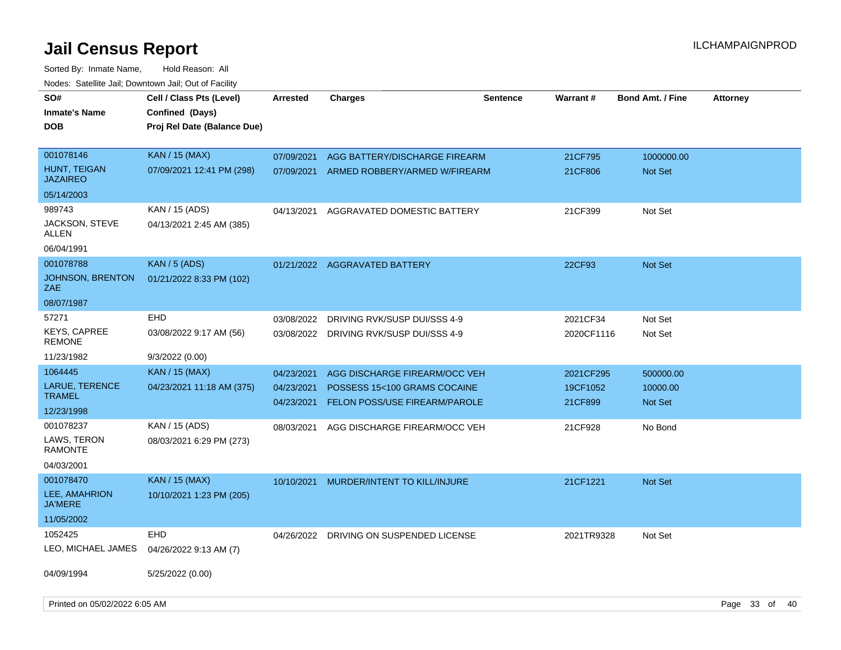Sorted By: Inmate Name, Hold Reason: All

| Nodes: Satellite Jail; Downtown Jail; Out of Facility |                             |                          |                                                               |                 |                     |                         |                 |  |
|-------------------------------------------------------|-----------------------------|--------------------------|---------------------------------------------------------------|-----------------|---------------------|-------------------------|-----------------|--|
| SO#                                                   | Cell / Class Pts (Level)    | <b>Arrested</b>          | <b>Charges</b>                                                | <b>Sentence</b> | <b>Warrant#</b>     | <b>Bond Amt. / Fine</b> | <b>Attorney</b> |  |
| <b>Inmate's Name</b>                                  | Confined (Days)             |                          |                                                               |                 |                     |                         |                 |  |
| <b>DOB</b>                                            | Proj Rel Date (Balance Due) |                          |                                                               |                 |                     |                         |                 |  |
|                                                       |                             |                          |                                                               |                 |                     |                         |                 |  |
| 001078146                                             | <b>KAN</b> / 15 (MAX)       | 07/09/2021               | AGG BATTERY/DISCHARGE FIREARM                                 |                 | 21CF795             | 1000000.00              |                 |  |
| HUNT, TEIGAN<br><b>JAZAIREO</b>                       | 07/09/2021 12:41 PM (298)   | 07/09/2021               | ARMED ROBBERY/ARMED W/FIREARM                                 |                 | 21CF806             | Not Set                 |                 |  |
| 05/14/2003                                            |                             |                          |                                                               |                 |                     |                         |                 |  |
| 989743                                                | KAN / 15 (ADS)              | 04/13/2021               | AGGRAVATED DOMESTIC BATTERY                                   |                 | 21CF399             | Not Set                 |                 |  |
| JACKSON, STEVE<br>ALLEN                               | 04/13/2021 2:45 AM (385)    |                          |                                                               |                 |                     |                         |                 |  |
| 06/04/1991                                            |                             |                          |                                                               |                 |                     |                         |                 |  |
| 001078788                                             | <b>KAN / 5 (ADS)</b>        |                          | 01/21/2022 AGGRAVATED BATTERY                                 |                 | 22CF93              | <b>Not Set</b>          |                 |  |
| <b>JOHNSON, BRENTON</b><br>ZAE                        | 01/21/2022 8:33 PM (102)    |                          |                                                               |                 |                     |                         |                 |  |
| 08/07/1987                                            |                             |                          |                                                               |                 |                     |                         |                 |  |
| 57271                                                 | EHD                         | 03/08/2022               | DRIVING RVK/SUSP DUI/SSS 4-9                                  |                 | 2021CF34            | Not Set                 |                 |  |
| <b>KEYS, CAPREE</b><br><b>REMONE</b>                  | 03/08/2022 9:17 AM (56)     |                          | 03/08/2022 DRIVING RVK/SUSP DUI/SSS 4-9                       |                 | 2020CF1116          | Not Set                 |                 |  |
| 11/23/1982                                            | 9/3/2022 (0.00)             |                          |                                                               |                 |                     |                         |                 |  |
| 1064445                                               | <b>KAN</b> / 15 (MAX)       | 04/23/2021               | AGG DISCHARGE FIREARM/OCC VEH                                 |                 | 2021CF295           | 500000.00               |                 |  |
| LARUE, TERENCE<br><b>TRAMEL</b>                       | 04/23/2021 11:18 AM (375)   | 04/23/2021<br>04/23/2021 | POSSESS 15<100 GRAMS COCAINE<br>FELON POSS/USE FIREARM/PAROLE |                 | 19CF1052<br>21CF899 | 10000.00<br>Not Set     |                 |  |
| 12/23/1998                                            |                             |                          |                                                               |                 |                     |                         |                 |  |
| 001078237                                             | KAN / 15 (ADS)              | 08/03/2021               | AGG DISCHARGE FIREARM/OCC VEH                                 |                 | 21CF928             | No Bond                 |                 |  |
| LAWS, TERON<br><b>RAMONTE</b>                         | 08/03/2021 6:29 PM (273)    |                          |                                                               |                 |                     |                         |                 |  |
| 04/03/2001                                            |                             |                          |                                                               |                 |                     |                         |                 |  |
| 001078470                                             | <b>KAN / 15 (MAX)</b>       | 10/10/2021               | MURDER/INTENT TO KILL/INJURE                                  |                 | 21CF1221            | Not Set                 |                 |  |
| LEE, AMAHRION<br><b>JA'MERE</b>                       | 10/10/2021 1:23 PM (205)    |                          |                                                               |                 |                     |                         |                 |  |
| 11/05/2002                                            |                             |                          |                                                               |                 |                     |                         |                 |  |
| 1052425                                               | <b>EHD</b>                  | 04/26/2022               | DRIVING ON SUSPENDED LICENSE                                  |                 | 2021TR9328          | Not Set                 |                 |  |
| LEO, MICHAEL JAMES                                    | 04/26/2022 9:13 AM (7)      |                          |                                                               |                 |                     |                         |                 |  |
| 04/09/1994                                            | 5/25/2022 (0.00)            |                          |                                                               |                 |                     |                         |                 |  |
| Printed on 05/02/2022 6:05 AM                         |                             |                          |                                                               |                 |                     |                         | Page 33 of 40   |  |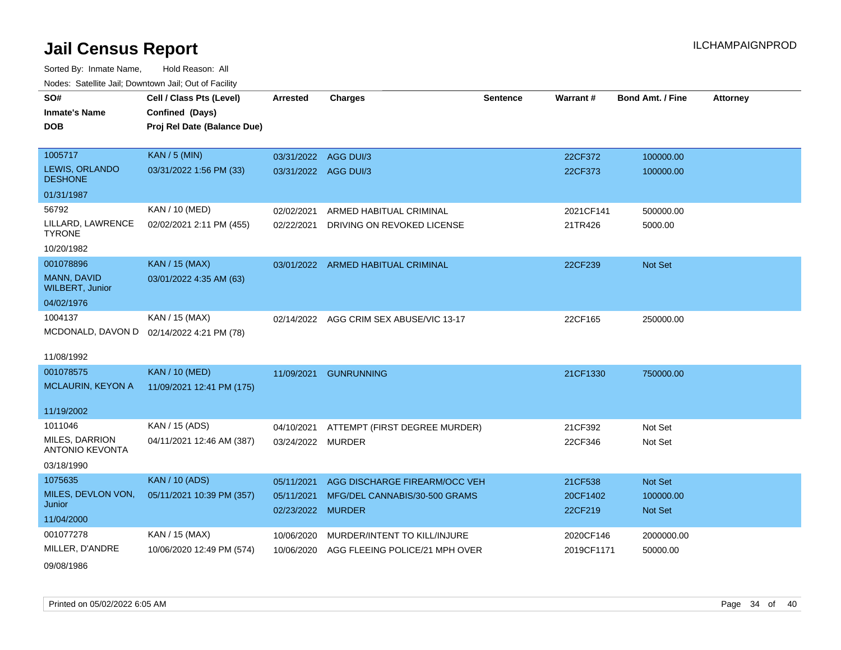| roaco. Oatomto dan, Downtown dan, Oat or Fability |                             |                      |                                         |                 |            |                         |                 |
|---------------------------------------------------|-----------------------------|----------------------|-----------------------------------------|-----------------|------------|-------------------------|-----------------|
| SO#                                               | Cell / Class Pts (Level)    | <b>Arrested</b>      | <b>Charges</b>                          | <b>Sentence</b> | Warrant#   | <b>Bond Amt. / Fine</b> | <b>Attorney</b> |
| <b>Inmate's Name</b>                              | Confined (Days)             |                      |                                         |                 |            |                         |                 |
| <b>DOB</b>                                        | Proj Rel Date (Balance Due) |                      |                                         |                 |            |                         |                 |
|                                                   |                             |                      |                                         |                 |            |                         |                 |
| 1005717                                           | <b>KAN / 5 (MIN)</b>        | 03/31/2022 AGG DUI/3 |                                         |                 | 22CF372    | 100000.00               |                 |
| LEWIS, ORLANDO<br><b>DESHONE</b>                  | 03/31/2022 1:56 PM (33)     | 03/31/2022 AGG DUI/3 |                                         |                 | 22CF373    | 100000.00               |                 |
| 01/31/1987                                        |                             |                      |                                         |                 |            |                         |                 |
| 56792                                             | KAN / 10 (MED)              | 02/02/2021           | ARMED HABITUAL CRIMINAL                 |                 | 2021CF141  | 500000.00               |                 |
| LILLARD, LAWRENCE<br><b>TYRONE</b>                | 02/02/2021 2:11 PM (455)    | 02/22/2021           | DRIVING ON REVOKED LICENSE              |                 | 21TR426    | 5000.00                 |                 |
| 10/20/1982                                        |                             |                      |                                         |                 |            |                         |                 |
| 001078896                                         | <b>KAN / 15 (MAX)</b>       |                      | 03/01/2022 ARMED HABITUAL CRIMINAL      |                 | 22CF239    | Not Set                 |                 |
| <b>MANN, DAVID</b><br><b>WILBERT, Junior</b>      | 03/01/2022 4:35 AM (63)     |                      |                                         |                 |            |                         |                 |
| 04/02/1976                                        |                             |                      |                                         |                 |            |                         |                 |
| 1004137                                           | KAN / 15 (MAX)              |                      | 02/14/2022 AGG CRIM SEX ABUSE/VIC 13-17 |                 | 22CF165    | 250000.00               |                 |
| MCDONALD, DAVON D                                 | 02/14/2022 4:21 PM (78)     |                      |                                         |                 |            |                         |                 |
| 11/08/1992                                        |                             |                      |                                         |                 |            |                         |                 |
| 001078575                                         | <b>KAN / 10 (MED)</b>       | 11/09/2021           | <b>GUNRUNNING</b>                       |                 | 21CF1330   | 750000.00               |                 |
| <b>MCLAURIN, KEYON A</b>                          | 11/09/2021 12:41 PM (175)   |                      |                                         |                 |            |                         |                 |
| 11/19/2002                                        |                             |                      |                                         |                 |            |                         |                 |
| 1011046                                           | KAN / 15 (ADS)              | 04/10/2021           | ATTEMPT (FIRST DEGREE MURDER)           |                 | 21CF392    | Not Set                 |                 |
| MILES, DARRION<br><b>ANTONIO KEVONTA</b>          | 04/11/2021 12:46 AM (387)   | 03/24/2022 MURDER    |                                         |                 | 22CF346    | Not Set                 |                 |
| 03/18/1990                                        |                             |                      |                                         |                 |            |                         |                 |
| 1075635                                           | <b>KAN / 10 (ADS)</b>       | 05/11/2021           | AGG DISCHARGE FIREARM/OCC VEH           |                 | 21CF538    | Not Set                 |                 |
| MILES, DEVLON VON,<br>Junior                      | 05/11/2021 10:39 PM (357)   | 05/11/2021           | MFG/DEL CANNABIS/30-500 GRAMS           |                 | 20CF1402   | 100000.00               |                 |
| 11/04/2000                                        |                             | 02/23/2022           | <b>MURDER</b>                           |                 | 22CF219    | <b>Not Set</b>          |                 |
| 001077278                                         |                             |                      |                                         |                 |            |                         |                 |
|                                                   | KAN / 15 (MAX)              | 10/06/2020           | MURDER/INTENT TO KILL/INJURE            |                 | 2020CF146  | 2000000.00              |                 |
| MILLER, D'ANDRE                                   | 10/06/2020 12:49 PM (574)   | 10/06/2020           | AGG FLEEING POLICE/21 MPH OVER          |                 | 2019CF1171 | 50000.00                |                 |
| 09/08/1986                                        |                             |                      |                                         |                 |            |                         |                 |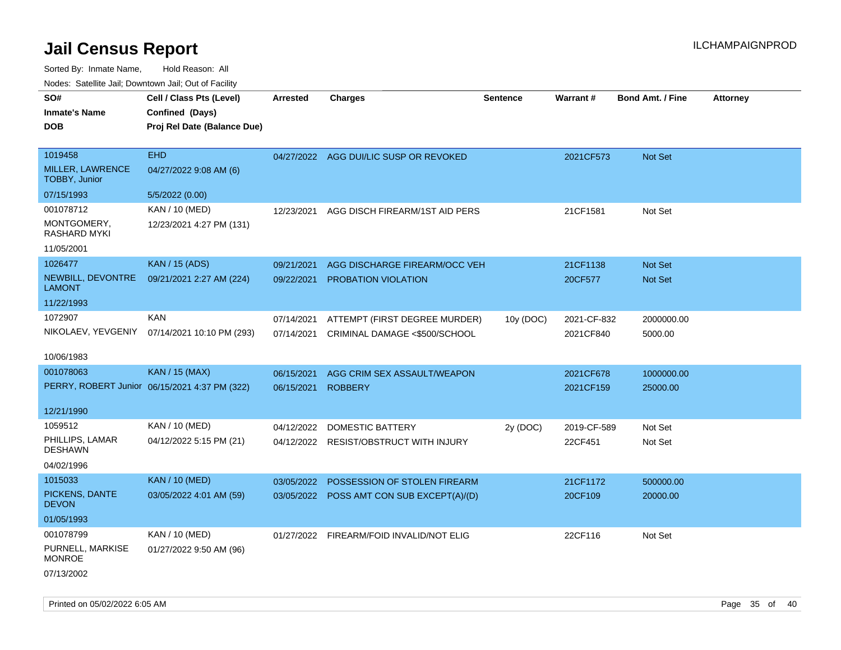| rougs. Calcing Jan, Downtown Jan, Out of Facility |                                                                            |                 |                                           |                 |             |                         |                 |
|---------------------------------------------------|----------------------------------------------------------------------------|-----------------|-------------------------------------------|-----------------|-------------|-------------------------|-----------------|
| SO#<br><b>Inmate's Name</b><br><b>DOB</b>         | Cell / Class Pts (Level)<br>Confined (Days)<br>Proj Rel Date (Balance Due) | <b>Arrested</b> | <b>Charges</b>                            | <b>Sentence</b> | Warrant#    | <b>Bond Amt. / Fine</b> | <b>Attorney</b> |
| 1019458                                           | <b>EHD</b>                                                                 |                 | 04/27/2022 AGG DUI/LIC SUSP OR REVOKED    |                 | 2021CF573   | Not Set                 |                 |
| MILLER, LAWRENCE<br><b>TOBBY, Junior</b>          | 04/27/2022 9:08 AM (6)                                                     |                 |                                           |                 |             |                         |                 |
| 07/15/1993                                        | 5/5/2022 (0.00)                                                            |                 |                                           |                 |             |                         |                 |
| 001078712                                         | KAN / 10 (MED)                                                             | 12/23/2021      | AGG DISCH FIREARM/1ST AID PERS            |                 | 21CF1581    | Not Set                 |                 |
| MONTGOMERY,<br>RASHARD MYKI                       | 12/23/2021 4:27 PM (131)                                                   |                 |                                           |                 |             |                         |                 |
| 11/05/2001                                        |                                                                            |                 |                                           |                 |             |                         |                 |
| 1026477                                           | <b>KAN / 15 (ADS)</b>                                                      | 09/21/2021      | AGG DISCHARGE FIREARM/OCC VEH             |                 | 21CF1138    | Not Set                 |                 |
| NEWBILL, DEVONTRE<br><b>LAMONT</b>                | 09/21/2021 2:27 AM (224)                                                   | 09/22/2021      | <b>PROBATION VIOLATION</b>                |                 | 20CF577     | <b>Not Set</b>          |                 |
| 11/22/1993                                        |                                                                            |                 |                                           |                 |             |                         |                 |
| 1072907                                           | <b>KAN</b>                                                                 | 07/14/2021      | ATTEMPT (FIRST DEGREE MURDER)             | 10y (DOC)       | 2021-CF-832 | 2000000.00              |                 |
|                                                   | NIKOLAEV, YEVGENIY 07/14/2021 10:10 PM (293)                               | 07/14/2021      | CRIMINAL DAMAGE <\$500/SCHOOL             |                 | 2021CF840   | 5000.00                 |                 |
| 10/06/1983                                        |                                                                            |                 |                                           |                 |             |                         |                 |
| 001078063                                         | <b>KAN / 15 (MAX)</b>                                                      | 06/15/2021      | AGG CRIM SEX ASSAULT/WEAPON               |                 | 2021CF678   | 1000000.00              |                 |
|                                                   | PERRY, ROBERT Junior 06/15/2021 4:37 PM (322)                              | 06/15/2021      | <b>ROBBERY</b>                            |                 | 2021CF159   | 25000.00                |                 |
| 12/21/1990                                        |                                                                            |                 |                                           |                 |             |                         |                 |
| 1059512                                           | KAN / 10 (MED)                                                             | 04/12/2022      | DOMESTIC BATTERY                          | 2y (DOC)        | 2019-CF-589 | Not Set                 |                 |
| PHILLIPS, LAMAR<br><b>DESHAWN</b>                 | 04/12/2022 5:15 PM (21)                                                    |                 | 04/12/2022 RESIST/OBSTRUCT WITH INJURY    |                 | 22CF451     | Not Set                 |                 |
| 04/02/1996                                        |                                                                            |                 |                                           |                 |             |                         |                 |
| 1015033                                           | <b>KAN / 10 (MED)</b>                                                      | 03/05/2022      | POSSESSION OF STOLEN FIREARM              |                 | 21CF1172    | 500000.00               |                 |
| PICKENS, DANTE<br><b>DEVON</b>                    | 03/05/2022 4:01 AM (59)                                                    |                 | 03/05/2022 POSS AMT CON SUB EXCEPT(A)/(D) |                 | 20CF109     | 20000.00                |                 |
| 01/05/1993                                        |                                                                            |                 |                                           |                 |             |                         |                 |
| 001078799                                         | KAN / 10 (MED)                                                             |                 | 01/27/2022 FIREARM/FOID INVALID/NOT ELIG  |                 | 22CF116     | Not Set                 |                 |
| PURNELL, MARKISE<br><b>MONROE</b>                 | 01/27/2022 9:50 AM (96)                                                    |                 |                                           |                 |             |                         |                 |
| 07/13/2002                                        |                                                                            |                 |                                           |                 |             |                         |                 |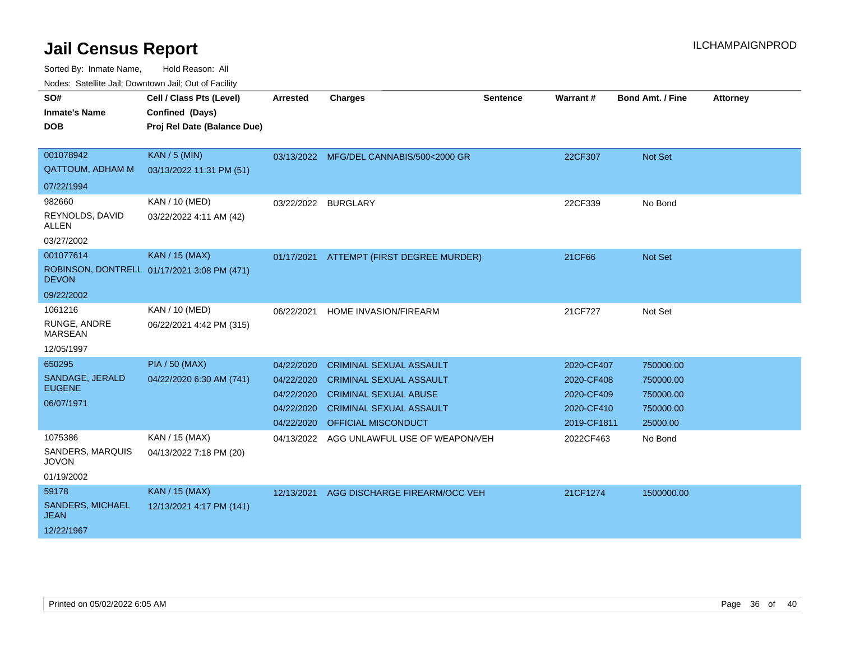| SO#<br><b>Inmate's Name</b><br><b>DOB</b>                      | Cell / Class Pts (Level)<br>Confined (Days)<br>Proj Rel Date (Balance Due) | Arrested                                                           | <b>Charges</b>                                                                                                                                            | <b>Sentence</b> | Warrant#                                                            | <b>Bond Amt. / Fine</b>                                      | <b>Attorney</b> |
|----------------------------------------------------------------|----------------------------------------------------------------------------|--------------------------------------------------------------------|-----------------------------------------------------------------------------------------------------------------------------------------------------------|-----------------|---------------------------------------------------------------------|--------------------------------------------------------------|-----------------|
| 001078942<br><b>QATTOUM, ADHAM M</b>                           | <b>KAN / 5 (MIN)</b><br>03/13/2022 11:31 PM (51)                           |                                                                    | 03/13/2022 MFG/DEL CANNABIS/500<2000 GR                                                                                                                   |                 | 22CF307                                                             | Not Set                                                      |                 |
| 07/22/1994<br>982660<br>REYNOLDS, DAVID<br>ALLEN<br>03/27/2002 | KAN / 10 (MED)<br>03/22/2022 4:11 AM (42)                                  | 03/22/2022 BURGLARY                                                |                                                                                                                                                           |                 | 22CF339                                                             | No Bond                                                      |                 |
| 001077614<br><b>DEVON</b><br>09/22/2002                        | <b>KAN / 15 (MAX)</b><br>ROBINSON, DONTRELL 01/17/2021 3:08 PM (471)       |                                                                    | 01/17/2021 ATTEMPT (FIRST DEGREE MURDER)                                                                                                                  |                 | 21CF66                                                              | Not Set                                                      |                 |
| 1061216<br>RUNGE, ANDRE<br><b>MARSEAN</b><br>12/05/1997        | KAN / 10 (MED)<br>06/22/2021 4:42 PM (315)                                 | 06/22/2021                                                         | HOME INVASION/FIREARM                                                                                                                                     |                 | 21CF727                                                             | Not Set                                                      |                 |
| 650295<br>SANDAGE, JERALD<br><b>EUGENE</b><br>06/07/1971       | <b>PIA / 50 (MAX)</b><br>04/22/2020 6:30 AM (741)                          | 04/22/2020<br>04/22/2020<br>04/22/2020<br>04/22/2020<br>04/22/2020 | <b>CRIMINAL SEXUAL ASSAULT</b><br><b>CRIMINAL SEXUAL ASSAULT</b><br><b>CRIMINAL SEXUAL ABUSE</b><br><b>CRIMINAL SEXUAL ASSAULT</b><br>OFFICIAL MISCONDUCT |                 | 2020-CF407<br>2020-CF408<br>2020-CF409<br>2020-CF410<br>2019-CF1811 | 750000.00<br>750000.00<br>750000.00<br>750000.00<br>25000.00 |                 |
| 1075386<br>SANDERS, MARQUIS<br><b>JOVON</b><br>01/19/2002      | KAN / 15 (MAX)<br>04/13/2022 7:18 PM (20)                                  | 04/13/2022                                                         | AGG UNLAWFUL USE OF WEAPON/VEH                                                                                                                            |                 | 2022CF463                                                           | No Bond                                                      |                 |
| 59178<br>SANDERS, MICHAEL<br><b>JEAN</b><br>12/22/1967         | <b>KAN / 15 (MAX)</b><br>12/13/2021 4:17 PM (141)                          | 12/13/2021                                                         | AGG DISCHARGE FIREARM/OCC VEH                                                                                                                             |                 | 21CF1274                                                            | 1500000.00                                                   |                 |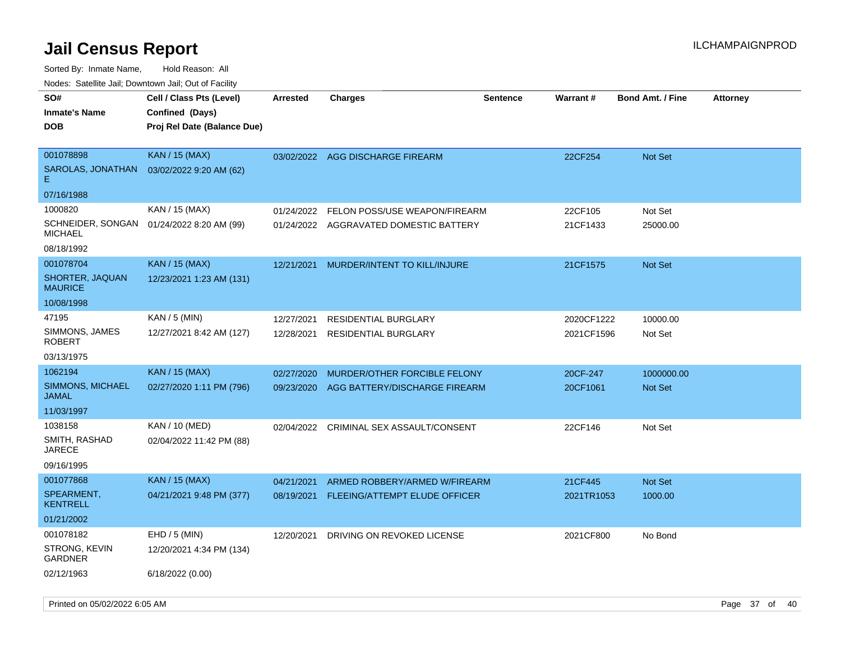| Todoo. Catolino can, Bowritown can, Oat or I domt<br>SO#<br><b>Inmate's Name</b><br><b>DOB</b> | Cell / Class Pts (Level)<br>Confined (Days)<br>Proj Rel Date (Balance Due) | <b>Arrested</b>          | <b>Charges</b>                                             | <b>Sentence</b> | Warrant#                 | <b>Bond Amt. / Fine</b> | <b>Attorney</b> |
|------------------------------------------------------------------------------------------------|----------------------------------------------------------------------------|--------------------------|------------------------------------------------------------|-----------------|--------------------------|-------------------------|-----------------|
| 001078898<br>SAROLAS, JONATHAN<br>E.<br>07/16/1988                                             | <b>KAN / 15 (MAX)</b><br>03/02/2022 9:20 AM (62)                           | 03/02/2022               | AGG DISCHARGE FIREARM                                      |                 | 22CF254                  | <b>Not Set</b>          |                 |
| 1000820                                                                                        | KAN / 15 (MAX)                                                             | 01/24/2022               | FELON POSS/USE WEAPON/FIREARM                              |                 | 22CF105                  | Not Set                 |                 |
| SCHNEIDER, SONGAN<br><b>MICHAEL</b>                                                            | 01/24/2022 8:20 AM (99)                                                    | 01/24/2022               | AGGRAVATED DOMESTIC BATTERY                                |                 | 21CF1433                 | 25000.00                |                 |
| 08/18/1992                                                                                     |                                                                            |                          |                                                            |                 |                          |                         |                 |
| 001078704                                                                                      | <b>KAN / 15 (MAX)</b>                                                      | 12/21/2021               | MURDER/INTENT TO KILL/INJURE                               |                 | 21CF1575                 | Not Set                 |                 |
| SHORTER, JAQUAN<br><b>MAURICE</b>                                                              | 12/23/2021 1:23 AM (131)                                                   |                          |                                                            |                 |                          |                         |                 |
| 10/08/1998                                                                                     |                                                                            |                          |                                                            |                 |                          |                         |                 |
| 47195<br>SIMMONS, JAMES<br><b>ROBERT</b>                                                       | KAN / 5 (MIN)<br>12/27/2021 8:42 AM (127)                                  | 12/27/2021<br>12/28/2021 | <b>RESIDENTIAL BURGLARY</b><br><b>RESIDENTIAL BURGLARY</b> |                 | 2020CF1222<br>2021CF1596 | 10000.00<br>Not Set     |                 |
| 03/13/1975                                                                                     |                                                                            |                          |                                                            |                 |                          |                         |                 |
| 1062194                                                                                        | <b>KAN / 15 (MAX)</b>                                                      | 02/27/2020               | MURDER/OTHER FORCIBLE FELONY                               |                 | 20CF-247                 | 1000000.00              |                 |
| SIMMONS, MICHAEL<br>JAMAL                                                                      | 02/27/2020 1:11 PM (796)                                                   | 09/23/2020               | AGG BATTERY/DISCHARGE FIREARM                              |                 | 20CF1061                 | Not Set                 |                 |
| 11/03/1997                                                                                     |                                                                            |                          |                                                            |                 |                          |                         |                 |
| 1038158<br>SMITH, RASHAD<br><b>JARECE</b>                                                      | KAN / 10 (MED)<br>02/04/2022 11:42 PM (88)                                 | 02/04/2022               | CRIMINAL SEX ASSAULT/CONSENT                               |                 | 22CF146                  | Not Set                 |                 |
| 09/16/1995                                                                                     |                                                                            |                          |                                                            |                 |                          |                         |                 |
| 001077868                                                                                      | <b>KAN / 15 (MAX)</b>                                                      | 04/21/2021               | ARMED ROBBERY/ARMED W/FIREARM                              |                 | 21CF445                  | Not Set                 |                 |
| SPEARMENT,<br><b>KENTRELL</b>                                                                  | 04/21/2021 9:48 PM (377)                                                   | 08/19/2021               | FLEEING/ATTEMPT ELUDE OFFICER                              |                 | 2021TR1053               | 1000.00                 |                 |
| 01/21/2002                                                                                     |                                                                            |                          |                                                            |                 |                          |                         |                 |
| 001078182<br>STRONG, KEVIN<br><b>GARDNER</b>                                                   | EHD / 5 (MIN)<br>12/20/2021 4:34 PM (134)                                  | 12/20/2021               | DRIVING ON REVOKED LICENSE                                 |                 | 2021CF800                | No Bond                 |                 |
| 02/12/1963                                                                                     | 6/18/2022 (0.00)                                                           |                          |                                                            |                 |                          |                         |                 |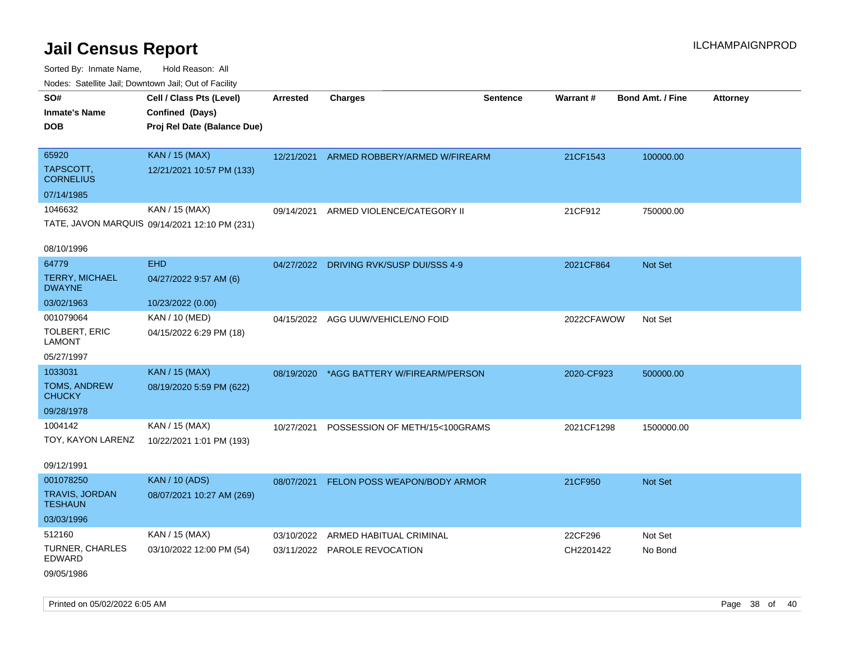Sorted By: Inmate Name, Hold Reason: All Nodes: Satellite Jail; Downtown Jail; Out of Facility

| ivouss. Saleling Jali, Downtown Jali, Out of Facility |                                               |                 |                                          |                 |            |                         |                 |
|-------------------------------------------------------|-----------------------------------------------|-----------------|------------------------------------------|-----------------|------------|-------------------------|-----------------|
| SO#                                                   | Cell / Class Pts (Level)                      | <b>Arrested</b> | <b>Charges</b>                           | <b>Sentence</b> | Warrant#   | <b>Bond Amt. / Fine</b> | <b>Attorney</b> |
| <b>Inmate's Name</b>                                  | Confined (Days)                               |                 |                                          |                 |            |                         |                 |
| <b>DOB</b>                                            | Proj Rel Date (Balance Due)                   |                 |                                          |                 |            |                         |                 |
|                                                       |                                               |                 |                                          |                 |            |                         |                 |
| 65920                                                 | <b>KAN / 15 (MAX)</b>                         |                 | 12/21/2021 ARMED ROBBERY/ARMED W/FIREARM |                 | 21CF1543   | 100000.00               |                 |
| TAPSCOTT,<br><b>CORNELIUS</b>                         | 12/21/2021 10:57 PM (133)                     |                 |                                          |                 |            |                         |                 |
| 07/14/1985                                            |                                               |                 |                                          |                 |            |                         |                 |
| 1046632                                               | KAN / 15 (MAX)                                |                 | 09/14/2021 ARMED VIOLENCE/CATEGORY II    |                 | 21CF912    | 750000.00               |                 |
|                                                       | TATE, JAVON MARQUIS 09/14/2021 12:10 PM (231) |                 |                                          |                 |            |                         |                 |
|                                                       |                                               |                 |                                          |                 |            |                         |                 |
| 08/10/1996                                            |                                               |                 |                                          |                 |            |                         |                 |
| 64779                                                 | <b>EHD</b>                                    |                 | 04/27/2022 DRIVING RVK/SUSP DUI/SSS 4-9  |                 | 2021CF864  | Not Set                 |                 |
| <b>TERRY, MICHAEL</b><br><b>DWAYNE</b>                | 04/27/2022 9:57 AM (6)                        |                 |                                          |                 |            |                         |                 |
| 03/02/1963                                            | 10/23/2022 (0.00)                             |                 |                                          |                 |            |                         |                 |
| 001079064                                             | KAN / 10 (MED)                                |                 | 04/15/2022 AGG UUW/VEHICLE/NO FOID       |                 | 2022CFAWOW | Not Set                 |                 |
| <b>TOLBERT, ERIC</b><br><b>LAMONT</b>                 | 04/15/2022 6:29 PM (18)                       |                 |                                          |                 |            |                         |                 |
| 05/27/1997                                            |                                               |                 |                                          |                 |            |                         |                 |
| 1033031                                               | <b>KAN / 15 (MAX)</b>                         | 08/19/2020      | *AGG BATTERY W/FIREARM/PERSON            |                 | 2020-CF923 | 500000.00               |                 |
| TOMS, ANDREW<br><b>CHUCKY</b>                         | 08/19/2020 5:59 PM (622)                      |                 |                                          |                 |            |                         |                 |
| 09/28/1978                                            |                                               |                 |                                          |                 |            |                         |                 |
| 1004142                                               | KAN / 15 (MAX)                                | 10/27/2021      | POSSESSION OF METH/15<100GRAMS           |                 | 2021CF1298 | 1500000.00              |                 |
| TOY, KAYON LARENZ                                     | 10/22/2021 1:01 PM (193)                      |                 |                                          |                 |            |                         |                 |
|                                                       |                                               |                 |                                          |                 |            |                         |                 |
| 09/12/1991                                            |                                               |                 |                                          |                 |            |                         |                 |
| 001078250                                             | <b>KAN / 10 (ADS)</b>                         |                 | 08/07/2021 FELON POSS WEAPON/BODY ARMOR  |                 | 21CF950    | Not Set                 |                 |
| <b>TRAVIS, JORDAN</b><br><b>TESHAUN</b>               | 08/07/2021 10:27 AM (269)                     |                 |                                          |                 |            |                         |                 |
| 03/03/1996                                            |                                               |                 |                                          |                 |            |                         |                 |
| 512160                                                | KAN / 15 (MAX)                                | 03/10/2022      | ARMED HABITUAL CRIMINAL                  |                 | 22CF296    | Not Set                 |                 |
| <b>TURNER, CHARLES</b><br>EDWARD                      | 03/10/2022 12:00 PM (54)                      |                 | 03/11/2022 PAROLE REVOCATION             |                 | CH2201422  | No Bond                 |                 |
| 09/05/1986                                            |                                               |                 |                                          |                 |            |                         |                 |

Printed on 05/02/2022 6:05 AM Page 38 of 40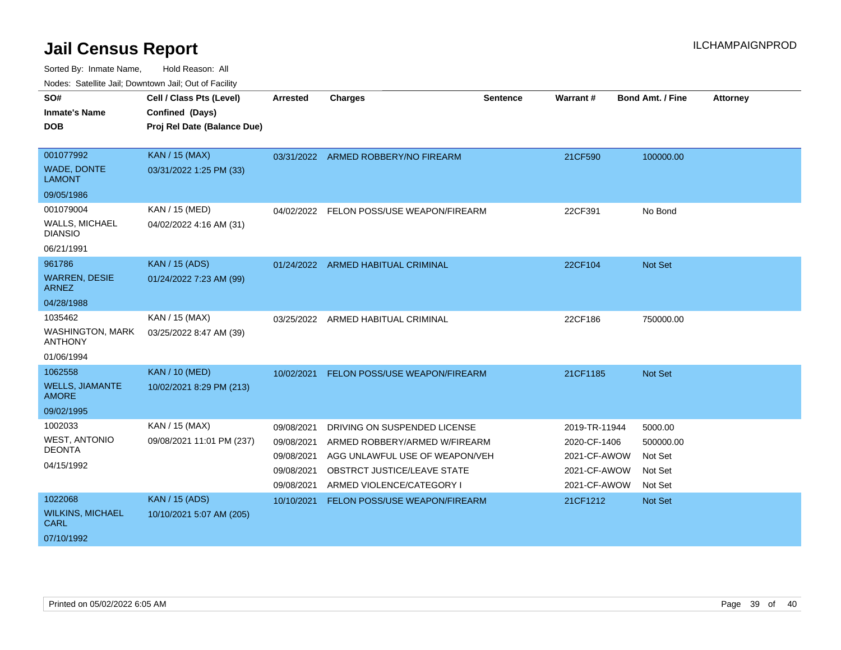| SO#                                       | Cell / Class Pts (Level)                       | Arrested                 | <b>Charges</b>                                                  | <b>Sentence</b> | Warrant#                     | <b>Bond Amt. / Fine</b> | <b>Attorney</b> |
|-------------------------------------------|------------------------------------------------|--------------------------|-----------------------------------------------------------------|-----------------|------------------------------|-------------------------|-----------------|
| <b>Inmate's Name</b><br><b>DOB</b>        | Confined (Days)<br>Proj Rel Date (Balance Due) |                          |                                                                 |                 |                              |                         |                 |
| 001077992                                 | KAN / 15 (MAX)                                 |                          | 03/31/2022 ARMED ROBBERY/NO FIREARM                             |                 | 21CF590                      | 100000.00               |                 |
| WADE, DONTE<br><b>LAMONT</b>              | 03/31/2022 1:25 PM (33)                        |                          |                                                                 |                 |                              |                         |                 |
| 09/05/1986                                |                                                |                          |                                                                 |                 |                              |                         |                 |
| 001079004                                 | KAN / 15 (MED)                                 |                          | 04/02/2022 FELON POSS/USE WEAPON/FIREARM                        |                 | 22CF391                      | No Bond                 |                 |
| <b>WALLS, MICHAEL</b><br><b>DIANSIO</b>   | 04/02/2022 4:16 AM (31)                        |                          |                                                                 |                 |                              |                         |                 |
| 06/21/1991                                |                                                |                          |                                                                 |                 |                              |                         |                 |
| 961786                                    | <b>KAN / 15 (ADS)</b>                          |                          | 01/24/2022 ARMED HABITUAL CRIMINAL                              |                 | 22CF104                      | <b>Not Set</b>          |                 |
| <b>WARREN, DESIE</b><br><b>ARNEZ</b>      | 01/24/2022 7:23 AM (99)                        |                          |                                                                 |                 |                              |                         |                 |
| 04/28/1988                                |                                                |                          |                                                                 |                 |                              |                         |                 |
| 1035462                                   | KAN / 15 (MAX)                                 | 03/25/2022               | ARMED HABITUAL CRIMINAL                                         |                 | 22CF186                      | 750000.00               |                 |
| <b>WASHINGTON, MARK</b><br><b>ANTHONY</b> | 03/25/2022 8:47 AM (39)                        |                          |                                                                 |                 |                              |                         |                 |
| 01/06/1994                                |                                                |                          |                                                                 |                 |                              |                         |                 |
| 1062558                                   | <b>KAN / 10 (MED)</b>                          | 10/02/2021               | FELON POSS/USE WEAPON/FIREARM                                   |                 | 21CF1185                     | Not Set                 |                 |
| <b>WELLS, JIAMANTE</b><br><b>AMORE</b>    | 10/02/2021 8:29 PM (213)                       |                          |                                                                 |                 |                              |                         |                 |
| 09/02/1995                                |                                                |                          |                                                                 |                 |                              |                         |                 |
| 1002033                                   | KAN / 15 (MAX)                                 | 09/08/2021               | DRIVING ON SUSPENDED LICENSE                                    |                 | 2019-TR-11944                | 5000.00                 |                 |
| <b>WEST, ANTONIO</b><br><b>DEONTA</b>     | 09/08/2021 11:01 PM (237)                      | 09/08/2021<br>09/08/2021 | ARMED ROBBERY/ARMED W/FIREARM<br>AGG UNLAWFUL USE OF WEAPON/VEH |                 | 2020-CF-1406<br>2021-CF-AWOW | 500000.00<br>Not Set    |                 |
| 04/15/1992                                |                                                | 09/08/2021               | OBSTRCT JUSTICE/LEAVE STATE                                     |                 | 2021-CF-AWOW                 | Not Set                 |                 |
|                                           |                                                | 09/08/2021               | ARMED VIOLENCE/CATEGORY I                                       |                 | 2021-CF-AWOW                 | Not Set                 |                 |
| 1022068                                   | <b>KAN / 15 (ADS)</b>                          | 10/10/2021               | FELON POSS/USE WEAPON/FIREARM                                   |                 | 21CF1212                     | Not Set                 |                 |
| <b>WILKINS, MICHAEL</b><br><b>CARL</b>    | 10/10/2021 5:07 AM (205)                       |                          |                                                                 |                 |                              |                         |                 |
| 07/10/1992                                |                                                |                          |                                                                 |                 |                              |                         |                 |